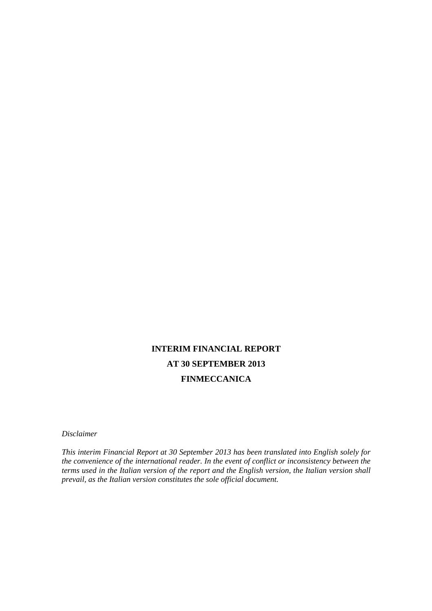# **INTERIM FINANCIAL REPORT AT 30 SEPTEMBER 2013 FINMECCANICA**

*Disclaimer* 

*This interim Financial Report at 30 September 2013 has been translated into English solely for the convenience of the international reader. In the event of conflict or inconsistency between the terms used in the Italian version of the report and the English version, the Italian version shall prevail, as the Italian version constitutes the sole official document.*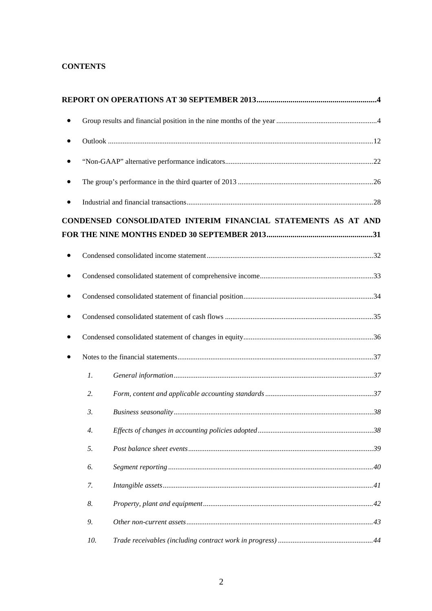# **CONTENTS**

| ٠         |                  |                                                               |  |
|-----------|------------------|---------------------------------------------------------------|--|
|           |                  |                                                               |  |
| $\bullet$ |                  |                                                               |  |
|           |                  |                                                               |  |
|           |                  |                                                               |  |
|           |                  | CONDENSED CONSOLIDATED INTERIM FINANCIAL STATEMENTS AS AT AND |  |
|           |                  |                                                               |  |
| ٠         |                  |                                                               |  |
|           |                  |                                                               |  |
|           |                  |                                                               |  |
|           |                  |                                                               |  |
|           |                  |                                                               |  |
|           |                  |                                                               |  |
|           | $\mathcal{I}$ .  |                                                               |  |
|           | 2.               |                                                               |  |
|           | $\mathfrak{Z}$ . |                                                               |  |
|           | 4.               |                                                               |  |
|           | 5.               |                                                               |  |
|           | 6.               |                                                               |  |
|           | 7.               |                                                               |  |
|           | 8.               |                                                               |  |
|           | 9.               |                                                               |  |
|           | 10.              |                                                               |  |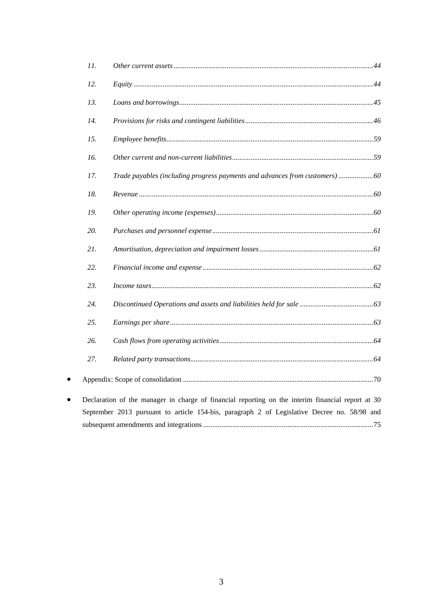|           | 11. |                                                                                                   |
|-----------|-----|---------------------------------------------------------------------------------------------------|
|           | 12. |                                                                                                   |
|           | 13. |                                                                                                   |
|           | 14. |                                                                                                   |
|           | 15. |                                                                                                   |
|           | 16. |                                                                                                   |
|           | 17. | Trade payables (including progress payments and advances from customers)60                        |
|           | 18. |                                                                                                   |
|           | 19. |                                                                                                   |
|           | 20. |                                                                                                   |
|           | 21. |                                                                                                   |
|           | 22. |                                                                                                   |
|           | 23. |                                                                                                   |
|           | 24. |                                                                                                   |
|           | 25. |                                                                                                   |
|           | 26. |                                                                                                   |
|           | 27. |                                                                                                   |
| $\bullet$ |     |                                                                                                   |
| $\bullet$ |     | Declaration of the manager in charge of financial reporting on the interim financial report at 30 |
|           |     | September 2013 pursuant to article 154-bis, paragraph 2 of Legislative Decree no. 58/98 and       |
|           |     |                                                                                                   |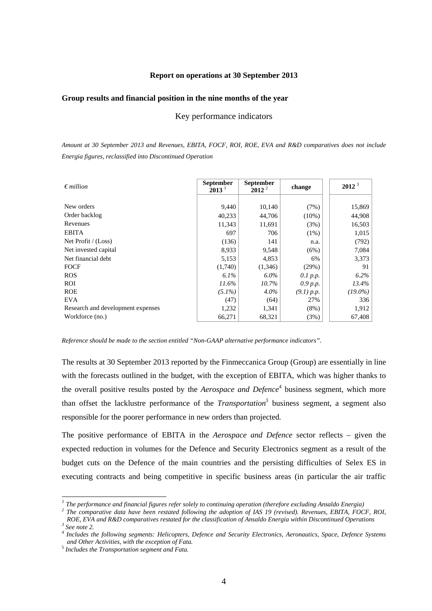# **Report on operations at 30 September 2013**

#### **Group results and financial position in the nine months of the year**

Key performance indicators

*Amount at 30 September 2013 and Revenues, EBITA, FOCF, ROI, ROE, EVA and R&D comparatives does not include Energia figures, reclassified into Discontinued Operation* 

| $\epsilon$ million                | <b>September</b><br>$2013^{\frac{1}{2}}$ | <b>September</b><br>$2012^2$ | change     | $2012^3$   |
|-----------------------------------|------------------------------------------|------------------------------|------------|------------|
|                                   |                                          |                              |            |            |
| New orders                        | 9,440                                    | 10,140                       | (7%)       | 15,869     |
| Order backlog                     | 40,233                                   | 44,706                       | $(10\%)$   | 44,908     |
| Revenues                          | 11,343                                   | 11,691                       | (3%)       | 16,503     |
| <b>EBITA</b>                      | 697                                      | 706                          | $(1\%)$    | 1,015      |
| Net Profit / (Loss)               | (136)                                    | 141                          | n.a.       | (792)      |
| Net invested capital              | 8,933                                    | 9,548                        | (6%)       | 7,084      |
| Net financial debt                | 5,153                                    | 4,853                        | 6%         | 3,373      |
| <b>FOCF</b>                       | (1,740)                                  | (1,346)                      | (29%)      | 91         |
| <b>ROS</b>                        | $6.1\%$                                  | $6.0\%$                      | $0.1$ p.p. | $6.2\%$    |
| ROI                               | 11.6%                                    | 10.7%                        | 0.9 p.p.   | 13.4%      |
| <b>ROE</b>                        | $(5.1\%)$                                | $4.0\%$                      | (9.1) p.p. | $(19.0\%)$ |
| <b>EVA</b>                        | (47)                                     | (64)                         | 27%        | 336        |
| Research and development expenses | 1,232                                    | 1,341                        | $(8\%)$    | 1,912      |
| Workforce (no.)                   | 66,271                                   | 68,321                       | (3%)       | 67,408     |

*Reference should be made to the section entitled "Non-GAAP alternative performance indicators".* 

The results at 30 September 2013 reported by the Finmeccanica Group (Group) are essentially in line with the forecasts outlined in the budget, with the exception of EBITA, which was higher thanks to the overall positive results posted by the *Aerospace and Defence*<sup>4</sup> business segment, which more than offset the lacklustre performance of the *Transportation*<sup>5</sup> business segment, a segment also responsible for the poorer performance in new orders than projected*.* 

The positive performance of EBITA in the *Aerospace and Defence* sector reflects – given the expected reduction in volumes for the Defence and Security Electronics segment as a result of the budget cuts on the Defence of the main countries and the persisting difficulties of Selex ES in executing contracts and being competitive in specific business areas (in particular the air traffic

l

*<sup>1</sup> The performance and financial figures refer solely to continuing operation (therefore excluding Ansaldo Energia) 2*

*The comparative data have been restated following the adoption of IAS 19 (revised). Revenues, EBITA, FOCF, ROI, ROE, EVA and R&D comparatives restated for the classification of Ansaldo Energia within Discontinued Operations 3*

*See note 2.* 

<sup>4</sup> *Includes the following segments: Helicopters, Defence and Security Electronics, Aeronautics, Space, Defence Systems and Other Activities, with the exception of Fata.* <sup>5</sup> *Includes the Transportation segment and Fata.*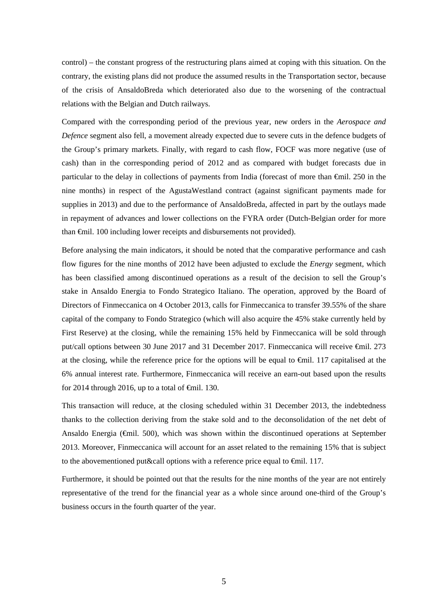control) – the constant progress of the restructuring plans aimed at coping with this situation. On the contrary, the existing plans did not produce the assumed results in the Transportation sector, because of the crisis of AnsaldoBreda which deteriorated also due to the worsening of the contractual relations with the Belgian and Dutch railways.

Compared with the corresponding period of the previous year, new orders in the *Aerospace and Defence* segment also fell, a movement already expected due to severe cuts in the defence budgets of the Group's primary markets. Finally, with regard to cash flow, FOCF was more negative (use of cash) than in the corresponding period of 2012 and as compared with budget forecasts due in particular to the delay in collections of payments from India (forecast of more than €mil. 250 in the nine months) in respect of the AgustaWestland contract (against significant payments made for supplies in 2013) and due to the performance of AnsaldoBreda, affected in part by the outlays made in repayment of advances and lower collections on the FYRA order (Dutch-Belgian order for more than €mil. 100 including lower receipts and disbursements not provided).

Before analysing the main indicators, it should be noted that the comparative performance and cash flow figures for the nine months of 2012 have been adjusted to exclude the *Energy* segment, which has been classified among discontinued operations as a result of the decision to sell the Group's stake in Ansaldo Energia to Fondo Strategico Italiano. The operation, approved by the Board of Directors of Finmeccanica on 4 October 2013, calls for Finmeccanica to transfer 39.55% of the share capital of the company to Fondo Strategico (which will also acquire the 45% stake currently held by First Reserve) at the closing, while the remaining 15% held by Finmeccanica will be sold through put/call options between 30 June 2017 and 31 December 2017. Finmeccanica will receive €mil. 273 at the closing, while the reference price for the options will be equal to  $\epsilon$ mil. 117 capitalised at the 6% annual interest rate. Furthermore, Finmeccanica will receive an earn-out based upon the results for 2014 through 2016, up to a total of  $\epsilon$ mil. 130.

This transaction will reduce, at the closing scheduled within 31 December 2013, the indebtedness thanks to the collection deriving from the stake sold and to the deconsolidation of the net debt of Ansaldo Energia (€mil. 500), which was shown within the discontinued operations at September 2013. Moreover, Finmeccanica will account for an asset related to the remaining 15% that is subject to the abovementioned put&call options with a reference price equal to  $\epsilon$ mil. 117.

Furthermore, it should be pointed out that the results for the nine months of the year are not entirely representative of the trend for the financial year as a whole since around one-third of the Group's business occurs in the fourth quarter of the year.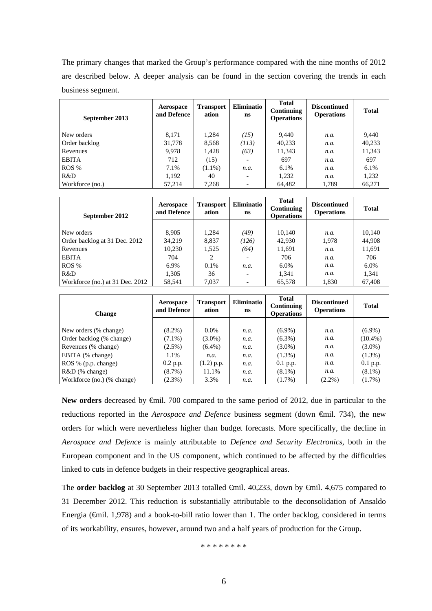The primary changes that marked the Group's performance compared with the nine months of 2012 are described below. A deeper analysis can be found in the section covering the trends in each business segment.

| September 2013  | Aerospace<br>and Defence | <b>Transport</b><br>ation | <b>Eliminatio</b><br>ns  | <b>Total</b><br>Continuing<br><b>Operations</b> | <b>Discontinued</b><br><b>Operations</b> | <b>Total</b> |
|-----------------|--------------------------|---------------------------|--------------------------|-------------------------------------------------|------------------------------------------|--------------|
|                 |                          |                           |                          |                                                 |                                          |              |
| New orders      | 8,171                    | 1.284                     | (15)                     | 9.440                                           | n.a.                                     | 9.440        |
| Order backlog   | 31,778                   | 8.568                     | (113)                    | 40,233                                          | n.a.                                     | 40,233       |
| Revenues        | 9,978                    | 1,428                     | (63)                     | 11,343                                          | n.a.                                     | 11,343       |
| <b>EBITA</b>    | 712                      | (15)                      | -                        | 697                                             | n.a.                                     | 697          |
| ROS %           | 7.1%                     | $(1.1\%)$                 | n.a.                     | 6.1%                                            | n.a.                                     | $6.1\%$      |
| R&D             | 1,192                    | 40                        | $\overline{\phantom{0}}$ | 1,232                                           | n.a.                                     | 1,232        |
| Workforce (no.) | 57,214                   | 7,268                     | $\overline{\phantom{0}}$ | 64,482                                          | 1,789                                    | 66,271       |

| September 2012                  | Aerospace<br>and Defence | <b>Transport</b><br>ation | <b>Eliminatio</b><br>ns | <b>Total</b><br>Continuing<br><b>Operations</b> | <b>Discontinued</b><br><b>Operations</b> | <b>Total</b> |
|---------------------------------|--------------------------|---------------------------|-------------------------|-------------------------------------------------|------------------------------------------|--------------|
|                                 |                          |                           |                         |                                                 |                                          |              |
| New orders                      | 8.905                    | 1.284                     | (49)                    | 10,140                                          | n.a.                                     | 10,140       |
| Order backlog at 31 Dec. 2012   | 34,219                   | 8,837                     | (126)                   | 42,930                                          | 1,978                                    | 44,908       |
| Revenues                        | 10,230                   | 1.525                     | (64)                    | 11,691                                          | n.a.                                     | 11,691       |
| <b>EBITA</b>                    | 704                      | 2                         |                         | 706                                             | n.a.                                     | 706          |
| ROS %                           | 6.9%                     | 0.1%                      | n.a.                    | $6.0\%$                                         | n.a.                                     | 6.0%         |
| R&D                             | 1,305                    | 36                        | $\overline{a}$          | 1,341                                           | n.a.                                     | 1,341        |
| Workforce (no.) at 31 Dec. 2012 | 58.541                   | 7.037                     | $\overline{a}$          | 65.578                                          | 1.830                                    | 67.408       |

| <b>Change</b>              | Aerospace<br>and Defence | <b>Transport</b><br>ation | <b>Eliminatio</b><br>ns | <b>Total</b><br>Continuing<br><b>Operations</b> | <b>Discontinued</b><br><b>Operations</b> | <b>Total</b> |
|----------------------------|--------------------------|---------------------------|-------------------------|-------------------------------------------------|------------------------------------------|--------------|
|                            |                          |                           |                         |                                                 |                                          |              |
| New orders (% change)      | $(8.2\%)$                | $0.0\%$                   | n.a.                    | $(6.9\%)$                                       | n.a.                                     | $(6.9\%)$    |
| Order backlog (% change)   | $(7.1\%)$                | $(3.0\%)$                 | n.a.                    | $(6.3\%)$                                       | n.a.                                     | $(10.4\%)$   |
| Revenues (% change)        | $(2.5\%)$                | $(6.4\%)$                 | n.a.                    | $(3.0\%)$                                       | n.a.                                     | $(3.0\%)$    |
| EBITA (% change)           | 1.1%                     | n.a.                      | n.a.                    | $(1.3\%)$                                       | n.a.                                     | $(1.3\%)$    |
| ROS % (p.p. change)        | $0.2$ p.p.               | $(1.2)$ p.p.              | n.a.                    | $0.1$ p.p.                                      | n.a.                                     | $0.1$ p.p.   |
| $R&D$ (% change)           | $(8.7\%)$                | 11.1%                     | n.a.                    | $(8.1\%)$                                       | n.a.                                     | $(8.1\%)$    |
| Workforce (no.) (% change) | $(2.3\%)$                | 3.3%                      | n.a.                    | $(1.7\%)$                                       | $(2.2\%)$                                | $(1.7\%)$    |

**New orders** decreased by €mil. 700 compared to the same period of 2012, due in particular to the reductions reported in the *Aerospace and Defence* business segment (down €mil. 734), the new orders for which were nevertheless higher than budget forecasts. More specifically, the decline in *Aerospace and Defence* is mainly attributable to *Defence and Security Electronics,* both in the European component and in the US component, which continued to be affected by the difficulties linked to cuts in defence budgets in their respective geographical areas.

The **order backlog** at 30 September 2013 totalled €mil. 40,233, down by €mil. 4,675 compared to 31 December 2012. This reduction is substantially attributable to the deconsolidation of Ansaldo Energia ( $\epsilon$ mil. 1,978) and a book-to-bill ratio lower than 1. The order backlog, considered in terms of its workability, ensures, however, around two and a half years of production for the Group.

\* \* \* \* \* \* \* \*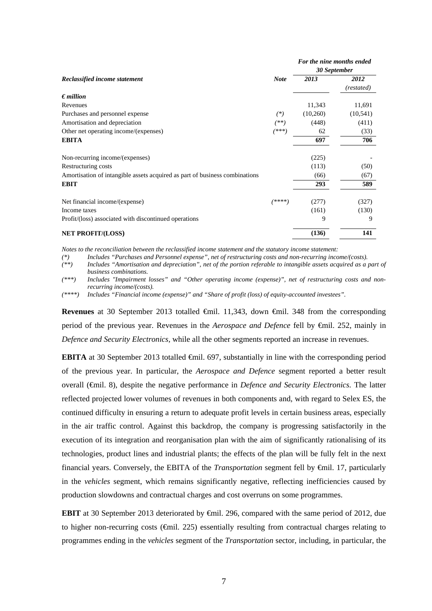|                                                                             |             | For the nine months ended |            |
|-----------------------------------------------------------------------------|-------------|---------------------------|------------|
|                                                                             |             | 30 September              |            |
| Reclassified income statement                                               | <b>Note</b> | 2013                      | 2012       |
|                                                                             |             |                           | (restated) |
| $\epsilon$ <i>million</i>                                                   |             |                           |            |
| Revenues                                                                    |             | 11,343                    | 11,691     |
| Purchases and personnel expense                                             | $^{(*)}$    | (10,260)                  | (10, 541)  |
| Amortisation and depreciation                                               | (**)        | (448)                     | (411)      |
| Other net operating income/(expenses)                                       | (***)       | 62                        | (33)       |
| <b>EBITA</b>                                                                |             | 697                       | 706        |
| Non-recurring income/(expenses)                                             |             | (225)                     |            |
| Restructuring costs                                                         |             | (113)                     | (50)       |
| Amortisation of intangible assets acquired as part of business combinations |             | (66)                      | (67)       |
| <b>EBIT</b>                                                                 |             | 293                       | 589        |
| Net financial income/(expense)                                              | $(****)$    | (277)                     | (327)      |
| Income taxes                                                                |             | (161)                     | (130)      |
| Profit/(loss) associated with discontinued operations                       |             | 9                         | 9          |
| <b>NET PROFIT/(LOSS)</b>                                                    |             | (136)                     | 141        |

*Notes to the reconciliation between the reclassified income statement and the statutory income statement:* 

*(\*) Includes "Purchases and Personnel expense", net of restructuring costs and non-recurring income/(costs).* 

*(\*\*) Includes "Amortisation and depreciation", net of the portion referable to intangible assets acquired as a part of business combinations.* 

*(\*\*\*) Includes "Impairment losses" and "Other operating income (expense)", net of restructuring costs and nonrecurring income/(costs).* 

*(\*\*\*\*) Includes "Financial income (expense)" and "Share of profit (loss) of equity-accounted investees".* 

**Revenues** at 30 September 2013 totalled €mil. 11,343, down €mil. 348 from the corresponding period of the previous year. Revenues in the *Aerospace and Defence* fell by €mil. 252, mainly in *Defence and Security Electronics,* while all the other segments reported an increase in revenues.

**EBITA** at 30 September 2013 totalled  $\oplus$  mil. 697, substantially in line with the corresponding period of the previous year. In particular, the *Aerospace and Defence* segment reported a better result overall (€mil. 8), despite the negative performance in *Defence and Security Electronics.* The latter reflected projected lower volumes of revenues in both components and, with regard to Selex ES, the continued difficulty in ensuring a return to adequate profit levels in certain business areas, especially in the air traffic control. Against this backdrop, the company is progressing satisfactorily in the execution of its integration and reorganisation plan with the aim of significantly rationalising of its technologies, product lines and industrial plants; the effects of the plan will be fully felt in the next financial years. Conversely, the EBITA of the *Transportation* segment fell by  $\epsilon$ mil. 17, particularly in the *vehicles* segment, which remains significantly negative, reflecting inefficiencies caused by production slowdowns and contractual charges and cost overruns on some programmes.

**EBIT** at 30 September 2013 deteriorated by €mil. 296, compared with the same period of 2012, due to higher non-recurring costs ( $\epsilon$ mil. 225) essentially resulting from contractual charges relating to programmes ending in the *vehicles* segment of the *Transportation* sector, including, in particular, the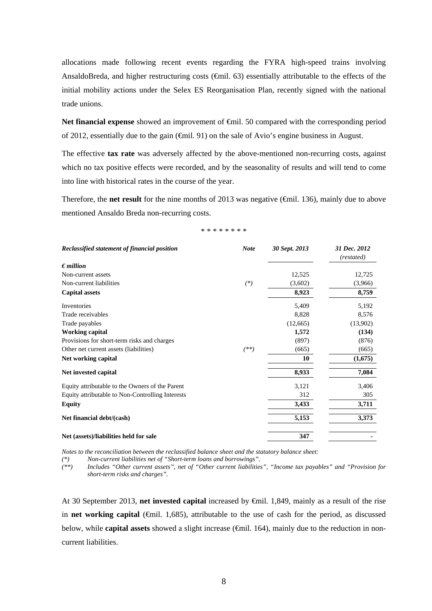allocations made following recent events regarding the FYRA high-speed trains involving AnsaldoBreda, and higher restructuring costs (€mil. 63) essentially attributable to the effects of the initial mobility actions under the Selex ES Reorganisation Plan, recently signed with the national trade unions.

**Net financial expense** showed an improvement of **€mil.** 50 compared with the corresponding period of 2012, essentially due to the gain (€mil. 91) on the sale of Avio's engine business in August.

The effective **tax rate** was adversely affected by the above-mentioned non-recurring costs, against which no tax positive effects were recorded, and by the seasonality of results and will tend to come into line with historical rates in the course of the year.

Therefore, the **net result** for the nine months of 2013 was negative (€mil. 136), mainly due to above mentioned Ansaldo Breda non-recurring costs.

|  |  | * * * * * * * * |  |  |
|--|--|-----------------|--|--|
|  |  |                 |  |  |

| Reclassified statement of financial position     | <b>Note</b> | 30 Sept. 2013 | 31 Dec. 2012<br>(restated) |
|--------------------------------------------------|-------------|---------------|----------------------------|
| $\epsilon$ million                               |             |               |                            |
| Non-current assets                               |             | 12,525        | 12,725                     |
| Non-current liabilities                          | $(*)$       | (3,602)       | (3,966)                    |
| <b>Capital assets</b>                            |             | 8,923         | 8,759                      |
| Inventories                                      |             | 5,409         | 5,192                      |
| Trade receivables                                |             | 8,828         | 8,576                      |
| Trade payables                                   |             | (12,665)      | (13,902)                   |
| <b>Working capital</b>                           |             | 1,572         | (134)                      |
| Provisions for short-term risks and charges      |             | (897)         | (876)                      |
| Other net current assets (liabilities)           | $(**)$      | (665)         | (665)                      |
| Net working capital                              |             | 10            | (1,675)                    |
| Net invested capital                             |             | 8,933         | 7,084                      |
| Equity attributable to the Owners of the Parent  |             | 3,121         | 3,406                      |
| Equity attributable to Non-Controlling Interests |             | 312           | 305                        |
| <b>Equity</b>                                    |             | 3,433         | 3,711                      |
| Net financial debt/(cash)                        |             | 5,153         | 3,373                      |
| Net (assets)/liabilities held for sale           |             | 347           |                            |

*Notes to the reconciliation between the reclassified balance sheet and the statutory balance sheet:* 

*(\*) Non-current liabilities net of "Short-term loans and borrowings".* 

*(\*\*) Includes "Other current assets", net of "Other current liabilities", "Income tax payables" and "Provision for short-term risks and charges".* 

At 30 September 2013, **net invested capital** increased by €mil. 1,849, mainly as a result of the rise in **net working capital** (€mil. 1,685), attributable to the use of cash for the period, as discussed below, while **capital assets** showed a slight increase (€mil. 164), mainly due to the reduction in noncurrent liabilities.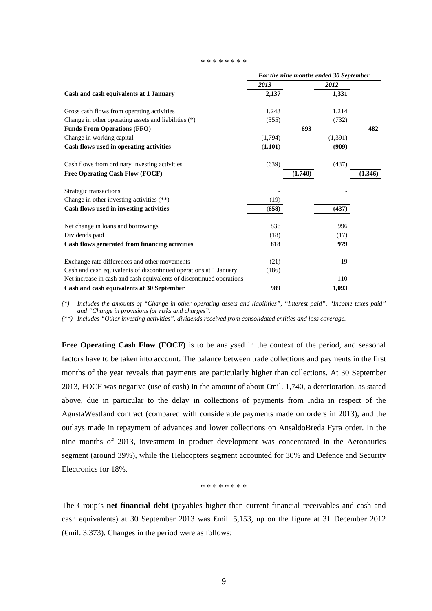#### \* \* \* \* \* \* \* \*

|                                                                      |          | For the nine months ended 30 September |         |         |
|----------------------------------------------------------------------|----------|----------------------------------------|---------|---------|
|                                                                      | 2013     |                                        | 2012    |         |
| Cash and cash equivalents at 1 January                               | 2,137    |                                        | 1,331   |         |
| Gross cash flows from operating activities                           | 1,248    |                                        | 1,214   |         |
| Change in other operating assets and liabilities (*)                 | (555)    |                                        | (732)   |         |
| <b>Funds From Operations (FFO)</b>                                   |          | 693                                    |         | 482     |
| Change in working capital                                            | (1,794)  |                                        | (1,391) |         |
| Cash flows used in operating activities                              | (1, 101) |                                        | (909)   |         |
| Cash flows from ordinary investing activities                        | (639)    |                                        | (437)   |         |
| Free Operating Cash Flow (FOCF)                                      |          | (1,740)                                |         | (1,346) |
| Strategic transactions                                               |          |                                        |         |         |
| Change in other investing activities (**)                            | (19)     |                                        |         |         |
| Cash flows used in investing activities                              | (658)    |                                        | (437)   |         |
| Net change in loans and borrowings                                   | 836      |                                        | 996     |         |
| Dividends paid                                                       | (18)     |                                        | (17)    |         |
| Cash flows generated from financing activities                       | 818      |                                        | 979     |         |
| Exchange rate differences and other movements                        | (21)     |                                        | 19      |         |
| Cash and cash equivalents of discontinued operations at 1 January    | (186)    |                                        |         |         |
| Net increase in cash and cash equivalents of discontinued operations |          |                                        | 110     |         |
| Cash and cash equivalents at 30 September                            | 989      |                                        | 1,093   |         |

*(\*) Includes the amounts of "Change in other operating assets and liabilities", "Interest paid", "Income taxes paid" and "Change in provisions for risks and charges".* 

*(\*\*) Includes "Other investing activities", dividends received from consolidated entities and loss coverage.* 

Free Operating Cash Flow (FOCF) is to be analysed in the context of the period, and seasonal factors have to be taken into account. The balance between trade collections and payments in the first months of the year reveals that payments are particularly higher than collections. At 30 September 2013, FOCF was negative (use of cash) in the amount of about €mil. 1,740, a deterioration, as stated above, due in particular to the delay in collections of payments from India in respect of the AgustaWestland contract (compared with considerable payments made on orders in 2013), and the outlays made in repayment of advances and lower collections on AnsaldoBreda Fyra order. In the nine months of 2013, investment in product development was concentrated in the Aeronautics segment (around 39%), while the Helicopters segment accounted for 30% and Defence and Security Electronics for 18%.

\* \* \* \* \* \* \* \*

The Group's **net financial debt** (payables higher than current financial receivables and cash and cash equivalents) at 30 September 2013 was €mil. 5,153, up on the figure at 31 December 2012  $(\text{f})$ . 3,373). Changes in the period were as follows: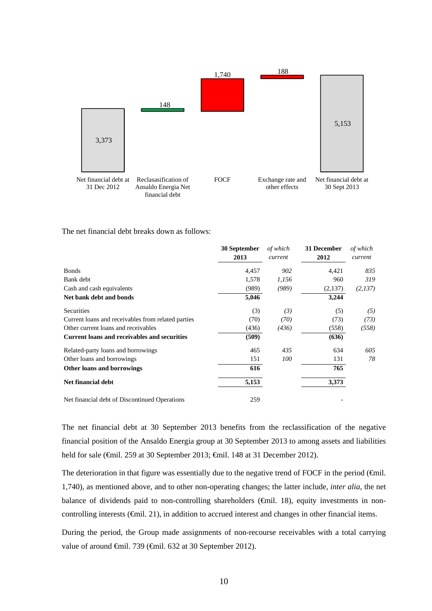

The net financial debt breaks down as follows:

|                                                     | 30 September<br>2013 | of which<br>current | 31 December<br>2012 | of which<br>current |
|-----------------------------------------------------|----------------------|---------------------|---------------------|---------------------|
| <b>Bonds</b>                                        | 4,457                | 902                 | 4,421               | 835                 |
| Bank debt                                           | 1,578                | 1,156               | 960                 | 319                 |
| Cash and cash equivalents                           | (989)                | (989)               | (2,137)             | (2,137)             |
| Net bank debt and bonds                             | 5,046                |                     | 3,244               |                     |
| Securities                                          | (3)                  | (3)                 | (5)                 | (5)                 |
| Current loans and receivables from related parties  | (70)                 | (70)                | (73)                | (73)                |
| Other current loans and receivables                 | (436)                | (436)               | (558)               | (558)               |
| <b>Current loans and receivables and securities</b> | (509)                |                     | (636)               |                     |
| Related-party loans and borrowings                  | 465                  | 435                 | 634                 | 605                 |
| Other loans and borrowings                          | 151                  | 100                 | 131                 | 78                  |
| Other loans and borrowings                          | 616                  |                     | 765                 |                     |
| <b>Net financial debt</b>                           | 5,153                |                     | 3,373               |                     |
| Net financial debt of Discontinued Operations       | 259                  |                     |                     |                     |

The net financial debt at 30 September 2013 benefits from the reclassification of the negative financial position of the Ansaldo Energia group at 30 September 2013 to among assets and liabilities held for sale (€mil. 259 at 30 September 2013; €mil. 148 at 31 December 2012).

The deterioration in that figure was essentially due to the negative trend of FOCF in the period (€mil. 1,740), as mentioned above, and to other non-operating changes; the latter include, *inter alia*, the net balance of dividends paid to non-controlling shareholders ( $\epsilon$ mil. 18), equity investments in noncontrolling interests (€mil. 21), in addition to accrued interest and changes in other financial items.

During the period, the Group made assignments of non-recourse receivables with a total carrying value of around €mil. 739 (€mil. 632 at 30 September 2012).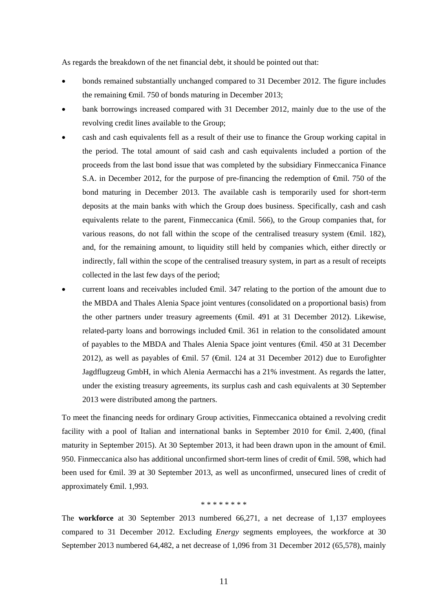As regards the breakdown of the net financial debt, it should be pointed out that:

- bonds remained substantially unchanged compared to 31 December 2012. The figure includes the remaining €mil. 750 of bonds maturing in December 2013;
- bank borrowings increased compared with 31 December 2012, mainly due to the use of the revolving credit lines available to the Group;
- cash and cash equivalents fell as a result of their use to finance the Group working capital in the period. The total amount of said cash and cash equivalents included a portion of the proceeds from the last bond issue that was completed by the subsidiary Finmeccanica Finance S.A. in December 2012, for the purpose of pre-financing the redemption of  $\theta$ mil. 750 of the bond maturing in December 2013. The available cash is temporarily used for short-term deposits at the main banks with which the Group does business. Specifically, cash and cash equivalents relate to the parent, Finmeccanica ( $\widehat{\mathbf{q}}$ mil. 566), to the Group companies that, for various reasons, do not fall within the scope of the centralised treasury system (€mil. 182), and, for the remaining amount, to liquidity still held by companies which, either directly or indirectly, fall within the scope of the centralised treasury system, in part as a result of receipts collected in the last few days of the period;
- current loans and receivables included €mil. 347 relating to the portion of the amount due to the MBDA and Thales Alenia Space joint ventures (consolidated on a proportional basis) from the other partners under treasury agreements ( $\epsilon$ mil. 491 at 31 December 2012). Likewise, related-party loans and borrowings included €mil. 361 in relation to the consolidated amount of payables to the MBDA and Thales Alenia Space joint ventures (€mil. 450 at 31 December 2012), as well as payables of  $\epsilon$ mil. 57 ( $\epsilon$ mil. 124 at 31 December 2012) due to Eurofighter Jagdflugzeug GmbH, in which Alenia Aermacchi has a 21% investment. As regards the latter, under the existing treasury agreements, its surplus cash and cash equivalents at 30 September 2013 were distributed among the partners.

To meet the financing needs for ordinary Group activities, Finmeccanica obtained a revolving credit facility with a pool of Italian and international banks in September 2010 for €mil. 2,400, (final maturity in September 2015). At 30 September 2013, it had been drawn upon in the amount of  $\epsilon$ mil. 950. Finmeccanica also has additional unconfirmed short-term lines of credit of <del>C</del>mil. 598, which had been used for €mil. 39 at 30 September 2013, as well as unconfirmed, unsecured lines of credit of approximately €mil. 1,993.

#### \* \* \* \* \* \* \* \*

The **workforce** at 30 September 2013 numbered 66,271, a net decrease of 1,137 employees compared to 31 December 2012. Excluding *Energy* segments employees, the workforce at 30 September 2013 numbered 64,482, a net decrease of 1,096 from 31 December 2012 (65,578), mainly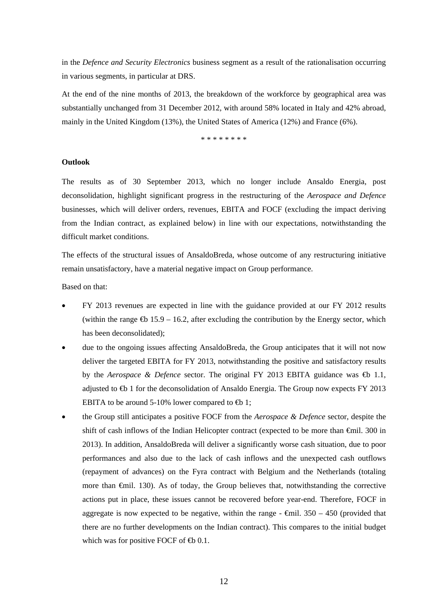in the *Defence and Security Electronics* business segment as a result of the rationalisation occurring in various segments, in particular at DRS.

At the end of the nine months of 2013, the breakdown of the workforce by geographical area was substantially unchanged from 31 December 2012, with around 58% located in Italy and 42% abroad, mainly in the United Kingdom (13%), the United States of America (12%) and France (6%).

\* \* \* \* \* \* \* \*

#### **Outlook**

The results as of 30 September 2013, which no longer include Ansaldo Energia, post deconsolidation, highlight significant progress in the restructuring of the *Aerospace and Defence* businesses, which will deliver orders, revenues, EBITA and FOCF (excluding the impact deriving from the Indian contract, as explained below) in line with our expectations, notwithstanding the difficult market conditions.

The effects of the structural issues of AnsaldoBreda, whose outcome of any restructuring initiative remain unsatisfactory, have a material negative impact on Group performance.

Based on that:

- FY 2013 revenues are expected in line with the guidance provided at our FY 2012 results (within the range  $\bigoplus$  15.9 – 16.2, after excluding the contribution by the Energy sector, which has been deconsolidated);
- due to the ongoing issues affecting AnsaldoBreda, the Group anticipates that it will not now deliver the targeted EBITA for FY 2013, notwithstanding the positive and satisfactory results by the *Aerospace & Defence* sector. The original FY 2013 EBITA guidance was **⊕** 1.1, adjusted to  $\bigoplus$  1 for the deconsolidation of Ansaldo Energia. The Group now expects FY 2013 EBITA to be around 5-10% lower compared to  $\bigoplus$  1;
- the Group still anticipates a positive FOCF from the *Aerospace & Defence* sector, despite the shift of cash inflows of the Indian Helicopter contract (expected to be more than €mil. 300 in 2013). In addition, AnsaldoBreda will deliver a significantly worse cash situation, due to poor performances and also due to the lack of cash inflows and the unexpected cash outflows (repayment of advances) on the Fyra contract with Belgium and the Netherlands (totaling more than €mil. 130). As of today, the Group believes that, notwithstanding the corrective actions put in place, these issues cannot be recovered before year-end. Therefore, FOCF in aggregate is now expected to be negative, within the range  $\epsilon$ mil. 350 – 450 (provided that there are no further developments on the Indian contract). This compares to the initial budget which was for positive FOCF of  $\bigoplus$  0.1.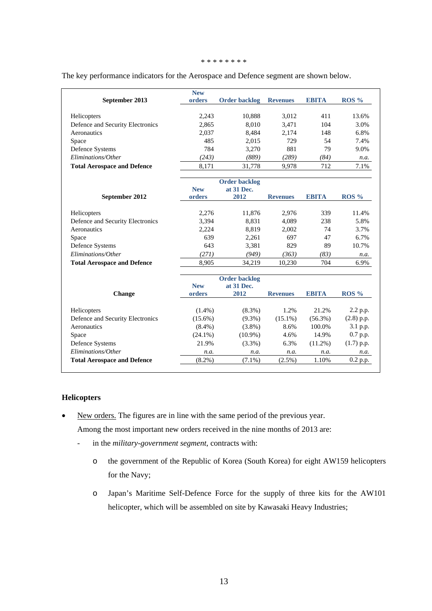#### \* \* \* \* \* \* \* \*

| September 2013                     | <b>New</b><br>orders | <b>Order backlog</b> | <b>Revenues</b> | <b>EBITA</b> | ROS <sub>9</sub> |
|------------------------------------|----------------------|----------------------|-----------------|--------------|------------------|
|                                    |                      |                      |                 |              |                  |
| Helicopters                        | 2,243                | 10,888               | 3,012           | 411          | 13.6%            |
| Defence and Security Electronics   | 2,865                | 8,010                | 3.471           | 104          | 3.0%             |
| Aeronautics                        | 2,037                | 8,484                | 2.174           | 148          | 6.8%             |
| Space                              | 485                  | 2,015                | 729             | 54           | 7.4%             |
| Defence Systems                    | 784                  | 3,270                | 881             | 79           | 9.0%             |
| Eliminations/Other                 | (243)                | (889)                | (289)           | (84)         | n.a.             |
| <b>Total Aerospace and Defence</b> | 8,171                | 31,778               | 9,978           | 712          | 7.1%             |
|                                    |                      | <b>Order backlog</b> |                 |              |                  |
|                                    | <b>New</b>           | at 31 Dec.           |                 |              |                  |
| September 2012                     | orders               | 2012                 | <b>Revenues</b> | <b>EBITA</b> | ROS <sub>%</sub> |
| Helicopters                        | 2,276                | 11,876               | 2,976           | 339          | 11.4%            |
| Defence and Security Electronics   | 3,394                | 8,831                | 4,089           | 238          | 5.8%             |
| Aeronautics                        | 2,224                | 8,819                | 2,002           | 74           | 3.7%             |
| Space                              | 639                  | 2,261                | 697             | 47           | 6.7%             |
| Defence Systems                    | 643                  | 3,381                | 829             | 89           | 10.7%            |
| Eliminations/Other                 | (271)                | (949)                | (363)           | (83)         | n.a.             |
| <b>Total Aerospace and Defence</b> | 8,905                | 34,219               | 10,230          | 704          | 6.9%             |
|                                    |                      | <b>Order backlog</b> |                 |              |                  |
|                                    | <b>New</b>           | at 31 Dec.           |                 |              |                  |
| <b>Change</b>                      | orders               | 2012                 | <b>Revenues</b> | <b>EBITA</b> | $ROS\%$          |
| Helicopters                        | $(1.4\%)$            | $(8.3\%)$            | 1.2%            | 21.2%        | 2.2 p.p.         |
| Defence and Security Electronics   | $(15.6\%)$           | $(9.3\%)$            | $(15.1\%)$      | $(56.3\%)$   | $(2.8)$ p.p.     |
| Aeronautics                        | $(8.4\%)$            | $(3.8\%)$            | 8.6%            | 100.0%       | 3.1 p.p.         |
| Space                              | $(24.1\%)$           | $(10.9\%)$           | 4.6%            | 14.9%        | 0.7 p.p.         |
| Defence Systems                    | 21.9%                | $(3.3\%)$            | 6.3%            | $(11.2\%)$   | $(1.7)$ p.p.     |
| Eliminations/Other                 | n.a.                 | n.a.                 | n.a.            | n.a.         | n.a.             |
| <b>Total Aerospace and Defence</b> | $(8.2\%)$            | $(7.1\%)$            | $(2.5\%)$       | 1.10%        | 0.2 p.p.         |

#### The key performance indicators for the Aerospace and Defence segment are shown below.

### **Helicopters**

• New orders. The figures are in line with the same period of the previous year.

Among the most important new orders received in the nine months of 2013 are:

- in the *military-government segment*, contracts with:
	- o the government of the Republic of Korea (South Korea) for eight AW159 helicopters for the Navy;
	- o Japan's Maritime Self-Defence Force for the supply of three kits for the AW101 helicopter, which will be assembled on site by Kawasaki Heavy Industries;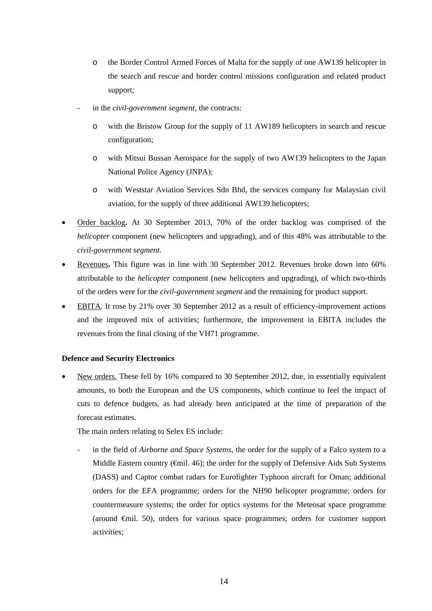- o the Border Control Armed Forces of Malta for the supply of one AW139 helicopter in the search and rescue and border control missions configuration and related product support;
- in the *civil-government segment*, the contracts:
	- o with the Bristow Group for the supply of 11 AW189 helicopters in search and rescue configuration;
	- o with Mitsui Bussan Aerospace for the supply of two AW139 helicopters to the Japan National Police Agency (JNPA);
	- o with Weststar Aviation Services Sdn Bhd, the services company for Malaysian civil aviation, for the supply of three additional AW139 helicopters;
- Order backlog**.** At 30 September 2013, 70% of the order backlog was comprised of the *helicopter* component (new helicopters and upgrading), and of this 48% was attributable to the *civil-government segment*.
- Revenues**.** This figure was in line with 30 September 2012. Revenues broke down into 60% attributable to the *helicopter* component (new helicopters and upgrading), of which two-thirds of the orders were for the *civil-government segment* and the remaining for product support.
- EBITA. It rose by 21% over 30 September 2012 as a result of efficiency-improvement actions and the improved mix of activities; furthermore, the improvement in EBITA includes the revenues from the final closing of the VH71 programme.

#### **Defence and Security Electronics**

 New orders. These fell by 16% compared to 30 September 2012, due, in essentially equivalent amounts, to both the European and the US components, which continue to feel the impact of cuts to defence budgets, as had already been anticipated at the time of preparation of the forecast estimates.

The main orders relating to Selex ES include:

in the field of *Airborne and Space Systems*, the order for the supply of a Falco system to a Middle Eastern country  $(\text{fini. } 46)$ ; the order for the supply of Defensive Aids Sub Systems (DASS) and Captor combat radars for Eurofighter Typhoon aircraft for Oman; additional orders for the EFA programme; orders for the NH90 helicopter programme; orders for countermeasure systems; the order for optics systems for the Meteosat space programme (around €mil. 50), orders for various space programmes; orders for customer support activities;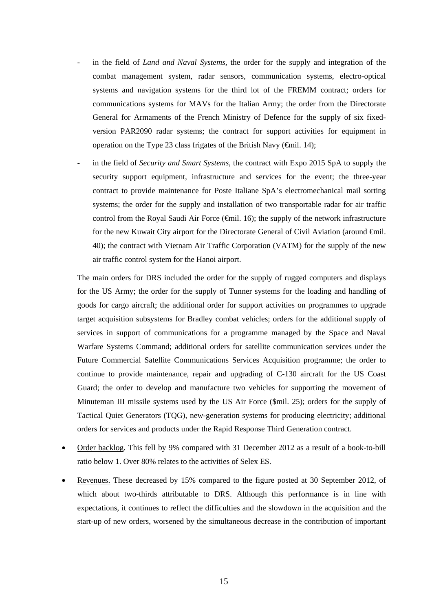- in the field of *Land and Naval Systems*, the order for the supply and integration of the combat management system, radar sensors, communication systems, electro-optical systems and navigation systems for the third lot of the FREMM contract; orders for communications systems for MAVs for the Italian Army; the order from the Directorate General for Armaments of the French Ministry of Defence for the supply of six fixedversion PAR2090 radar systems; the contract for support activities for equipment in operation on the Type 23 class frigates of the British Navy ( $\epsilon$ mil. 14);
- in the field of *Security and Smart Systems*, the contract with Expo 2015 SpA to supply the security support equipment, infrastructure and services for the event; the three-year contract to provide maintenance for Poste Italiane SpA's electromechanical mail sorting systems; the order for the supply and installation of two transportable radar for air traffic control from the Royal Saudi Air Force  $(\text{fmil. } 16)$ ; the supply of the network infrastructure for the new Kuwait City airport for the Directorate General of Civil Aviation (around  $\epsilon$ mil. 40); the contract with Vietnam Air Traffic Corporation (VATM) for the supply of the new air traffic control system for the Hanoi airport.

The main orders for DRS included the order for the supply of rugged computers and displays for the US Army; the order for the supply of Tunner systems for the loading and handling of goods for cargo aircraft; the additional order for support activities on programmes to upgrade target acquisition subsystems for Bradley combat vehicles; orders for the additional supply of services in support of communications for a programme managed by the Space and Naval Warfare Systems Command; additional orders for satellite communication services under the Future Commercial Satellite Communications Services Acquisition programme; the order to continue to provide maintenance, repair and upgrading of C-130 aircraft for the US Coast Guard; the order to develop and manufacture two vehicles for supporting the movement of Minuteman III missile systems used by the US Air Force (\$mil. 25); orders for the supply of Tactical Quiet Generators (TQG), new-generation systems for producing electricity; additional orders for services and products under the Rapid Response Third Generation contract.

- Order backlog. This fell by 9% compared with 31 December 2012 as a result of a book-to-bill ratio below 1. Over 80% relates to the activities of Selex ES.
- Revenues. These decreased by 15% compared to the figure posted at 30 September 2012, of which about two-thirds attributable to DRS. Although this performance is in line with expectations, it continues to reflect the difficulties and the slowdown in the acquisition and the start-up of new orders, worsened by the simultaneous decrease in the contribution of important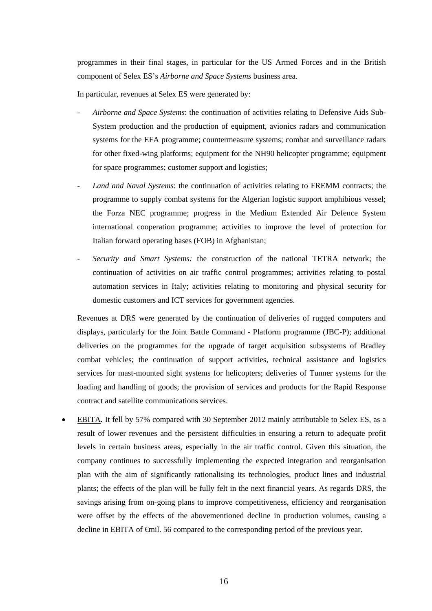programmes in their final stages, in particular for the US Armed Forces and in the British component of Selex ES's *Airborne and Space Systems* business area.

In particular, revenues at Selex ES were generated by:

- *Airborne and Space Systems*: the continuation of activities relating to Defensive Aids Sub-System production and the production of equipment, avionics radars and communication systems for the EFA programme; countermeasure systems; combat and surveillance radars for other fixed-wing platforms; equipment for the NH90 helicopter programme; equipment for space programmes; customer support and logistics;
- Land and Naval Systems: the continuation of activities relating to FREMM contracts; the programme to supply combat systems for the Algerian logistic support amphibious vessel; the Forza NEC programme; progress in the Medium Extended Air Defence System international cooperation programme; activities to improve the level of protection for Italian forward operating bases (FOB) in Afghanistan;
- *Security and Smart Systems:* the construction of the national TETRA network; the continuation of activities on air traffic control programmes; activities relating to postal automation services in Italy; activities relating to monitoring and physical security for domestic customers and ICT services for government agencies.

Revenues at DRS were generated by the continuation of deliveries of rugged computers and displays, particularly for the Joint Battle Command - Platform programme (JBC-P); additional deliveries on the programmes for the upgrade of target acquisition subsystems of Bradley combat vehicles; the continuation of support activities, technical assistance and logistics services for mast-mounted sight systems for helicopters; deliveries of Tunner systems for the loading and handling of goods; the provision of services and products for the Rapid Response contract and satellite communications services.

 EBITA*.* It fell by 57% compared with 30 September 2012 mainly attributable to Selex ES, as a result of lower revenues and the persistent difficulties in ensuring a return to adequate profit levels in certain business areas, especially in the air traffic control. Given this situation, the company continues to successfully implementing the expected integration and reorganisation plan with the aim of significantly rationalising its technologies, product lines and industrial plants; the effects of the plan will be fully felt in the next financial years. As regards DRS, the savings arising from on-going plans to improve competitiveness, efficiency and reorganisation were offset by the effects of the abovementioned decline in production volumes, causing a decline in EBITA of €mil. 56 compared to the corresponding period of the previous year.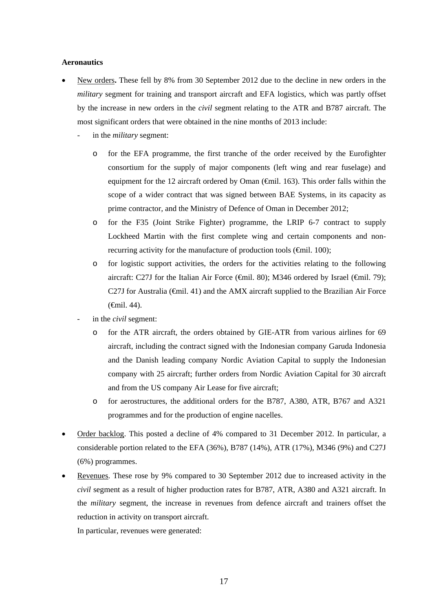#### **Aeronautics**

- New orders**.** These fell by 8% from 30 September 2012 due to the decline in new orders in the *military* segment for training and transport aircraft and EFA logistics, which was partly offset by the increase in new orders in the *civil* segment relating to the ATR and B787 aircraft. The most significant orders that were obtained in the nine months of 2013 include:
	- in the *military* segment:
		- o for the EFA programme, the first tranche of the order received by the Eurofighter consortium for the supply of major components (left wing and rear fuselage) and equipment for the 12 aircraft ordered by Oman  $(\text{Gmil. 163})$ . This order falls within the scope of a wider contract that was signed between BAE Systems, in its capacity as prime contractor*,* and the Ministry of Defence of Oman in December 2012;
		- o for the F35 (Joint Strike Fighter) programme, the LRIP 6-7 contract to supply Lockheed Martin with the first complete wing and certain components and nonrecurring activity for the manufacture of production tools ( $\epsilon$ mil. 100);
		- o for logistic support activities, the orders for the activities relating to the following aircraft: C27J for the Italian Air Force ( $\epsilon$ mil. 80); M346 ordered by Israel ( $\epsilon$ mil. 79); C27J for Australia  $(\widehat{\mathsf{f}})$  and the AMX aircraft supplied to the Brazilian Air Force (€mil. 44).
	- in the *civil* segment:
		- o for the ATR aircraft, the orders obtained by GIE-ATR from various airlines for 69 aircraft, including the contract signed with the Indonesian company Garuda Indonesia and the Danish leading company Nordic Aviation Capital to supply the Indonesian company with 25 aircraft; further orders from Nordic Aviation Capital for 30 aircraft and from the US company Air Lease for five aircraft;
		- o for aerostructures, the additional orders for the B787, A380, ATR, B767 and A321 programmes and for the production of engine nacelles.
- Order backlog. This posted a decline of 4% compared to 31 December 2012. In particular, a considerable portion related to the EFA (36%), B787 (14%), ATR (17%), M346 (9%) and C27J (6%) programmes.
- Revenues. These rose by 9% compared to 30 September 2012 due to increased activity in the *civil* segment as a result of higher production rates for B787, ATR, A380 and A321 aircraft. In the *military* segment, the increase in revenues from defence aircraft and trainers offset the reduction in activity on transport aircraft.

In particular, revenues were generated: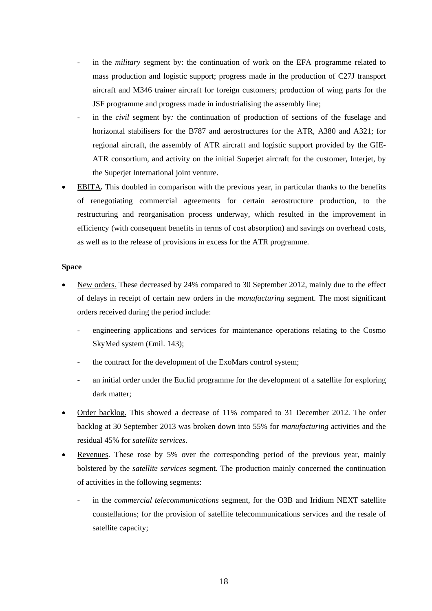- in the *military* segment by: the continuation of work on the EFA programme related to mass production and logistic support; progress made in the production of C27J transport aircraft and M346 trainer aircraft for foreign customers; production of wing parts for the JSF programme and progress made in industrialising the assembly line;
- in the *civil* segment by: the continuation of production of sections of the fuselage and horizontal stabilisers for the B787 and aerostructures for the ATR, A380 and A321; for regional aircraft, the assembly of ATR aircraft and logistic support provided by the GIE-ATR consortium, and activity on the initial Superjet aircraft for the customer, Interjet, by the Superjet International joint venture.
- EBITA**.** This doubled in comparison with the previous year, in particular thanks to the benefits of renegotiating commercial agreements for certain aerostructure production, to the restructuring and reorganisation process underway, which resulted in the improvement in efficiency (with consequent benefits in terms of cost absorption) and savings on overhead costs, as well as to the release of provisions in excess for the ATR programme.

#### **Space**

- New orders. These decreased by 24% compared to 30 September 2012, mainly due to the effect of delays in receipt of certain new orders in the *manufacturing* segment. The most significant orders received during the period include:
	- engineering applications and services for maintenance operations relating to the Cosmo SkyMed system (€mil. 143);
	- the contract for the development of the ExoMars control system;
	- an initial order under the Euclid programme for the development of a satellite for exploring dark matter;
- Order backlog. This showed a decrease of 11% compared to 31 December 2012. The order backlog at 30 September 2013 was broken down into 55% for *manufacturing* activities and the residual 45% for *satellite services*.
- Revenues. These rose by 5% over the corresponding period of the previous year, mainly bolstered by the *satellite services* segment. The production mainly concerned the continuation of activities in the following segments:
	- in the *commercial telecommunications* segment, for the O3B and Iridium NEXT satellite constellations; for the provision of satellite telecommunications services and the resale of satellite capacity;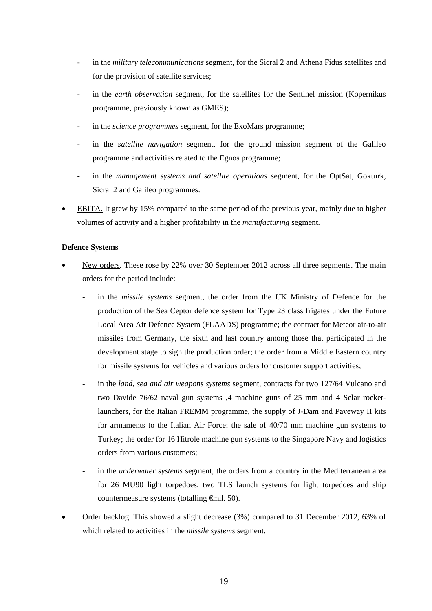- in the *military telecommunications* segment, for the Sicral 2 and Athena Fidus satellites and for the provision of satellite services;
- in the *earth observation* segment, for the satellites for the Sentinel mission (Kopernikus programme, previously known as GMES);
- in the *science programmes* segment, for the ExoMars programme;
- in the *satellite navigation* segment, for the ground mission segment of the Galileo programme and activities related to the Egnos programme;
- in the *management systems and satellite operations* segment, for the OptSat, Gokturk, Sicral 2 and Galileo programmes.
- EBITA. It grew by 15% compared to the same period of the previous year, mainly due to higher volumes of activity and a higher profitability in the *manufacturing* segment.

### **Defence Systems**

- New orders. These rose by 22% over 30 September 2012 across all three segments. The main orders for the period include:
	- in the *missile systems* segment, the order from the UK Ministry of Defence for the production of the Sea Ceptor defence system for Type 23 class frigates under the Future Local Area Air Defence System (FLAADS) programme; the contract for Meteor air-to-air missiles from Germany, the sixth and last country among those that participated in the development stage to sign the production order; the order from a Middle Eastern country for missile systems for vehicles and various orders for customer support activities;
	- in the *land, sea and air weapons systems* segment*,* contracts for two 127/64 Vulcano and two Davide 76/62 naval gun systems ,4 machine guns of 25 mm and 4 Sclar rocketlaunchers, for the Italian FREMM programme, the supply of J-Dam and Paveway II kits for armaments to the Italian Air Force; the sale of 40/70 mm machine gun systems to Turkey; the order for 16 Hitrole machine gun systems to the Singapore Navy and logistics orders from various customers;
	- in the *underwater systems* segment, the orders from a country in the Mediterranean area for 26 MU90 light torpedoes, two TLS launch systems for light torpedoes and ship countermeasure systems (totalling €mil. 50).
- Order backlog. This showed a slight decrease (3%) compared to 31 December 2012, 63% of which related to activities in the *missile systems* segment.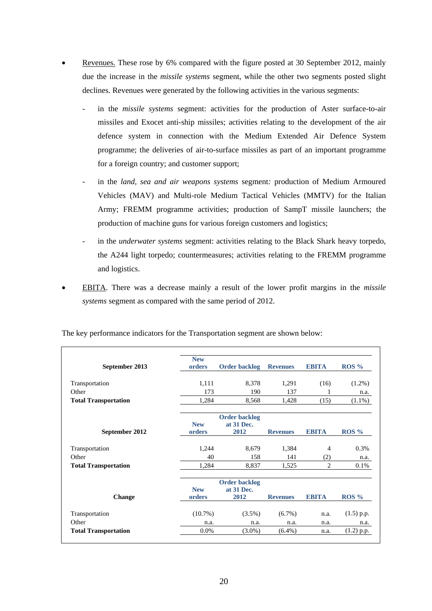- Revenues. These rose by 6% compared with the figure posted at 30 September 2012, mainly due the increase in the *missile systems* segment, while the other two segments posted slight declines*.* Revenues were generated by the following activities in the various segments:
	- in the *missile systems* segment: activities for the production of Aster surface-to-air missiles and Exocet anti-ship missiles; activities relating to the development of the air defence system in connection with the Medium Extended Air Defence System programme; the deliveries of air-to-surface missiles as part of an important programme for a foreign country; and customer support;
	- in the *land, sea and air weapons systems* segment*:* production of Medium Armoured Vehicles (MAV) and Multi-role Medium Tactical Vehicles (MMTV) for the Italian Army; FREMM programme activities; production of SampT missile launchers; the production of machine guns for various foreign customers and logistics;
	- in the *underwater systems* segment: activities relating to the Black Shark heavy torpedo, the A244 light torpedo; countermeasures; activities relating to the FREMM programme and logistics.
- EBITA. There was a decrease mainly a result of the lower profit margins in the *missile systems* segment as compared with the same period of 2012.

| September 2013              | <b>New</b><br>orders | <b>Order backlog</b>               | <b>Revenues</b> | <b>EBITA</b>   | $ROS\%$          |
|-----------------------------|----------------------|------------------------------------|-----------------|----------------|------------------|
| Transportation              | 1,111                | 8,378                              | 1,291           | (16)           | $(1.2\%)$        |
| Other                       | 173                  | 190                                | 137             |                | n.a.             |
| <b>Total Transportation</b> | 1,284                | 8,568                              | 1,428           | (15)           | $(1.1\%)$        |
|                             | <b>New</b>           | <b>Order backlog</b><br>at 31 Dec. |                 |                |                  |
| September 2012              | orders               | 2012                               | <b>Revenues</b> | <b>EBITA</b>   | ROS <sub>9</sub> |
| Transportation              | 1,244                | 8,679                              | 1,384           | 4              | 0.3%             |
| Other                       | 40                   | 158                                | 141             | (2)            | n.a.             |
| <b>Total Transportation</b> | 1,284                | 8,837                              | 1,525           | $\overline{2}$ | 0.1%             |
|                             |                      | <b>Order backlog</b>               |                 |                |                  |
| <b>Change</b>               | <b>New</b><br>orders | at 31 Dec.<br>2012                 | <b>Revenues</b> | <b>EBITA</b>   | ROS <sub>9</sub> |
| Transportation              | $(10.7\%)$           | $(3.5\%)$                          | $(6.7\%)$       | n.a.           | $(1.5)$ p.p.     |
| Other                       | n.a.                 | n.a.                               | n.a.            | n.a.           | n.a.             |
| <b>Total Transportation</b> | 0.0%                 | $(3.0\%)$                          | $(6.4\%)$       | n.a.           | $(1.2)$ p.p.     |

The key performance indicators for the Transportation segment are shown below: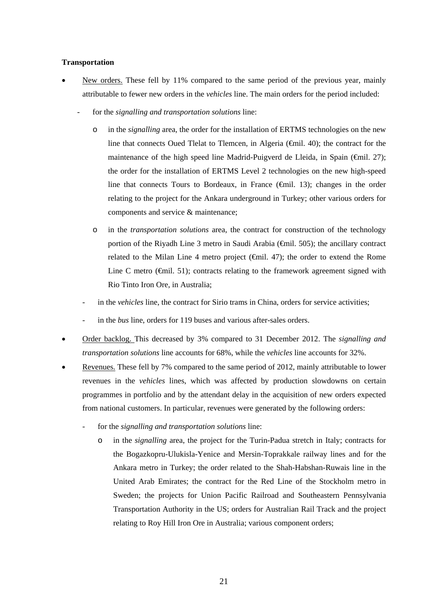# **Transportation**

- New orders. These fell by 11% compared to the same period of the previous year, mainly attributable to fewer new orders in the *vehicles* line. The main orders for the period included:
	- for the *signalling and transportation solutions* line:
		- o in the *signalling* area*,* the order for the installation of ERTMS technologies on the new line that connects Oued Tlelat to Tlemcen, in Algeria  $(\widehat{\mathsf{f}})$ ; the contract for the maintenance of the high speed line Madrid-Puigverd de Lleida, in Spain ( $\epsilon$ mil. 27); the order for the installation of ERTMS Level 2 technologies on the new high-speed line that connects Tours to Bordeaux, in France  $(\text{fmil. } 13)$ ; changes in the order relating to the project for the Ankara underground in Turkey; other various orders for components and service & maintenance;
		- o in the *transportation solutions* area, the contract for construction of the technology portion of the Riyadh Line 3 metro in Saudi Arabia (€mil. 505); the ancillary contract related to the Milan Line 4 metro project ( $\epsilon$ mil. 47); the order to extend the Rome Line C metro ( $\epsilon$ mil. 51); contracts relating to the framework agreement signed with Rio Tinto Iron Ore, in Australia;
		- in the *vehicles* line, the contract for Sirio trams in China, orders for service activities;
		- in the *bus* line, orders for 119 buses and various after-sales orders.
- Order backlog. This decreased by 3% compared to 31 December 2012. The *signalling and transportation solutions* line accounts for 68%, while the *vehicles* line accounts for 32%.
- Revenues. These fell by 7% compared to the same period of 2012, mainly attributable to lower revenues in the *vehicles* lines, which was affected by production slowdowns on certain programmes in portfolio and by the attendant delay in the acquisition of new orders expected from national customers. In particular, revenues were generated by the following orders:
	- for the *signalling and transportation solutions* line:
		- o in the *signalling* area, the project for the Turin-Padua stretch in Italy; contracts for the Bogazkopru-Ulukisla-Yenice and Mersin-Toprakkale railway lines and for the Ankara metro in Turkey; the order related to the Shah-Habshan-Ruwais line in the United Arab Emirates; the contract for the Red Line of the Stockholm metro in Sweden; the projects for Union Pacific Railroad and Southeastern Pennsylvania Transportation Authority in the US; orders for Australian Rail Track and the project relating to Roy Hill Iron Ore in Australia; various component orders;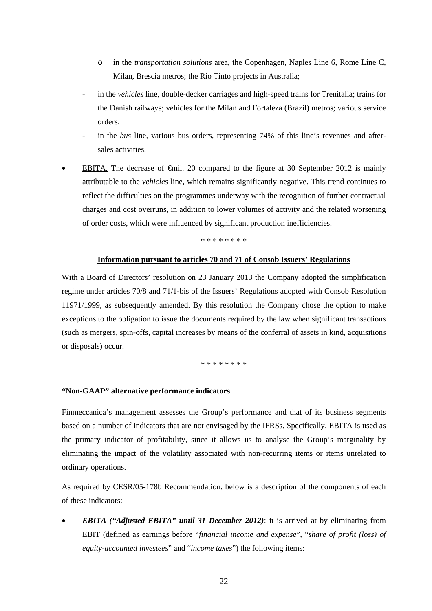- o in the *transportation solutions* area, the Copenhagen, Naples Line 6, Rome Line C, Milan, Brescia metros; the Rio Tinto projects in Australia;
- in the *vehicles* line, double-decker carriages and high-speed trains for Trenitalia; trains for the Danish railways; vehicles for the Milan and Fortaleza (Brazil) metros; various service orders;
- in the *bus* line, various bus orders, representing 74% of this line's revenues and aftersales activities.
- EBITA. The decrease of  $\epsilon$ mil. 20 compared to the figure at 30 September 2012 is mainly attributable to the *vehicles* line, which remains significantly negative. This trend continues to reflect the difficulties on the programmes underway with the recognition of further contractual charges and cost overruns, in addition to lower volumes of activity and the related worsening of order costs, which were influenced by significant production inefficiencies.

#### \* \* \* \* \* \* \* \*

# **Information pursuant to articles 70 and 71 of Consob Issuers' Regulations**

With a Board of Directors' resolution on 23 January 2013 the Company adopted the simplification regime under articles 70/8 and 71/1-bis of the Issuers' Regulations adopted with Consob Resolution 11971/1999, as subsequently amended. By this resolution the Company chose the option to make exceptions to the obligation to issue the documents required by the law when significant transactions (such as mergers, spin-offs, capital increases by means of the conferral of assets in kind, acquisitions or disposals) occur.

\* \* \* \* \* \* \* \*

# **"Non-GAAP" alternative performance indicators**

Finmeccanica's management assesses the Group's performance and that of its business segments based on a number of indicators that are not envisaged by the IFRSs. Specifically, EBITA is used as the primary indicator of profitability, since it allows us to analyse the Group's marginality by eliminating the impact of the volatility associated with non-recurring items or items unrelated to ordinary operations.

As required by CESR/05-178b Recommendation, below is a description of the components of each of these indicators:

 *EBITA ("Adjusted EBITA" until 31 December 2012)*: it is arrived at by eliminating from EBIT (defined as earnings before "*financial income and expense*", "*share of profit (loss) of equity-accounted investees*" and "*income taxes*") the following items: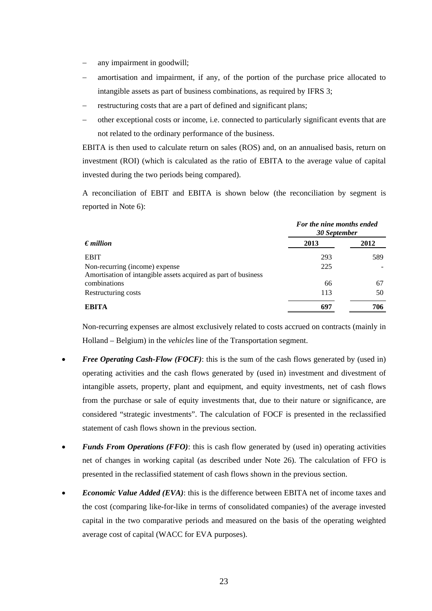- any impairment in goodwill;
- amortisation and impairment, if any, of the portion of the purchase price allocated to intangible assets as part of business combinations, as required by IFRS 3;
- restructuring costs that are a part of defined and significant plans;
- other exceptional costs or income, i.e. connected to particularly significant events that are not related to the ordinary performance of the business.

EBITA is then used to calculate return on sales (ROS) and, on an annualised basis, return on investment (ROI) (which is calculated as the ratio of EBITA to the average value of capital invested during the two periods being compared).

A reconciliation of EBIT and EBITA is shown below (the reconciliation by segment is reported in Note 6):

|                                                                | For the nine months ended<br>30 September |      |  |  |
|----------------------------------------------------------------|-------------------------------------------|------|--|--|
| $\epsilon$ <i>million</i>                                      | 2013                                      | 2012 |  |  |
| <b>EBIT</b>                                                    | 293                                       | 589  |  |  |
| Non-recurring (income) expense                                 | 225                                       |      |  |  |
| Amortisation of intangible assets acquired as part of business |                                           |      |  |  |
| combinations                                                   | 66                                        | 67   |  |  |
| Restructuring costs                                            | 113                                       | 50   |  |  |
| <b>EBITA</b>                                                   | 697                                       | 706  |  |  |

Non-recurring expenses are almost exclusively related to costs accrued on contracts (mainly in Holland – Belgium) in the *vehicles* line of the Transportation segment.

- *Free Operating Cash-Flow (FOCF)*: this is the sum of the cash flows generated by (used in) operating activities and the cash flows generated by (used in) investment and divestment of intangible assets, property, plant and equipment, and equity investments, net of cash flows from the purchase or sale of equity investments that, due to their nature or significance, are considered "strategic investments". The calculation of FOCF is presented in the reclassified statement of cash flows shown in the previous section.
- *Funds From Operations (FFO)*: this is cash flow generated by (used in) operating activities net of changes in working capital (as described under Note 26). The calculation of FFO is presented in the reclassified statement of cash flows shown in the previous section.
- *Economic Value Added (EVA)*: this is the difference between EBITA net of income taxes and the cost (comparing like-for-like in terms of consolidated companies) of the average invested capital in the two comparative periods and measured on the basis of the operating weighted average cost of capital (WACC for EVA purposes).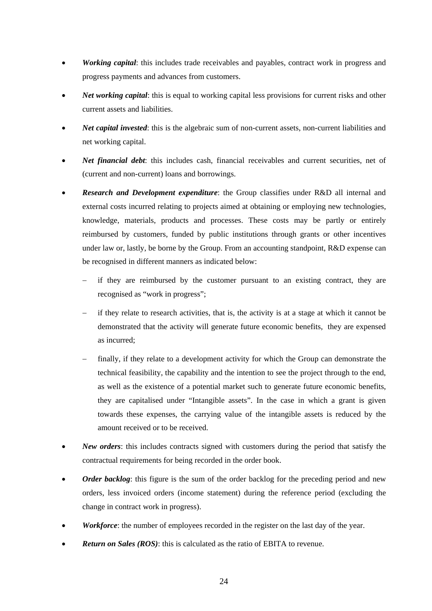- *Working capital*: this includes trade receivables and payables, contract work in progress and progress payments and advances from customers.
- *Net working capital*: this is equal to working capital less provisions for current risks and other current assets and liabilities.
- *Net capital invested*: this is the algebraic sum of non-current assets, non-current liabilities and net working capital.
- *Net financial debt*: this includes cash, financial receivables and current securities, net of (current and non-current) loans and borrowings.
- *Research and Development expenditure*: the Group classifies under R&D all internal and external costs incurred relating to projects aimed at obtaining or employing new technologies, knowledge, materials, products and processes. These costs may be partly or entirely reimbursed by customers, funded by public institutions through grants or other incentives under law or, lastly, be borne by the Group. From an accounting standpoint, R&D expense can be recognised in different manners as indicated below:
	- if they are reimbursed by the customer pursuant to an existing contract, they are recognised as "work in progress";
	- if they relate to research activities, that is, the activity is at a stage at which it cannot be demonstrated that the activity will generate future economic benefits, they are expensed as incurred;
	- finally, if they relate to a development activity for which the Group can demonstrate the technical feasibility, the capability and the intention to see the project through to the end, as well as the existence of a potential market such to generate future economic benefits, they are capitalised under "Intangible assets". In the case in which a grant is given towards these expenses, the carrying value of the intangible assets is reduced by the amount received or to be received.
- *New orders*: this includes contracts signed with customers during the period that satisfy the contractual requirements for being recorded in the order book.
- Order backlog: this figure is the sum of the order backlog for the preceding period and new orders, less invoiced orders (income statement) during the reference period (excluding the change in contract work in progress).
- *Workforce*: the number of employees recorded in the register on the last day of the year.
- *Return on Sales (ROS)*: this is calculated as the ratio of EBITA to revenue.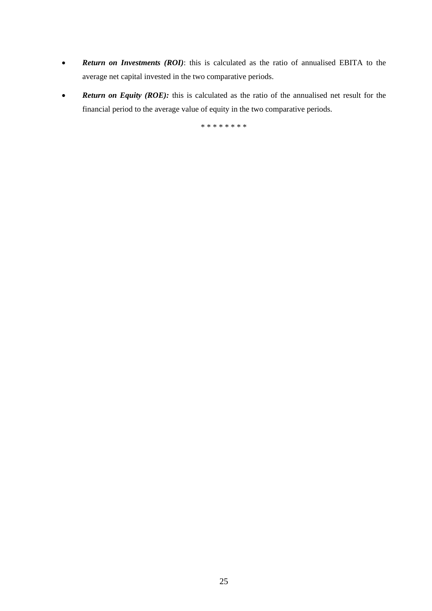- *Return on Investments (ROI)*: this is calculated as the ratio of annualised EBITA to the average net capital invested in the two comparative periods.
- **Return on Equity (ROE):** this is calculated as the ratio of the annualised net result for the financial period to the average value of equity in the two comparative periods.

\* \* \* \* \* \* \* \*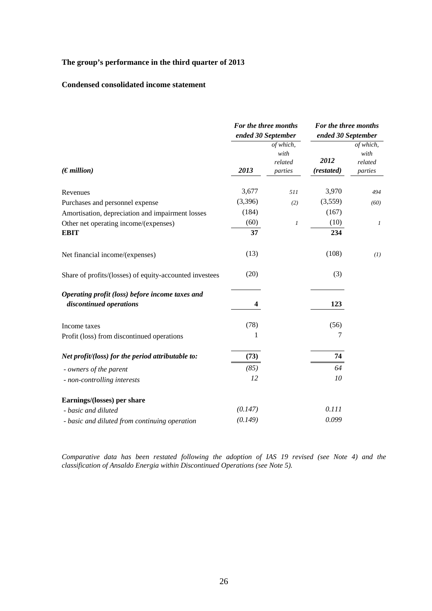# **The group's performance in the third quarter of 2013**

# **Condensed consolidated income statement**

|                                                                            |                         | For the three months<br>ended 30 September | For the three months<br>ended 30 September |                                         |  |
|----------------------------------------------------------------------------|-------------------------|--------------------------------------------|--------------------------------------------|-----------------------------------------|--|
| (Emillion)                                                                 | 2013                    | of which,<br>with<br>related<br>parties    | 2012<br>(restated)                         | of which,<br>with<br>related<br>parties |  |
| Revenues                                                                   | 3,677                   | 511                                        | 3,970                                      | 494                                     |  |
| Purchases and personnel expense                                            | (3,396)                 | (2)                                        | (3,559)                                    | (60)                                    |  |
| Amortisation, depreciation and impairment losses                           | (184)                   |                                            | (167)                                      |                                         |  |
| Other net operating income/(expenses)                                      | (60)                    | 1                                          | (10)                                       | $\boldsymbol{l}$                        |  |
| <b>EBIT</b>                                                                | 37                      |                                            | 234                                        |                                         |  |
| Net financial income/(expenses)                                            | (13)                    |                                            | (108)                                      | (1)                                     |  |
| Share of profits/(losses) of equity-accounted investees                    | (20)                    |                                            | (3)                                        |                                         |  |
| Operating profit (loss) before income taxes and<br>discontinued operations | $\overline{\mathbf{4}}$ |                                            | 123                                        |                                         |  |
| Income taxes                                                               | (78)                    |                                            | (56)                                       |                                         |  |
| Profit (loss) from discontinued operations                                 | 1                       |                                            | 7                                          |                                         |  |
| Net profit/(loss) for the period attributable to:                          | (73)                    |                                            | 74                                         |                                         |  |
| - owners of the parent                                                     | (85)                    |                                            | 64                                         |                                         |  |
| - non-controlling interests                                                | 12                      |                                            | 10                                         |                                         |  |
| Earnings/(losses) per share                                                |                         |                                            |                                            |                                         |  |
| - basic and diluted                                                        | (0.147)                 |                                            | 0.111                                      |                                         |  |
| - basic and diluted from continuing operation                              | (0.149)                 |                                            | 0.099                                      |                                         |  |

*Comparative data has been restated following the adoption of IAS 19 revised (see Note 4) and the classification of Ansaldo Energia within Discontinued Operations (see Note 5).*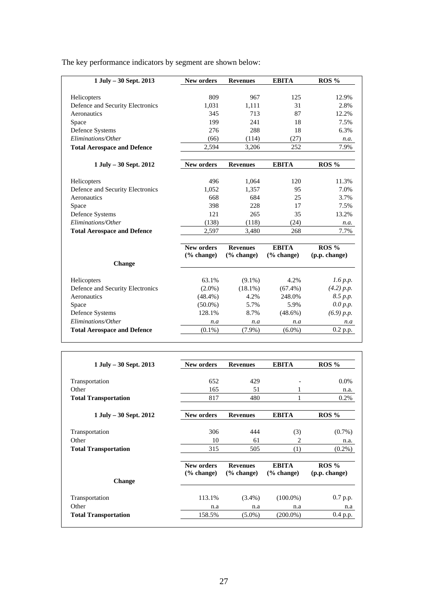| 1 July - 30 Sept. 2013             | <b>New orders</b> | <b>Revenues</b> | <b>EBITA</b>  | $ROS\%$       |
|------------------------------------|-------------------|-----------------|---------------|---------------|
|                                    |                   |                 |               |               |
| Helicopters                        | 809               | 967             | 125           | 12.9%         |
| Defence and Security Electronics   | 1.031             | 1.111           | 31            | 2.8%          |
| Aeronautics                        | 345               | 713             | 87            | 12.2%         |
| Space                              | 199               | 241             | 18            | 7.5%          |
| Defence Systems                    | 276               | 288             | 18            | 6.3%          |
| Eliminations/Other                 | (66)              | (114)           | (27)          | n.a.          |
| <b>Total Aerospace and Defence</b> | 2,594             | 3,206           | 252           | 7.9%          |
| $1$ July $-30$ Sept. 2012          | <b>New orders</b> | <b>Revenues</b> | <b>EBITA</b>  | $ROS\%$       |
| Helicopters                        | 496               | 1,064           | 120           | 11.3%         |
| Defence and Security Electronics   | 1.052             | 1.357           | 95            | 7.0%          |
| Aeronautics                        | 668               | 684             | 25            | 3.7%          |
| Space                              | 398               | 228             | 17            | 7.5%          |
| Defence Systems                    | 121               | 265             | 35            | 13.2%         |
| Eliminations/Other                 | (138)             | (118)           | (24)          | n.a.          |
| <b>Total Aerospace and Defence</b> | 2.597             | 3,480           | 268           | 7.7%          |
|                                    | <b>New orders</b> | <b>Revenues</b> | <b>EBITA</b>  | $ROS\%$       |
| <b>Change</b>                      | $(\%$ change)     | $(\%$ change)   | $(\%$ change) | (p.p. change) |
| Helicopters                        | 63.1%             | $(9.1\%)$       | 4.2%          | $1.6$ p.p.    |
| Defence and Security Electronics   | $(2.0\%)$         | $(18.1\%)$      | $(67.4\%)$    | (4.2) p.p.    |
| Aeronautics                        | $(48.4\%)$        | 4.2%            | 248.0%        | 8.5 p.p.      |
| Space                              | $(50.0\%)$        | 5.7%            | 5.9%          | 0.0 p.p.      |
| Defence Systems                    | 128.1%            | 8.7%            | $(48.6\%)$    | (6.9) p.p.    |
| Eliminations/Other                 | n.a               | n.a             | n.a           | n.a           |
| <b>Total Aerospace and Defence</b> | $(0.1\%)$         | $(7.9\%)$       | $(6.0\%)$     | 0.2 p.p.      |

The key performance indicators by segment are shown below:

| $1$ July $-30$ Sept. 2013   | New orders                          | <b>Revenues</b>              | <b>EBITA</b>              | $ROS\%$                |
|-----------------------------|-------------------------------------|------------------------------|---------------------------|------------------------|
| Transportation              | 652                                 | 429                          |                           | $0.0\%$                |
| Other                       | 165                                 | 51                           |                           | n.a.                   |
| <b>Total Transportation</b> | 817                                 | 480                          |                           | $0.2\%$                |
| $1$ July $-30$ Sept. 2012   | New orders                          | <b>Revenues</b>              | <b>EBITA</b>              | $ROS\%$                |
| Transportation              | 306                                 | 444                          | (3)                       | $(0.7\%)$              |
| Other                       | 10                                  | 61                           | 2                         | n.a.                   |
| <b>Total Transportation</b> | 315                                 | 505                          | (1)                       | $(0.2\%)$              |
|                             | New orders<br>$\frac{6}{6}$ change) | <b>Revenues</b><br>% change) | <b>EBITA</b><br>% change) | ROS %<br>(p.p. change) |
| <b>Change</b>               |                                     |                              |                           |                        |
| Transportation              | 113.1%                              | $(3.4\%)$                    | $(100.0\%)$               | 0.7 p.p.               |
| Other                       | n.a                                 | n.a                          | n.a                       | n.a                    |
| <b>Total Transportation</b> | 158.5%                              | $(5.0\%)$                    | $(200.0\%)$               | 0.4 p.p.               |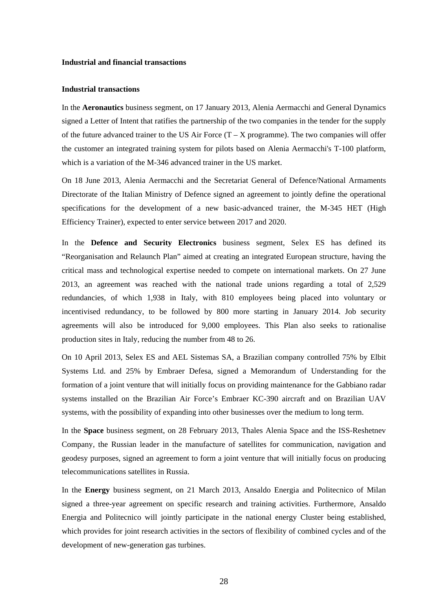#### **Industrial and financial transactions**

#### **Industrial transactions**

In the **Aeronautics** business segment, on 17 January 2013, Alenia Aermacchi and General Dynamics signed a Letter of Intent that ratifies the partnership of the two companies in the tender for the supply of the future advanced trainer to the US Air Force  $(T - X)$  programme). The two companies will offer the customer an integrated training system for pilots based on Alenia Aermacchi's T-100 platform, which is a variation of the M-346 advanced trainer in the US market.

On 18 June 2013, Alenia Aermacchi and the Secretariat General of Defence/National Armaments Directorate of the Italian Ministry of Defence signed an agreement to jointly define the operational specifications for the development of a new basic-advanced trainer, the M-345 HET (High Efficiency Trainer), expected to enter service between 2017 and 2020.

In the **Defence and Security Electronics** business segment, Selex ES has defined its "Reorganisation and Relaunch Plan" aimed at creating an integrated European structure, having the critical mass and technological expertise needed to compete on international markets. On 27 June 2013, an agreement was reached with the national trade unions regarding a total of 2,529 redundancies, of which 1,938 in Italy, with 810 employees being placed into voluntary or incentivised redundancy, to be followed by 800 more starting in January 2014. Job security agreements will also be introduced for 9,000 employees. This Plan also seeks to rationalise production sites in Italy, reducing the number from 48 to 26.

On 10 April 2013, Selex ES and AEL Sistemas SA, a Brazilian company controlled 75% by Elbit Systems Ltd. and 25% by Embraer Defesa, signed a Memorandum of Understanding for the formation of a joint venture that will initially focus on providing maintenance for the Gabbiano radar systems installed on the Brazilian Air Force's Embraer KC-390 aircraft and on Brazilian UAV systems, with the possibility of expanding into other businesses over the medium to long term.

In the **Space** business segment, on 28 February 2013, Thales Alenia Space and the ISS-Reshetnev Company, the Russian leader in the manufacture of satellites for communication, navigation and geodesy purposes, signed an agreement to form a joint venture that will initially focus on producing telecommunications satellites in Russia.

In the **Energy** business segment, on 21 March 2013, Ansaldo Energia and Politecnico of Milan signed a three-year agreement on specific research and training activities. Furthermore, Ansaldo Energia and Politecnico will jointly participate in the national energy Cluster being established, which provides for joint research activities in the sectors of flexibility of combined cycles and of the development of new-generation gas turbines.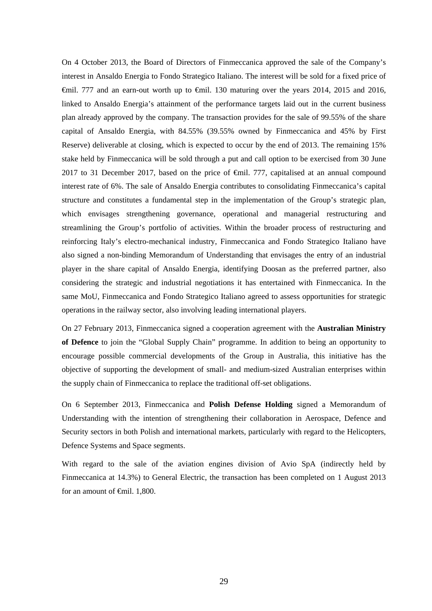On 4 October 2013, the Board of Directors of Finmeccanica approved the sale of the Company's interest in Ansaldo Energia to Fondo Strategico Italiano. The interest will be sold for a fixed price of  $\epsilon$ mil. 777 and an earn-out worth up to  $\epsilon$ mil. 130 maturing over the years 2014, 2015 and 2016, linked to Ansaldo Energia's attainment of the performance targets laid out in the current business plan already approved by the company. The transaction provides for the sale of 99.55% of the share capital of Ansaldo Energia, with 84.55% (39.55% owned by Finmeccanica and 45% by First Reserve) deliverable at closing, which is expected to occur by the end of 2013. The remaining 15% stake held by Finmeccanica will be sold through a put and call option to be exercised from 30 June 2017 to 31 December 2017, based on the price of €mil. 777, capitalised at an annual compound interest rate of 6%. The sale of Ansaldo Energia contributes to consolidating Finmeccanica's capital structure and constitutes a fundamental step in the implementation of the Group's strategic plan, which envisages strengthening governance, operational and managerial restructuring and streamlining the Group's portfolio of activities. Within the broader process of restructuring and reinforcing Italy's electro-mechanical industry, Finmeccanica and Fondo Strategico Italiano have also signed a non-binding Memorandum of Understanding that envisages the entry of an industrial player in the share capital of Ansaldo Energia, identifying Doosan as the preferred partner, also considering the strategic and industrial negotiations it has entertained with Finmeccanica. In the same MoU, Finmeccanica and Fondo Strategico Italiano agreed to assess opportunities for strategic operations in the railway sector, also involving leading international players.

On 27 February 2013, Finmeccanica signed a cooperation agreement with the **Australian Ministry of Defence** to join the "Global Supply Chain" programme. In addition to being an opportunity to encourage possible commercial developments of the Group in Australia, this initiative has the objective of supporting the development of small- and medium-sized Australian enterprises within the supply chain of Finmeccanica to replace the traditional off-set obligations.

On 6 September 2013, Finmeccanica and **Polish Defense Holding** signed a Memorandum of Understanding with the intention of strengthening their collaboration in Aerospace, Defence and Security sectors in both Polish and international markets, particularly with regard to the Helicopters, Defence Systems and Space segments.

With regard to the sale of the aviation engines division of Avio SpA (indirectly held by Finmeccanica at 14.3%) to General Electric, the transaction has been completed on 1 August 2013 for an amount of <del>€</del>mil. 1,800.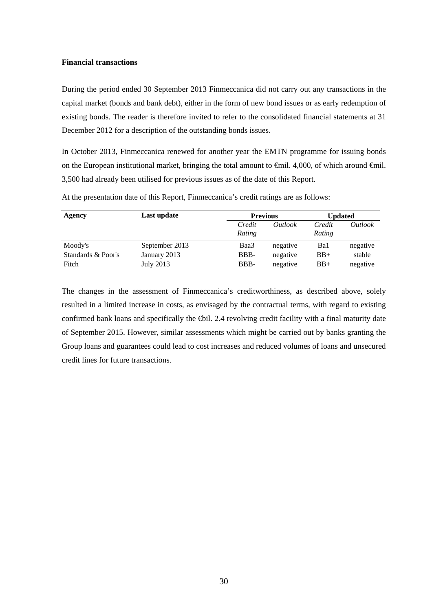### **Financial transactions**

During the period ended 30 September 2013 Finmeccanica did not carry out any transactions in the capital market (bonds and bank debt), either in the form of new bond issues or as early redemption of existing bonds. The reader is therefore invited to refer to the consolidated financial statements at 31 December 2012 for a description of the outstanding bonds issues.

In October 2013, Finmeccanica renewed for another year the EMTN programme for issuing bonds on the European institutional market, bringing the total amount to €mil. 4,000, of which around €mil. 3,500 had already been utilised for previous issues as of the date of this Report.

| Agency             | Last update    | <b>Previous</b>  |                | Updated          |                |
|--------------------|----------------|------------------|----------------|------------------|----------------|
|                    |                | Credit<br>Rating | <i>Outlook</i> | Credit<br>Rating | <i>Outlook</i> |
| Moody's            | September 2013 | Baa3             | negative       | Ba1              | negative       |
| Standards & Poor's | January 2013   | BBB-             | negative       | $BB+$            | stable         |
| Fitch              | July 2013      | BBB-             | negative       | $BB+$            | negative       |

At the presentation date of this Report, Finmeccanica's credit ratings are as follows:

The changes in the assessment of Finmeccanica's creditworthiness, as described above, solely resulted in a limited increase in costs, as envisaged by the contractual terms, with regard to existing confirmed bank loans and specifically the ⊕il. 2.4 revolving credit facility with a final maturity date of September 2015. However, similar assessments which might be carried out by banks granting the Group loans and guarantees could lead to cost increases and reduced volumes of loans and unsecured credit lines for future transactions.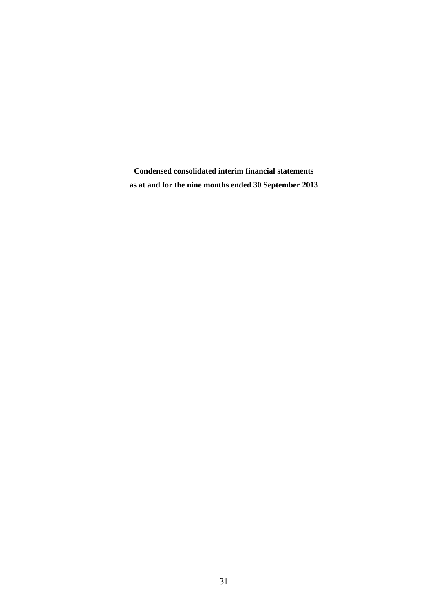**Condensed consolidated interim financial statements as at and for the nine months ended 30 September 2013**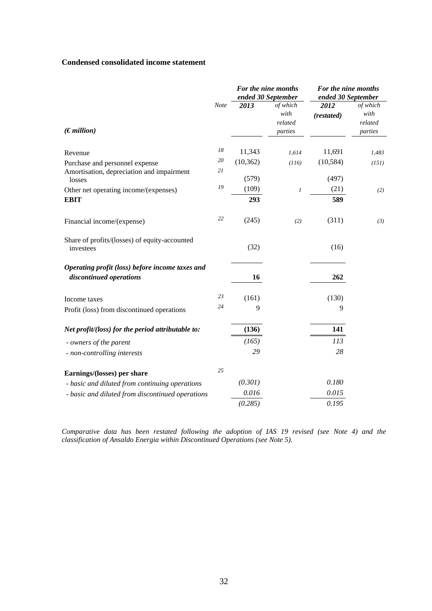# **Condensed consolidated income statement**

|                                                                            |             |              | For the nine months<br>ended 30 September | For the nine months<br>ended 30 September |                                        |  |
|----------------------------------------------------------------------------|-------------|--------------|-------------------------------------------|-------------------------------------------|----------------------------------------|--|
| (Emillion)                                                                 | <b>Note</b> | 2013         | of which<br>with<br>related<br>parties    | 2012<br>(restated)                        | of which<br>with<br>related<br>parties |  |
| Revenue                                                                    | 18          | 11,343       | 1,614                                     | 11,691                                    | 1,483                                  |  |
| Purchase and personnel expense                                             | 20<br>21    | (10, 362)    | (116)                                     | (10, 584)                                 | (151)                                  |  |
| Amortisation, depreciation and impairment<br>losses                        |             | (579)        |                                           | (497)                                     |                                        |  |
| Other net operating income/(expenses)<br><b>EBIT</b>                       | 19          | (109)<br>293 | $\boldsymbol{l}$                          | (21)<br>589                               | (2)                                    |  |
|                                                                            |             |              |                                           |                                           |                                        |  |
| Financial income/(expense)                                                 | 22          | (245)        | (2)                                       | (311)                                     | (3)                                    |  |
| Share of profits/(losses) of equity-accounted<br>investees                 |             | (32)         |                                           | (16)                                      |                                        |  |
| Operating profit (loss) before income taxes and<br>discontinued operations |             | 16           |                                           | 262                                       |                                        |  |
| Income taxes                                                               | 23          | (161)        |                                           | (130)                                     |                                        |  |
| Profit (loss) from discontinued operations                                 | 24          | 9            |                                           | 9                                         |                                        |  |
| Net profit/(loss) for the period attributable to:                          |             | (136)        |                                           | 141                                       |                                        |  |
| - owners of the parent                                                     |             | (165)        |                                           | 113                                       |                                        |  |
| - non-controlling interests                                                |             | 29           |                                           | 28                                        |                                        |  |
| Earnings/(losses) per share                                                | 25          |              |                                           |                                           |                                        |  |
| - basic and diluted from continuing operations                             |             | (0.301)      |                                           | 0.180                                     |                                        |  |
| - basic and diluted from discontinued operations                           |             | 0.016        |                                           | 0.015                                     |                                        |  |
|                                                                            |             | (0.285)      |                                           | 0.195                                     |                                        |  |

*Comparative data has been restated following the adoption of IAS 19 revised (see Note 4) and the classification of Ansaldo Energia within Discontinued Operations (see Note 5).*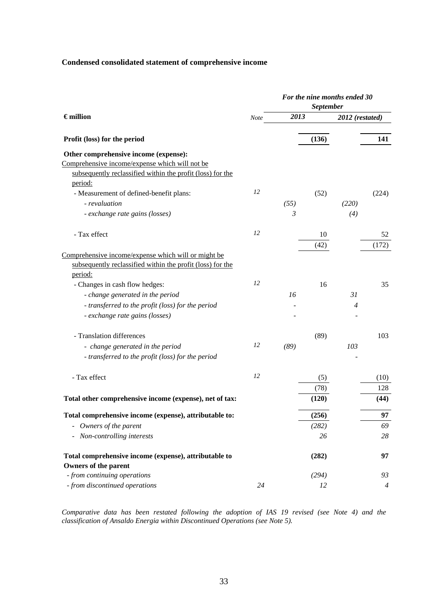# **Condensed consolidated statement of comprehensive income**

|                                                            |             | For the nine months ended 30 |                  |                 |                |
|------------------------------------------------------------|-------------|------------------------------|------------------|-----------------|----------------|
|                                                            |             |                              | <b>September</b> |                 |                |
| $\epsilon$ million                                         | <b>Note</b> | 2013                         |                  | 2012 (restated) |                |
| Profit (loss) for the period                               |             |                              | (136)            |                 | 141            |
| Other comprehensive income (expense):                      |             |                              |                  |                 |                |
| Comprehensive income/expense which will not be             |             |                              |                  |                 |                |
| subsequently reclassified within the profit (loss) for the |             |                              |                  |                 |                |
| period:                                                    |             |                              |                  |                 |                |
| - Measurement of defined-benefit plans:                    | 12          |                              | (52)             |                 | (224)          |
| - revaluation                                              |             | (55)                         |                  | (220)           |                |
| - exchange rate gains (losses)                             |             | $\mathfrak{Z}$               |                  | (4)             |                |
| - Tax effect                                               | 12          |                              | 10               |                 | 52             |
|                                                            |             |                              | (42)             |                 | (172)          |
| Comprehensive income/expense which will or might be        |             |                              |                  |                 |                |
| subsequently reclassified within the profit (loss) for the |             |                              |                  |                 |                |
| period:                                                    |             |                              |                  |                 |                |
| - Changes in cash flow hedges:                             | 12          |                              | 16               |                 | 35             |
| - change generated in the period                           |             | 16                           |                  | 31              |                |
| - transferred to the profit (loss) for the period          |             |                              |                  | $\overline{4}$  |                |
| - exchange rate gains (losses)                             |             |                              |                  |                 |                |
| - Translation differences                                  |             |                              | (89)             |                 | 103            |
| - change generated in the period                           | 12          | (89)                         |                  | 103             |                |
| - transferred to the profit (loss) for the period          |             |                              |                  |                 |                |
| - Tax effect                                               | 12          |                              | (5)              |                 | (10)           |
|                                                            |             |                              | (78)             |                 | 128            |
| Total other comprehensive income (expense), net of tax:    |             |                              | (120)            |                 | (44)           |
| Total comprehensive income (expense), attributable to:     |             |                              | (256)            |                 | 97             |
| Owners of the parent                                       |             |                              | (282)            |                 | 69             |
| Non-controlling interests                                  |             |                              | 26               |                 | 28             |
| Total comprehensive income (expense), attributable to      |             |                              | (282)            |                 | 97             |
| <b>Owners of the parent</b>                                |             |                              |                  |                 |                |
| - from continuing operations                               |             |                              | (294)            |                 | 93             |
| - from discontinued operations                             | 24          |                              | 12               |                 | $\overline{4}$ |

*Comparative data has been restated following the adoption of IAS 19 revised (see Note 4) and the classification of Ansaldo Energia within Discontinued Operations (see Note 5).*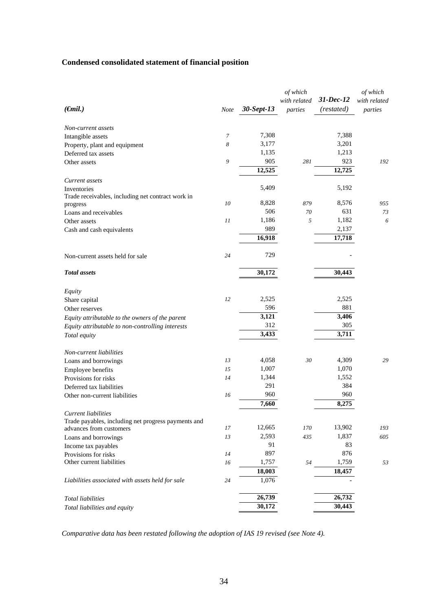# **Condensed consolidated statement of financial position**

|                                                     |             |            | of which<br>with related | 31-Dec-12  | of which<br>with related |
|-----------------------------------------------------|-------------|------------|--------------------------|------------|--------------------------|
| $(\epsilon$ mil.)                                   | <b>Note</b> | 30-Sept-13 | parties                  | (restated) | parties                  |
| Non-current assets                                  |             |            |                          |            |                          |
| Intangible assets                                   | 7           | 7,308      |                          | 7,388      |                          |
| Property, plant and equipment                       | 8           | 3,177      |                          | 3,201      |                          |
| Deferred tax assets                                 |             | 1,135      |                          | 1,213      |                          |
| Other assets                                        | 9           | 905        | 281                      | 923        | 192                      |
|                                                     |             | 12,525     |                          | 12,725     |                          |
| Current assets                                      |             |            |                          |            |                          |
| Inventories                                         |             | 5,409      |                          | 5,192      |                          |
| Trade receivables, including net contract work in   |             |            |                          |            |                          |
| progress                                            | 10          | 8,828      | 879                      | 8,576      | 955                      |
| Loans and receivables                               |             | 506        | 70                       | 631        | 73                       |
| Other assets                                        | 11          | 1,186      | 5                        | 1,182      | 6                        |
| Cash and cash equivalents                           |             | 989        |                          | 2,137      |                          |
|                                                     |             | 16,918     |                          | 17,718     |                          |
| Non-current assets held for sale                    | 24          | 729        |                          |            |                          |
| <b>Total</b> assets                                 |             | 30,172     |                          | 30,443     |                          |
| Equity                                              |             |            |                          |            |                          |
| Share capital                                       | 12          | 2,525      |                          | 2,525      |                          |
| Other reserves                                      |             | 596        |                          | 881        |                          |
| Equity attributable to the owners of the parent     |             | 3,121      |                          | 3,406      |                          |
| Equity attributable to non-controlling interests    |             | 312        |                          | 305        |                          |
| Total equity                                        |             | 3,433      |                          | 3,711      |                          |
| Non-current liabilities                             |             |            |                          |            |                          |
| Loans and borrowings                                | 13          | 4,058      | 30                       | 4,309      | 29                       |
| Employee benefits                                   | 15          | 1,007      |                          | 1,070      |                          |
| Provisions for risks                                | 14          | 1,344      |                          | 1,552      |                          |
| Deferred tax liabilities                            |             | 291        |                          | 384        |                          |
| Other non-current liabilities                       | 16          | 960        |                          | 960        |                          |
|                                                     |             | 7,660      |                          | 8,275      |                          |
| <b>Current liabilities</b>                          |             |            |                          |            |                          |
| Trade payables, including net progress payments and |             |            |                          |            |                          |
| advances from customers                             | 17          | 12,665     | 170                      | 13,902     | 193                      |
| Loans and borrowings                                | 13          | 2,593      | 435                      | 1,837      | 605                      |
| Income tax payables                                 |             | 91         |                          | 83         |                          |
| Provisions for risks                                | 14          | 897        |                          | 876        |                          |
| Other current liabilities                           | 16          | 1,757      | 54                       | 1,759      | 53                       |
|                                                     |             | 18,003     |                          | 18,457     |                          |
| Liabilities associated with assets held for sale    | 24          | 1,076      |                          |            |                          |
| <b>Total liabilities</b>                            |             | 26,739     |                          | 26,732     |                          |
| Total liabilities and equity                        |             | 30,172     |                          | 30,443     |                          |

*Comparative data has been restated following the adoption of IAS 19 revised (see Note 4).*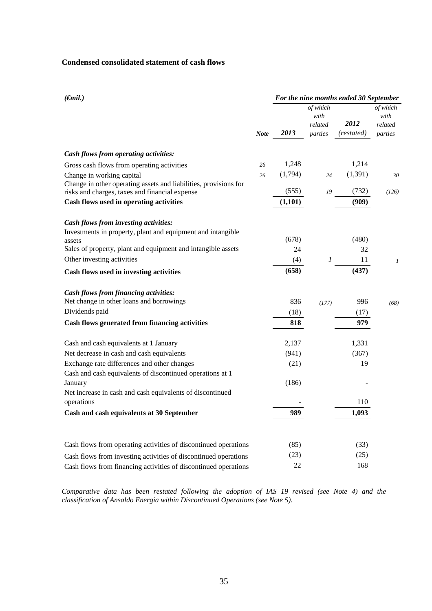# **Condensed consolidated statement of cash flows**

| $(\epsilon mil.)$                                                |             |         |                                        | For the nine months ended 30 September |                                        |
|------------------------------------------------------------------|-------------|---------|----------------------------------------|----------------------------------------|----------------------------------------|
|                                                                  | <b>Note</b> | 2013    | of which<br>with<br>related<br>parties | 2012<br>(restated)                     | of which<br>with<br>related<br>parties |
| Cash flows from operating activities:                            |             |         |                                        |                                        |                                        |
| Gross cash flows from operating activities                       | 26          | 1,248   |                                        | 1,214                                  |                                        |
| Change in working capital                                        | 26          | (1,794) | 24                                     | (1, 391)                               | 30                                     |
| Change in other operating assets and liabilities, provisions for |             |         |                                        |                                        |                                        |
| risks and charges, taxes and financial expense                   |             | (555)   | 19                                     | (732)                                  | (126)                                  |
| Cash flows used in operating activities                          |             | (1,101) |                                        | (909)                                  |                                        |
| Cash flows from investing activities:                            |             |         |                                        |                                        |                                        |
| Investments in property, plant and equipment and intangible      |             |         |                                        |                                        |                                        |
| assets                                                           |             | (678)   |                                        | (480)                                  |                                        |
| Sales of property, plant and equipment and intangible assets     |             | 24      |                                        | 32                                     |                                        |
| Other investing activities                                       |             | (4)     | 1                                      | 11                                     | $\mathcal{I}$                          |
| Cash flows used in investing activities                          |             | (658)   |                                        | (437)                                  |                                        |
| <b>Cash flows from financing activities:</b>                     |             |         |                                        |                                        |                                        |
| Net change in other loans and borrowings                         |             | 836     | (177)                                  | 996                                    | (68)                                   |
| Dividends paid                                                   |             | (18)    |                                        | (17)                                   |                                        |
| Cash flows generated from financing activities                   |             | 818     |                                        | 979                                    |                                        |
| Cash and cash equivalents at 1 January                           |             | 2,137   |                                        | 1,331                                  |                                        |
| Net decrease in cash and cash equivalents                        |             | (941)   |                                        | (367)                                  |                                        |
| Exchange rate differences and other changes                      |             | (21)    |                                        | 19                                     |                                        |
| Cash and cash equivalents of discontinued operations at 1        |             |         |                                        |                                        |                                        |
| January                                                          |             | (186)   |                                        |                                        |                                        |
| Net increase in cash and cash equivalents of discontinued        |             |         |                                        |                                        |                                        |
| operations                                                       |             |         |                                        | 110                                    |                                        |
| Cash and cash equivalents at 30 September                        |             | 989     |                                        | 1,093                                  |                                        |
|                                                                  |             |         |                                        |                                        |                                        |
| Cash flows from operating activities of discontinued operations  |             | (85)    |                                        | (33)                                   |                                        |
| Cash flows from investing activities of discontinued operations  |             | (23)    |                                        | (25)                                   |                                        |
| Cash flows from financing activities of discontinued operations  |             | 22      |                                        | 168                                    |                                        |

*Comparative data has been restated following the adoption of IAS 19 revised (see Note 4) and the classification of Ansaldo Energia within Discontinued Operations (see Note 5).*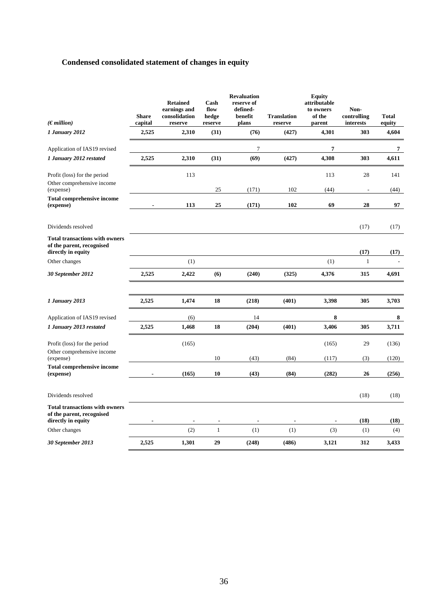# **Condensed consolidated statement of changes in equity**

| (Emillion)                                                                               | <b>Share</b><br>capital | <b>Retained</b><br>earnings and<br>consolidation<br>reserve | Cash<br>flow<br>hedge<br>reserve | <b>Revaluation</b><br>reserve of<br>defined-<br>benefit<br>plans | <b>Translation</b><br>reserve | <b>Equity</b><br>attributable<br>to owners<br>of the<br>parent | Non-<br>controlling<br>interests | <b>Total</b><br>equity |
|------------------------------------------------------------------------------------------|-------------------------|-------------------------------------------------------------|----------------------------------|------------------------------------------------------------------|-------------------------------|----------------------------------------------------------------|----------------------------------|------------------------|
| 1 January 2012                                                                           | 2,525                   | 2,310                                                       | (31)                             | (76)                                                             | (427)                         | 4,301                                                          | 303                              | 4,604                  |
| Application of IAS19 revised                                                             |                         |                                                             |                                  | $\overline{7}$                                                   |                               | 7                                                              |                                  | 7                      |
| 1 January 2012 restated                                                                  | 2,525                   | 2,310                                                       | (31)                             | (69)                                                             | (427)                         | 4,308                                                          | 303                              | 4,611                  |
| Profit (loss) for the period                                                             |                         | 113                                                         |                                  |                                                                  |                               | 113                                                            | 28                               | 141                    |
| Other comprehensive income<br>(expense)                                                  |                         |                                                             | 25                               | (171)                                                            | 102                           | (44)                                                           | $\overline{\phantom{a}}$         | (44)                   |
| <b>Total comprehensive income</b><br>(expense)                                           |                         | 113                                                         | 25                               | (171)                                                            | 102                           | 69                                                             | 28                               | 97                     |
| Dividends resolved                                                                       |                         |                                                             |                                  |                                                                  |                               |                                                                | (17)                             | (17)                   |
| <b>Total transactions with owners</b><br>of the parent, recognised<br>directly in equity |                         |                                                             |                                  |                                                                  |                               |                                                                | (17)                             | (17)                   |
| Other changes                                                                            |                         | (1)                                                         |                                  |                                                                  |                               | (1)                                                            | $\mathbf{1}$                     |                        |
| 30 September 2012                                                                        | 2,525                   | 2,422                                                       | (6)                              | (240)                                                            | (325)                         | 4,376                                                          | 315                              | 4,691                  |
|                                                                                          |                         |                                                             |                                  |                                                                  |                               |                                                                |                                  |                        |
| 1 January 2013                                                                           | 2,525                   | 1,474                                                       | 18                               | (218)                                                            | (401)                         | 3,398                                                          | 305                              | 3,703                  |
| Application of IAS19 revised                                                             |                         | (6)                                                         |                                  | 14                                                               |                               | 8                                                              |                                  | 8                      |
| 1 January 2013 restated                                                                  | 2,525                   | 1,468                                                       | 18                               | (204)                                                            | (401)                         | 3,406                                                          | 305                              | 3,711                  |
| Profit (loss) for the period                                                             |                         | (165)                                                       |                                  |                                                                  |                               | (165)                                                          | 29                               | (136)                  |
| Other comprehensive income<br>(expense)                                                  |                         |                                                             | 10                               | (43)                                                             | (84)                          | (117)                                                          | (3)                              | (120)                  |
| <b>Total comprehensive income</b><br>(expense)                                           |                         | (165)                                                       | 10                               | (43)                                                             | (84)                          | (282)                                                          | 26                               | (256)                  |
| Dividends resolved                                                                       |                         |                                                             |                                  |                                                                  |                               |                                                                | (18)                             | (18)                   |
| <b>Total transactions with owners</b><br>of the parent, recognised<br>directly in equity |                         |                                                             |                                  |                                                                  |                               |                                                                | (18)                             | (18)                   |
| Other changes                                                                            |                         | (2)                                                         | $\mathbf{1}$                     | (1)                                                              | (1)                           | (3)                                                            | (1)                              | (4)                    |
| 30 September 2013                                                                        | 2,525                   | 1,301                                                       | 29                               | (248)                                                            | (486)                         | 3,121                                                          | 312                              | 3,433                  |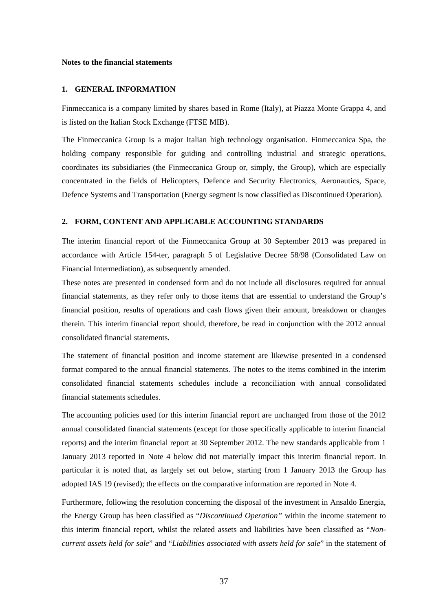#### **Notes to the financial statements**

### **1. GENERAL INFORMATION**

Finmeccanica is a company limited by shares based in Rome (Italy), at Piazza Monte Grappa 4, and is listed on the Italian Stock Exchange (FTSE MIB).

The Finmeccanica Group is a major Italian high technology organisation. Finmeccanica Spa, the holding company responsible for guiding and controlling industrial and strategic operations, coordinates its subsidiaries (the Finmeccanica Group or, simply, the Group), which are especially concentrated in the fields of Helicopters, Defence and Security Electronics, Aeronautics, Space, Defence Systems and Transportation (Energy segment is now classified as Discontinued Operation).

#### **2. FORM, CONTENT AND APPLICABLE ACCOUNTING STANDARDS**

The interim financial report of the Finmeccanica Group at 30 September 2013 was prepared in accordance with Article 154-ter, paragraph 5 of Legislative Decree 58/98 (Consolidated Law on Financial Intermediation), as subsequently amended.

These notes are presented in condensed form and do not include all disclosures required for annual financial statements, as they refer only to those items that are essential to understand the Group's financial position, results of operations and cash flows given their amount, breakdown or changes therein. This interim financial report should, therefore, be read in conjunction with the 2012 annual consolidated financial statements.

The statement of financial position and income statement are likewise presented in a condensed format compared to the annual financial statements. The notes to the items combined in the interim consolidated financial statements schedules include a reconciliation with annual consolidated financial statements schedules.

The accounting policies used for this interim financial report are unchanged from those of the 2012 annual consolidated financial statements (except for those specifically applicable to interim financial reports) and the interim financial report at 30 September 2012. The new standards applicable from 1 January 2013 reported in Note 4 below did not materially impact this interim financial report. In particular it is noted that, as largely set out below, starting from 1 January 2013 the Group has adopted IAS 19 (revised); the effects on the comparative information are reported in Note 4.

Furthermore, following the resolution concerning the disposal of the investment in Ansaldo Energia, the Energy Group has been classified as "*Discontinued Operation"* within the income statement to this interim financial report, whilst the related assets and liabilities have been classified as "*Noncurrent assets held for sale*" and "*Liabilities associated with assets held for sale*" in the statement of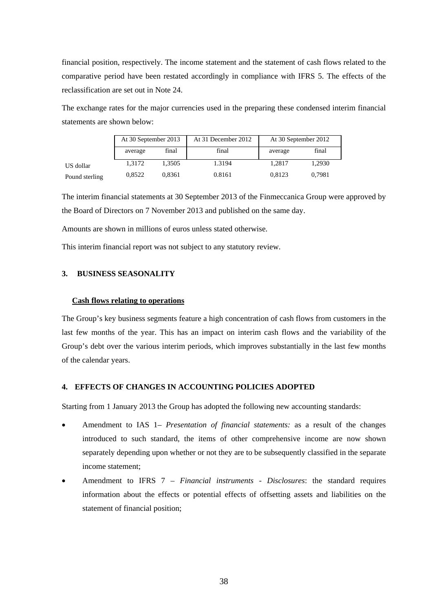financial position, respectively. The income statement and the statement of cash flows related to the comparative period have been restated accordingly in compliance with IFRS 5. The effects of the reclassification are set out in Note 24.

The exchange rates for the major currencies used in the preparing these condensed interim financial statements are shown below:

|                | At 30 September 2013 |        | At 31 December 2012 | At 30 September 2012 |        |
|----------------|----------------------|--------|---------------------|----------------------|--------|
|                | average              | final  | final               | average              | final  |
| US dollar      | 1.3172               | 1.3505 | 1.3194              | 1.2817               | 1.2930 |
| Pound sterling | 0.8522               | 0.8361 | 0.8161              | 0.8123               | 0.7981 |

The interim financial statements at 30 September 2013 of the Finmeccanica Group were approved by the Board of Directors on 7 November 2013 and published on the same day.

Amounts are shown in millions of euros unless stated otherwise.

This interim financial report was not subject to any statutory review.

## **3. BUSINESS SEASONALITY**

#### **Cash flows relating to operations**

The Group's key business segments feature a high concentration of cash flows from customers in the last few months of the year. This has an impact on interim cash flows and the variability of the Group's debt over the various interim periods, which improves substantially in the last few months of the calendar years.

## **4. EFFECTS OF CHANGES IN ACCOUNTING POLICIES ADOPTED**

Starting from 1 January 2013 the Group has adopted the following new accounting standards:

- Amendment to IAS 1 *Presentation of financial statements:* as a result of the changes introduced to such standard, the items of other comprehensive income are now shown separately depending upon whether or not they are to be subsequently classified in the separate income statement;
- Amendment to IFRS 7 *Financial instruments Disclosures*: the standard requires information about the effects or potential effects of offsetting assets and liabilities on the statement of financial position;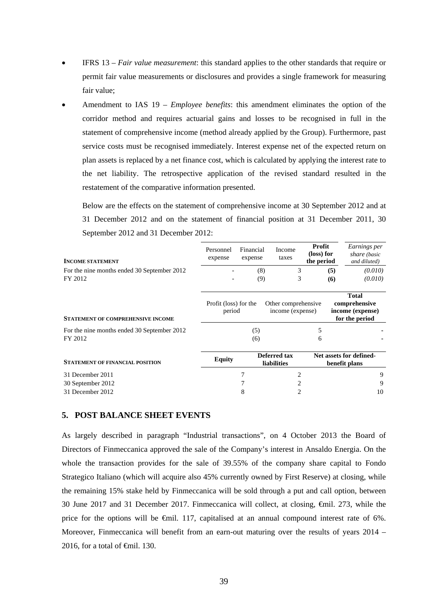- IFRS 13 *Fair value measurement*: this standard applies to the other standards that require or permit fair value measurements or disclosures and provides a single framework for measuring fair value;
- Amendment to IAS 19 *Employee benefits*: this amendment eliminates the option of the corridor method and requires actuarial gains and losses to be recognised in full in the statement of comprehensive income (method already applied by the Group). Furthermore, past service costs must be recognised immediately. Interest expense net of the expected return on plan assets is replaced by a net finance cost, which is calculated by applying the interest rate to the net liability. The retrospective application of the revised standard resulted in the restatement of the comparative information presented.

Below are the effects on the statement of comprehensive income at 30 September 2012 and at 31 December 2012 and on the statement of financial position at 31 December 2011, 30 September 2012 and 31 December 2012:

| <b>INCOME STATEMENT</b>                     | Personnel<br>expense            | Financial<br>expense | Income<br>taxes                                                                                                                                                 | Profit<br>(loss) for<br>the period | Earnings per<br>share (basic<br>and diluted)                        |
|---------------------------------------------|---------------------------------|----------------------|-----------------------------------------------------------------------------------------------------------------------------------------------------------------|------------------------------------|---------------------------------------------------------------------|
| For the nine months ended 30 September 2012 |                                 | (8)                  | 3                                                                                                                                                               |                                    | (5)<br>(0.010)                                                      |
| FY 2012                                     |                                 | (9)                  | 3                                                                                                                                                               |                                    | (6)<br>(0.010)                                                      |
| <b>STATEMENT OF COMPREHENSIVE INCOME</b>    | Profit (loss) for the<br>period |                      | Other comprehensive<br>income (expense)                                                                                                                         |                                    | <b>Total</b><br>comprehensive<br>income (expense)<br>for the period |
| For the nine months ended 30 September 2012 |                                 | (5)                  |                                                                                                                                                                 | 5                                  |                                                                     |
| FY 2012                                     |                                 | (6)                  |                                                                                                                                                                 | 6                                  |                                                                     |
| <b>STATEMENT OF FINANCIAL POSITION</b>      | <b>Equity</b>                   |                      | Deferred tax<br><b>liabilities</b>                                                                                                                              |                                    | Net assets for defined-<br>benefit plans                            |
| 31 December 2011                            |                                 |                      | 2                                                                                                                                                               |                                    | 9                                                                   |
| 30 September 2012                           |                                 |                      | 2                                                                                                                                                               |                                    | 9                                                                   |
| 31 December 2012                            |                                 | 8                    | $\mathcal{D}_{\mathcal{L}}^{\mathcal{L}}(\mathcal{L})=\mathcal{L}_{\mathcal{L}}^{\mathcal{L}}(\mathcal{L})\mathcal{L}_{\mathcal{L}}^{\mathcal{L}}(\mathcal{L})$ |                                    | 10                                                                  |

## **5. POST BALANCE SHEET EVENTS**

As largely described in paragraph "Industrial transactions", on 4 October 2013 the Board of Directors of Finmeccanica approved the sale of the Company's interest in Ansaldo Energia. On the whole the transaction provides for the sale of 39.55% of the company share capital to Fondo Strategico Italiano (which will acquire also 45% currently owned by First Reserve) at closing, while the remaining 15% stake held by Finmeccanica will be sold through a put and call option, between 30 June 2017 and 31 December 2017. Finmeccanica will collect, at closing, €mil. 273, while the price for the options will be €mil. 117, capitalised at an annual compound interest rate of 6%. Moreover, Finmeccanica will benefit from an earn-out maturing over the results of years 2014 – 2016, for a total of  $\theta$ mil. 130.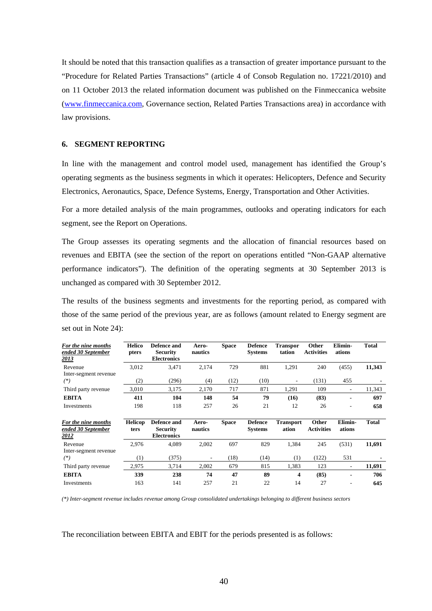It should be noted that this transaction qualifies as a transaction of greater importance pursuant to the "Procedure for Related Parties Transactions" (article 4 of Consob Regulation no. 17221/2010) and on 11 October 2013 the related information document was published on the Finmeccanica website (www.finmeccanica.com, Governance section, Related Parties Transactions area) in accordance with law provisions.

#### **6. SEGMENT REPORTING**

In line with the management and control model used, management has identified the Group's operating segments as the business segments in which it operates: Helicopters, Defence and Security Electronics, Aeronautics, Space, Defence Systems, Energy, Transportation and Other Activities.

For a more detailed analysis of the main programmes, outlooks and operating indicators for each segment, see the Report on Operations.

The Group assesses its operating segments and the allocation of financial resources based on revenues and EBITA (see the section of the report on operations entitled "Non-GAAP alternative performance indicators"). The definition of the operating segments at 30 September 2013 is unchanged as compared with 30 September 2012.

The results of the business segments and investments for the reporting period, as compared with those of the same period of the previous year, are as follows (amount related to Energy segment are set out in Note 24):

| For the nine months<br>ended 30 September<br>2013 | <b>Helico</b><br>pters | Defence and<br><b>Security</b><br><b>Electronics</b> | Aero-<br>nautics         | <b>Space</b> | <b>Defence</b><br><b>Systems</b> | <b>Transpor</b><br>tation | Other<br><b>Activities</b> | Elimin-<br>ations        | <b>Total</b> |
|---------------------------------------------------|------------------------|------------------------------------------------------|--------------------------|--------------|----------------------------------|---------------------------|----------------------------|--------------------------|--------------|
| Revenue                                           | 3,012                  | 3,471                                                | 2,174                    | 729          | 881                              | 1,291                     | 240                        | (455)                    | 11,343       |
| Inter-segment revenue                             |                        |                                                      |                          |              |                                  |                           |                            |                          |              |
| $(*)$                                             | (2)                    | (296)                                                | (4)                      | (12)         | (10)                             | $\overline{\phantom{a}}$  | (131)                      | 455                      |              |
| Third party revenue                               | 3,010                  | 3,175                                                | 2,170                    | 717          | 871                              | 1,291                     | 109                        | $\overline{a}$           | 11,343       |
| <b>EBITA</b>                                      | 411                    | 104                                                  | 148                      | 54           | 79                               | (16)                      | (83)                       |                          | 697          |
| Investments                                       | 198                    | 118                                                  | 257                      | 26           | 21                               | 12                        | 26                         | ۰                        | 658          |
|                                                   |                        |                                                      |                          |              |                                  |                           |                            |                          |              |
| For the nine months<br>ended 30 September<br>2012 | <b>Helicop</b><br>ters | Defence and<br><b>Security</b><br><b>Electronics</b> | Aero-<br>nautics         | <b>Space</b> | <b>Defence</b><br><b>Systems</b> | <b>Transport</b><br>ation | Other<br><b>Activities</b> | Elimin-<br>ations        | <b>Total</b> |
| Revenue                                           | 2,976                  | 4,089                                                | 2,002                    | 697          | 829                              | 1,384                     | 245                        | (531)                    | 11,691       |
| Inter-segment revenue<br>$(*)$                    | (1)                    | (375)                                                | $\overline{\phantom{a}}$ | (18)         | (14)                             | (1)                       | (122)                      | 531                      |              |
| Third party revenue                               | 2.975                  | 3,714                                                | 2,002                    | 679          | 815                              | 1,383                     | 123                        | $\overline{\phantom{a}}$ | 11,691       |
| <b>EBITA</b>                                      | 339                    | 238                                                  | 74                       | 47           | 89                               | 4                         | (85)                       | $\blacksquare$           | 706          |

*(\*) Inter-segment revenue includes revenue among Group consolidated undertakings belonging to different business sectors* 

The reconciliation between EBITA and EBIT for the periods presented is as follows: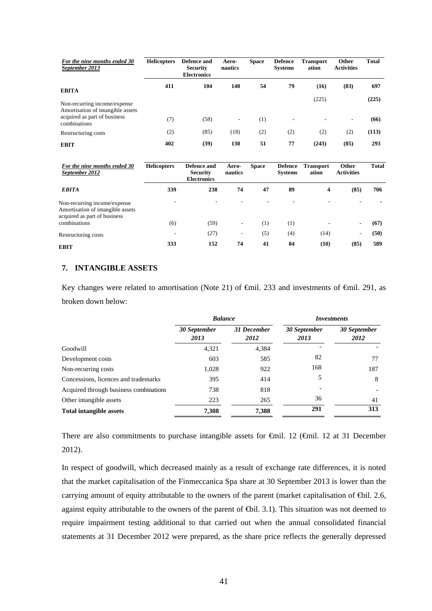| For the nine months ended 30<br>September 2013                    | <b>Helicopters</b> | Defence and<br><b>Security</b><br><b>Electronics</b> | Aero-<br>nautics         | <b>Space</b> | <b>Defence</b><br><b>Systems</b> | <b>Transport</b><br>ation | Other<br><b>Activities</b> | <b>Total</b> |
|-------------------------------------------------------------------|--------------------|------------------------------------------------------|--------------------------|--------------|----------------------------------|---------------------------|----------------------------|--------------|
| <b>EBITA</b>                                                      | 411                | 104                                                  | 148                      | 54           | 79                               | (16)                      | (83)                       | 697          |
| Non-recurring income/expense<br>Amortisation of intangible assets |                    |                                                      |                          |              |                                  | (225)                     |                            | (225)        |
| acquired as part of business<br>combinations                      | (7)                | (58)                                                 | $\overline{\phantom{a}}$ | (1)          |                                  |                           | $\overline{\phantom{a}}$   | (66)         |
| Restructuring costs                                               | (2)                | (85)                                                 | (18)                     | (2)          | (2)                              | (2)                       | (2)                        | (113)        |
| <b>EBIT</b>                                                       | 402                | (39)                                                 | 130                      | 51           | 77                               | (243)                     | (85)                       | 293          |

| For the nine months ended 30<br>September 2012                                                    | <b>Helicopters</b>       | Defence and<br><b>Security</b><br><b>Electronics</b> | Aero-<br>nautics | <b>Space</b>     | <b>Defence</b><br><b>Systems</b> | <b>Transport</b><br>ation | Other<br><b>Activities</b> | <b>Total</b> |
|---------------------------------------------------------------------------------------------------|--------------------------|------------------------------------------------------|------------------|------------------|----------------------------------|---------------------------|----------------------------|--------------|
| <b>EBITA</b>                                                                                      | 339                      | 238                                                  | 74               | 47               | 89                               | $\overline{\mathbf{4}}$   | (85)                       | 706          |
| Non-recurring income/expense<br>Amortisation of intangible assets<br>acquired as part of business | ٠                        |                                                      |                  |                  |                                  |                           |                            |              |
| combinations                                                                                      | (6)                      | (59)                                                 | ٠                | $\left(1\right)$ | (1)                              |                           |                            | (67)         |
| Restructuring costs                                                                               | $\overline{\phantom{0}}$ | (27)                                                 | ۰                | (5)              | (4)                              | (14)                      | ۰                          | (50)         |
| <b>EBIT</b>                                                                                       | 333                      | 152                                                  | 74               | 41               | 84                               | (10)                      | (85)                       | 589          |

# **7. INTANGIBLE ASSETS**

Key changes were related to amortisation (Note 21) of €mil. 233 and investments of €mil. 291, as broken down below:

|                                        | <b>Balance</b>       |                     | <i>Investments</i>   |                      |
|----------------------------------------|----------------------|---------------------|----------------------|----------------------|
|                                        | 30 September<br>2013 | 31 December<br>2012 | 30 September<br>2013 | 30 September<br>2012 |
| Goodwill                               | 4,321                | 4,384               |                      |                      |
| Development costs                      | 603                  | 585                 | 82                   | 77                   |
| Non-recurring costs                    | 1,028                | 922                 | 168                  | 187                  |
| Concessions, licences and trademarks   | 395                  | 414                 | 5                    | 8                    |
| Acquired through business combinations | 738                  | 818                 |                      |                      |
| Other intangible assets                | 223                  | 265                 | 36                   | 41                   |
| <b>Total intangible assets</b>         | 7,308                | 7,388               | 291                  | 313                  |

There are also commitments to purchase intangible assets for €mil. 12 (€mil. 12 at 31 December 2012).

In respect of goodwill, which decreased mainly as a result of exchange rate differences, it is noted that the market capitalisation of the Finmeccanica Spa share at 30 September 2013 is lower than the carrying amount of equity attributable to the owners of the parent (market capitalisation of ⊕il. 2.6, against equity attributable to the owners of the parent of €bil. 3.1). This situation was not deemed to require impairment testing additional to that carried out when the annual consolidated financial statements at 31 December 2012 were prepared, as the share price reflects the generally depressed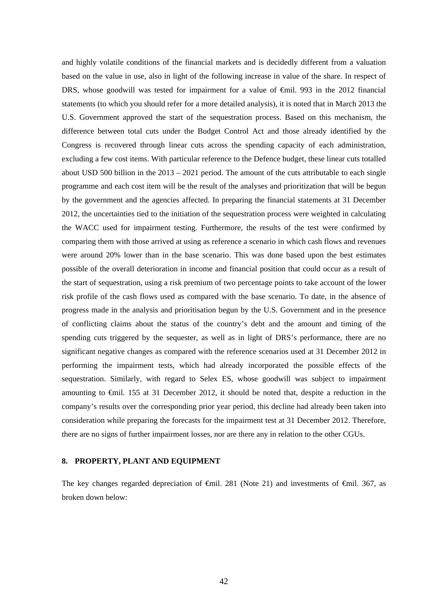and highly volatile conditions of the financial markets and is decidedly different from a valuation based on the value in use, also in light of the following increase in value of the share. In respect of DRS, whose goodwill was tested for impairment for a value of €mil. 993 in the 2012 financial statements (to which you should refer for a more detailed analysis), it is noted that in March 2013 the U.S. Government approved the start of the sequestration process. Based on this mechanism, the difference between total cuts under the Budget Control Act and those already identified by the Congress is recovered through linear cuts across the spending capacity of each administration, excluding a few cost items. With particular reference to the Defence budget, these linear cuts totalled about USD 500 billion in the 2013 – 2021 period. The amount of the cuts attributable to each single programme and each cost item will be the result of the analyses and prioritization that will be begun by the government and the agencies affected. In preparing the financial statements at 31 December 2012, the uncertainties tied to the initiation of the sequestration process were weighted in calculating the WACC used for impairment testing. Furthermore, the results of the test were confirmed by comparing them with those arrived at using as reference a scenario in which cash flows and revenues were around 20% lower than in the base scenario. This was done based upon the best estimates possible of the overall deterioration in income and financial position that could occur as a result of the start of sequestration, using a risk premium of two percentage points to take account of the lower risk profile of the cash flows used as compared with the base scenario. To date, in the absence of progress made in the analysis and prioritisation begun by the U.S. Government and in the presence of conflicting claims about the status of the country's debt and the amount and timing of the spending cuts triggered by the sequester, as well as in light of DRS's performance, there are no significant negative changes as compared with the reference scenarios used at 31 December 2012 in performing the impairment tests, which had already incorporated the possible effects of the sequestration. Similarly, with regard to Selex ES, whose goodwill was subject to impairment amounting to €mil. 155 at 31 December 2012, it should be noted that, despite a reduction in the company's results over the corresponding prior year period, this decline had already been taken into consideration while preparing the forecasts for the impairment test at 31 December 2012. Therefore, there are no signs of further impairment losses, nor are there any in relation to the other CGUs.

### **8. PROPERTY, PLANT AND EQUIPMENT**

The key changes regarded depreciation of  $\epsilon$ mil. 281 (Note 21) and investments of  $\epsilon$ mil. 367, as broken down below: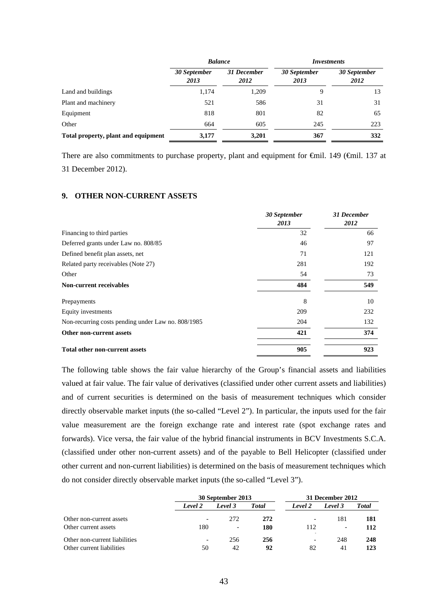|                                     | <b>Balance</b>       |                     | <i>Investments</i>   |                      |  |
|-------------------------------------|----------------------|---------------------|----------------------|----------------------|--|
|                                     | 30 September<br>2013 | 31 December<br>2012 | 30 September<br>2013 | 30 September<br>2012 |  |
| Land and buildings                  | 1,174                | 1,209               | 9                    | 13                   |  |
| Plant and machinery                 | 521                  | 586                 | 31                   | 31                   |  |
| Equipment                           | 818                  | 801                 | 82                   | 65                   |  |
| Other                               | 664                  | 605                 | 245                  | 223                  |  |
| Total property, plant and equipment | 3,177                | 3,201               | 367                  | 332                  |  |

There are also commitments to purchase property, plant and equipment for  $\epsilon$ mil. 149 ( $\epsilon$ mil. 137 at 31 December 2012).

# **9. OTHER NON-CURRENT ASSETS**

|                                                    | 30 September<br>2013 | <b>31 December</b><br>2012 |
|----------------------------------------------------|----------------------|----------------------------|
| Financing to third parties                         | 32                   | 66                         |
| Deferred grants under Law no. 808/85               | 46                   | 97                         |
| Defined benefit plan assets, net                   | 71                   | 121                        |
| Related party receivables (Note 27)                | 281                  | 192                        |
| Other                                              | 54                   | 73                         |
| <b>Non-current receivables</b>                     | 484                  | 549                        |
| Prepayments                                        | 8                    | 10                         |
| Equity investments                                 | 209                  | 232                        |
| Non-recurring costs pending under Law no. 808/1985 | 204                  | 132                        |
| Other non-current assets                           | 421                  | 374                        |
| <b>Total other non-current assets</b>              | 905                  | 923                        |

The following table shows the fair value hierarchy of the Group's financial assets and liabilities valued at fair value. The fair value of derivatives (classified under other current assets and liabilities) and of current securities is determined on the basis of measurement techniques which consider directly observable market inputs (the so-called "Level 2"). In particular, the inputs used for the fair value measurement are the foreign exchange rate and interest rate (spot exchange rates and forwards). Vice versa, the fair value of the hybrid financial instruments in BCV Investments S.C.A. (classified under other non-current assets) and of the payable to Bell Helicopter (classified under other current and non-current liabilities) is determined on the basis of measurement techniques which do not consider directly observable market inputs (the so-called "Level 3").

|                               |                          | 30 September 2013        |              |                          | 31 December 2012         |       |  |
|-------------------------------|--------------------------|--------------------------|--------------|--------------------------|--------------------------|-------|--|
|                               | Level 2                  | Level 3                  | <b>Total</b> | Level 2                  | Level 3                  | Total |  |
| Other non-current assets      | $\overline{\phantom{a}}$ | 272                      | 272          | $\overline{\phantom{0}}$ | 181                      | 181   |  |
| Other current assets          | 180                      | $\overline{\phantom{a}}$ | 180          | 112                      | $\overline{\phantom{0}}$ | 112   |  |
| Other non-current liabilities | $\overline{\phantom{a}}$ | 256                      | 256          |                          | 248                      | 248   |  |
| Other current liabilities     | 50                       | 42                       | 92           | 82                       | 41                       | 123   |  |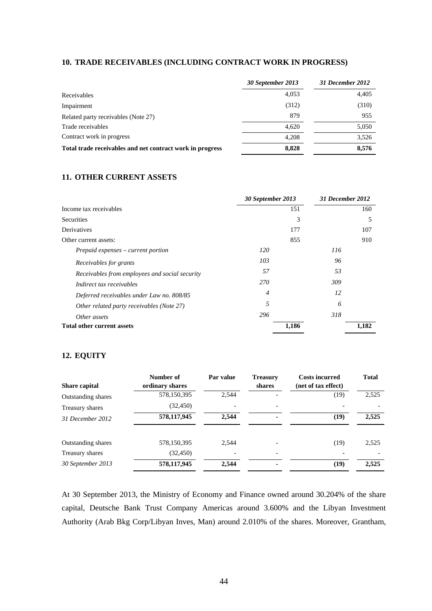## **10. TRADE RECEIVABLES (INCLUDING CONTRACT WORK IN PROGRESS)**

|                                                           | 30 September 2013 | 31 December 2012 |
|-----------------------------------------------------------|-------------------|------------------|
| Receivables                                               | 4.053             | 4,405            |
| Impairment                                                | (312)             | (310)            |
| Related party receivables (Note 27)                       | 879               | 955              |
| Trade receivables                                         | 4,620             | 5,050            |
| Contract work in progress                                 | 4.208             | 3,526            |
| Total trade receivables and net contract work in progress | 8,828             | 8,576            |

# **11. OTHER CURRENT ASSETS**

|                                                | 30 September 2013 | 31 December 2012 |       |
|------------------------------------------------|-------------------|------------------|-------|
| Income tax receivables                         | 151               |                  | 160   |
| <b>Securities</b>                              | 3                 |                  | 5     |
| Derivatives                                    | 177               |                  | 107   |
| Other current assets:                          | 855               |                  | 910   |
| $Prepaid$ expenses – current portion           | 120               | 116              |       |
| Receivables for grants                         | 103               | 96               |       |
| Receivables from employees and social security | 57                | 53               |       |
| Indirect tax receivables                       | 270               | 309              |       |
| Deferred receivables under Law no. 808/85      | 4                 | 12               |       |
| Other related party receivables (Note 27)      | 5                 | 6                |       |
| Other assets                                   | 296               | 318              |       |
| <b>Total other current assets</b>              | 1,186             |                  | 1,182 |

# **12. EQUITY**

|                           | Number of       | Par value | <b>Treasury</b> | <b>Costs incurred</b> | <b>Total</b> |
|---------------------------|-----------------|-----------|-----------------|-----------------------|--------------|
| <b>Share capital</b>      | ordinary shares |           | shares          | (net of tax effect)   |              |
| <b>Outstanding shares</b> | 578,150,395     | 2,544     |                 | (19)                  | 2,525        |
| Treasury shares           | (32, 450)       |           |                 |                       |              |
| 31 December 2012          | 578,117,945     | 2.544     | ۰               | (19)                  | 2,525        |
| <b>Outstanding shares</b> | 578,150,395     | 2.544     |                 | (19)                  | 2,525        |
| Treasury shares           | (32, 450)       |           |                 |                       |              |
| 30 September 2013         | 578,117,945     | 2,544     |                 | (19)                  | 2,525        |

At 30 September 2013, the Ministry of Economy and Finance owned around 30.204% of the share capital, Deutsche Bank Trust Company Americas around 3.600% and the Libyan Investment Authority (Arab Bkg Corp/Libyan Inves, Man) around 2.010% of the shares. Moreover, Grantham,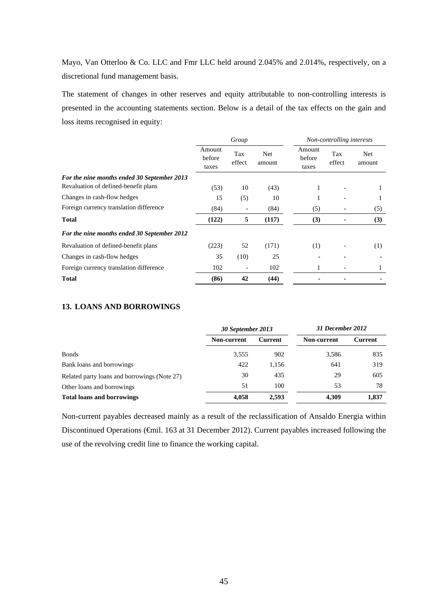Mayo, Van Otterloo & Co. LLC and Fmr LLC held around 2.045% and 2.014%, respectively, on a discretional fund management basis.

The statement of changes in other reserves and equity attributable to non-controlling interests is presented in the accounting statements section. Below is a detail of the tax effects on the gain and loss items recognised in equity:

|                                             | Group                     |               |                | Non-controlling interests |               |                      |
|---------------------------------------------|---------------------------|---------------|----------------|---------------------------|---------------|----------------------|
|                                             | Amount<br>before<br>taxes | Tax<br>effect | Net.<br>amount | Amount<br>before<br>taxes | Tax<br>effect | <b>Net</b><br>amount |
| For the nine months ended 30 September 2013 |                           |               |                |                           |               |                      |
| Revaluation of defined-benefit plans        | (53)                      | 10            | (43)           | 1                         |               | л.                   |
| Changes in cash-flow hedges                 | 15                        | (5)           | 10             |                           |               |                      |
| Foreign currency translation difference     | (84)                      |               | (84)           | (5)                       |               | (5)                  |
| <b>Total</b>                                | (122)                     | 5             | (117)          | (3)                       |               | (3)                  |
| For the nine months ended 30 September 2012 |                           |               |                |                           |               |                      |
| Revaluation of defined-benefit plans        | (223)                     | 52            | (171)          | (1)                       |               | (1)                  |
| Changes in cash-flow hedges                 | 35                        | (10)          | 25             |                           |               |                      |
| Foreign currency translation difference     | 102                       |               | 102            |                           |               |                      |
| <b>Total</b>                                | (86)                      | 42            | (44)           |                           |               |                      |

# **13. LOANS AND BORROWINGS**

|                                              | 30 September 2013 |         | 31 December 2012   |         |
|----------------------------------------------|-------------------|---------|--------------------|---------|
|                                              | Non-current       | Current | <b>Non-current</b> | Current |
| <b>Bonds</b>                                 | 3,555             | 902     | 3,586              | 835     |
| Bank loans and borrowings                    | 422               | 1,156   | 641                | 319     |
| Related party loans and borrowings (Note 27) | 30                | 435     | 29                 | 605     |
| Other loans and borrowings                   | 51                | 100     | 53                 | 78      |
| <b>Total loans and borrowings</b>            | 4,058             | 2,593   | 4,309              | 1,837   |

Non-current payables decreased mainly as a result of the reclassification of Ansaldo Energia within Discontinued Operations (€mil. 163 at 31 December 2012). Current payables increased following the use of the revolving credit line to finance the working capital.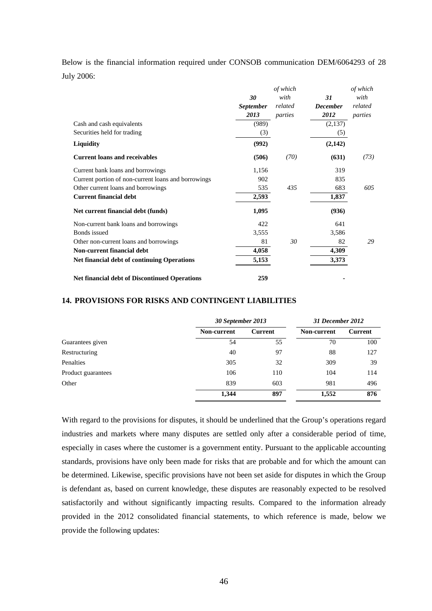Below is the financial information required under CONSOB communication DEM/6064293 of 28

July 2006:

|                                                      | of which         |         |                 | of which |  |
|------------------------------------------------------|------------------|---------|-----------------|----------|--|
|                                                      | 30               | with    | 31              | with     |  |
|                                                      | <b>September</b> | related | <b>December</b> | related  |  |
|                                                      | 2013             | parties | 2012            | parties  |  |
| Cash and cash equivalents                            | (989)            |         | (2,137)         |          |  |
| Securities held for trading                          | (3)              |         | (5)             |          |  |
| Liquidity                                            | (992)            |         | (2,142)         |          |  |
| <b>Current loans and receivables</b>                 | (506)            | (70)    | (631)           | (73)     |  |
| Current bank loans and borrowings                    | 1,156            |         | 319             |          |  |
| Current portion of non-current loans and borrowings  | 902              |         | 835             |          |  |
| Other current loans and borrowings                   | 535              | 435     | 683             | 605      |  |
| <b>Current financial debt</b>                        | 2,593            |         | 1,837           |          |  |
| Net current financial debt (funds)                   | 1,095            |         | (936)           |          |  |
| Non-current bank loans and borrowings                | 422              |         | 641             |          |  |
| Bonds issued                                         | 3,555            |         | 3,586           |          |  |
| Other non-current loans and borrowings               | 81               | 30      | 82              | 29       |  |
| Non-current financial debt                           | 4,058            |         | 4,309           |          |  |
| <b>Net financial debt of continuing Operations</b>   | 5,153            |         | 3,373           |          |  |
| <b>Net financial debt of Discontinued Operations</b> | 259              |         |                 |          |  |

# **14. PROVISIONS FOR RISKS AND CONTINGENT LIABILITIES**

|                    |             | 30 September 2013 |             | 31 December 2012 |
|--------------------|-------------|-------------------|-------------|------------------|
|                    | Non-current | <b>Current</b>    | Non-current | Current          |
| Guarantees given   | 54          | 55                | 70          | 100              |
| Restructuring      | 40          | 97                | 88          | 127              |
| Penalties          | 305         | 32                | 309         | 39               |
| Product guarantees | 106         | 110               | 104         | 114              |
| Other              | 839         | 603               | 981         | 496              |
|                    | 1,344       | 897               | 1,552       | 876              |

With regard to the provisions for disputes, it should be underlined that the Group's operations regard industries and markets where many disputes are settled only after a considerable period of time, especially in cases where the customer is a government entity. Pursuant to the applicable accounting standards, provisions have only been made for risks that are probable and for which the amount can be determined. Likewise, specific provisions have not been set aside for disputes in which the Group is defendant as, based on current knowledge, these disputes are reasonably expected to be resolved satisfactorily and without significantly impacting results. Compared to the information already provided in the 2012 consolidated financial statements, to which reference is made, below we provide the following updates: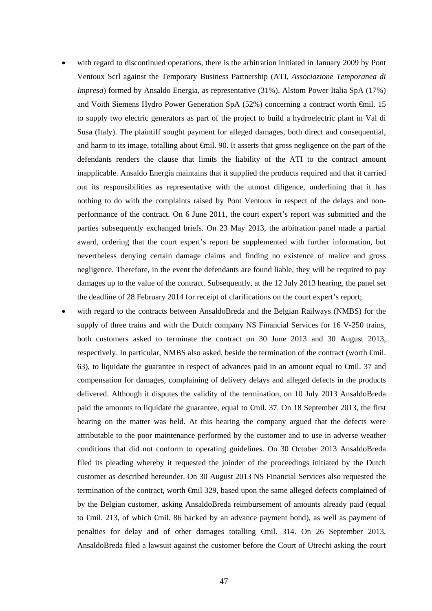- with regard to discontinued operations, there is the arbitration initiated in January 2009 by Pont Ventoux Scrl against the Temporary Business Partnership (ATI, *Associazione Temporanea di Impresa*) formed by Ansaldo Energia, as representative (31%), Alstom Power Italia SpA (17%) and Voith Siemens Hydro Power Generation SpA (52%) concerning a contract worth €mil. 15 to supply two electric generators as part of the project to build a hydroelectric plant in Val di Susa (Italy). The plaintiff sought payment for alleged damages, both direct and consequential, and harm to its image, totalling about €mil. 90. It asserts that gross negligence on the part of the defendants renders the clause that limits the liability of the ATI to the contract amount inapplicable. Ansaldo Energia maintains that it supplied the products required and that it carried out its responsibilities as representative with the utmost diligence, underlining that it has nothing to do with the complaints raised by Pont Ventoux in respect of the delays and nonperformance of the contract. On 6 June 2011, the court expert's report was submitted and the parties subsequently exchanged briefs. On 23 May 2013, the arbitration panel made a partial award, ordering that the court expert's report be supplemented with further information, but nevertheless denying certain damage claims and finding no existence of malice and gross negligence. Therefore, in the event the defendants are found liable, they will be required to pay damages up to the value of the contract. Subsequently, at the 12 July 2013 hearing, the panel set the deadline of 28 February 2014 for receipt of clarifications on the court expert's report;
- with regard to the contracts between AnsaldoBreda and the Belgian Railways (NMBS) for the supply of three trains and with the Dutch company NS Financial Services for 16 V-250 trains, both customers asked to terminate the contract on 30 June 2013 and 30 August 2013, respectively. In particular, NMBS also asked, beside the termination of the contract (worth €mil. 63), to liquidate the guarantee in respect of advances paid in an amount equal to  $\epsilon$ mil. 37 and compensation for damages, complaining of delivery delays and alleged defects in the products delivered. Although it disputes the validity of the termination, on 10 July 2013 AnsaldoBreda paid the amounts to liquidate the guarantee, equal to €mil. 37. On 18 September 2013, the first hearing on the matter was held. At this hearing the company argued that the defects were attributable to the poor maintenance performed by the customer and to use in adverse weather conditions that did not conform to operating guidelines. On 30 October 2013 AnsaldoBreda filed its pleading whereby it requested the joinder of the proceedings initiated by the Dutch customer as described hereunder. On 30 August 2013 NS Financial Services also requested the termination of the contract, worth €mil 329, based upon the same alleged defects complained of by the Belgian customer, asking AnsaldoBreda reimbursement of amounts already paid (equal to €mil. 213, of which €mil. 86 backed by an advance payment bond), as well as payment of penalties for delay and of other damages totalling €mil. 314. On 26 September 2013, AnsaldoBreda filed a lawsuit against the customer before the Court of Utrecht asking the court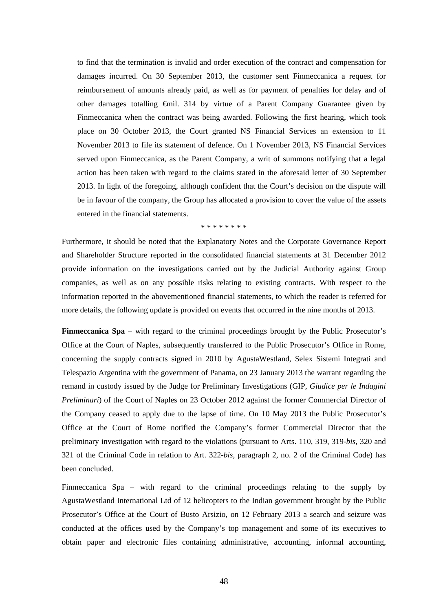to find that the termination is invalid and order execution of the contract and compensation for damages incurred. On 30 September 2013, the customer sent Finmeccanica a request for reimbursement of amounts already paid, as well as for payment of penalties for delay and of other damages totalling €mil. 314 by virtue of a Parent Company Guarantee given by Finmeccanica when the contract was being awarded. Following the first hearing, which took place on 30 October 2013, the Court granted NS Financial Services an extension to 11 November 2013 to file its statement of defence. On 1 November 2013, NS Financial Services served upon Finmeccanica, as the Parent Company, a writ of summons notifying that a legal action has been taken with regard to the claims stated in the aforesaid letter of 30 September 2013. In light of the foregoing, although confident that the Court's decision on the dispute will be in favour of the company, the Group has allocated a provision to cover the value of the assets entered in the financial statements.

#### \* \* \* \* \* \* \* \*

Furthermore, it should be noted that the Explanatory Notes and the Corporate Governance Report and Shareholder Structure reported in the consolidated financial statements at 31 December 2012 provide information on the investigations carried out by the Judicial Authority against Group companies, as well as on any possible risks relating to existing contracts. With respect to the information reported in the abovementioned financial statements, to which the reader is referred for more details, the following update is provided on events that occurred in the nine months of 2013.

**Finmeccanica Spa** – with regard to the criminal proceedings brought by the Public Prosecutor's Office at the Court of Naples, subsequently transferred to the Public Prosecutor's Office in Rome, concerning the supply contracts signed in 2010 by AgustaWestland, Selex Sistemi Integrati and Telespazio Argentina with the government of Panama, on 23 January 2013 the warrant regarding the remand in custody issued by the Judge for Preliminary Investigations (GIP, *Giudice per le Indagini Preliminari*) of the Court of Naples on 23 October 2012 against the former Commercial Director of the Company ceased to apply due to the lapse of time. On 10 May 2013 the Public Prosecutor's Office at the Court of Rome notified the Company's former Commercial Director that the preliminary investigation with regard to the violations (pursuant to Arts. 110, 319, 319-*bis*, 320 and 321 of the Criminal Code in relation to Art. 322-*bis*, paragraph 2, no. 2 of the Criminal Code) has been concluded.

Finmeccanica Spa – with regard to the criminal proceedings relating to the supply by AgustaWestland International Ltd of 12 helicopters to the Indian government brought by the Public Prosecutor's Office at the Court of Busto Arsizio, on 12 February 2013 a search and seizure was conducted at the offices used by the Company's top management and some of its executives to obtain paper and electronic files containing administrative, accounting, informal accounting,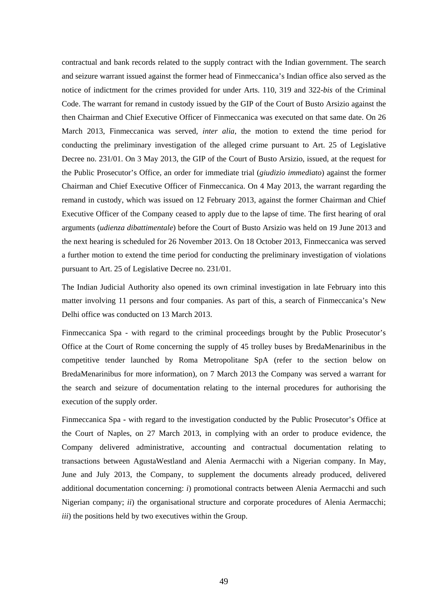contractual and bank records related to the supply contract with the Indian government. The search and seizure warrant issued against the former head of Finmeccanica's Indian office also served as the notice of indictment for the crimes provided for under Arts. 110, 319 and 322-*bis* of the Criminal Code. The warrant for remand in custody issued by the GIP of the Court of Busto Arsizio against the then Chairman and Chief Executive Officer of Finmeccanica was executed on that same date. On 26 March 2013, Finmeccanica was served*, inter alia*, the motion to extend the time period for conducting the preliminary investigation of the alleged crime pursuant to Art. 25 of Legislative Decree no. 231/01. On 3 May 2013, the GIP of the Court of Busto Arsizio, issued, at the request for the Public Prosecutor's Office, an order for immediate trial (*giudizio immediato*) against the former Chairman and Chief Executive Officer of Finmeccanica. On 4 May 2013, the warrant regarding the remand in custody, which was issued on 12 February 2013, against the former Chairman and Chief Executive Officer of the Company ceased to apply due to the lapse of time. The first hearing of oral arguments (*udienza dibattimentale*) before the Court of Busto Arsizio was held on 19 June 2013 and the next hearing is scheduled for 26 November 2013. On 18 October 2013, Finmeccanica was served a further motion to extend the time period for conducting the preliminary investigation of violations pursuant to Art. 25 of Legislative Decree no. 231/01.

The Indian Judicial Authority also opened its own criminal investigation in late February into this matter involving 11 persons and four companies. As part of this, a search of Finmeccanica's New Delhi office was conducted on 13 March 2013.

Finmeccanica Spa - with regard to the criminal proceedings brought by the Public Prosecutor's Office at the Court of Rome concerning the supply of 45 trolley buses by BredaMenarinibus in the competitive tender launched by Roma Metropolitane SpA (refer to the section below on BredaMenarinibus for more information), on 7 March 2013 the Company was served a warrant for the search and seizure of documentation relating to the internal procedures for authorising the execution of the supply order.

Finmeccanica Spa **-** with regard to the investigation conducted by the Public Prosecutor's Office at the Court of Naples, on 27 March 2013, in complying with an order to produce evidence, the Company delivered administrative, accounting and contractual documentation relating to transactions between AgustaWestland and Alenia Aermacchi with a Nigerian company. In May, June and July 2013, the Company, to supplement the documents already produced, delivered additional documentation concerning: *i*) promotional contracts between Alenia Aermacchi and such Nigerian company; *ii*) the organisational structure and corporate procedures of Alenia Aermacchi; *iii*) the positions held by two executives within the Group.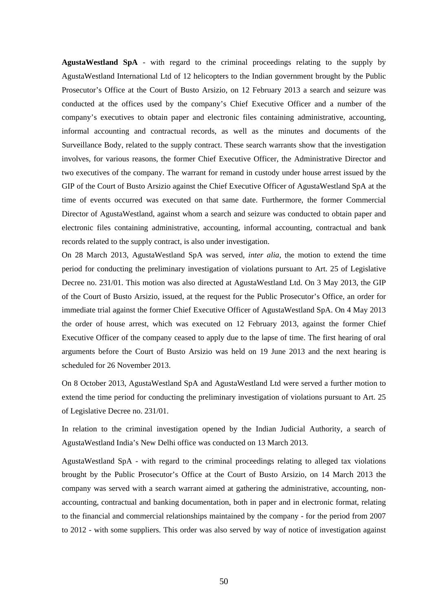**AgustaWestland SpA** - with regard to the criminal proceedings relating to the supply by AgustaWestland International Ltd of 12 helicopters to the Indian government brought by the Public Prosecutor's Office at the Court of Busto Arsizio, on 12 February 2013 a search and seizure was conducted at the offices used by the company's Chief Executive Officer and a number of the company's executives to obtain paper and electronic files containing administrative, accounting, informal accounting and contractual records, as well as the minutes and documents of the Surveillance Body, related to the supply contract. These search warrants show that the investigation involves, for various reasons, the former Chief Executive Officer, the Administrative Director and two executives of the company. The warrant for remand in custody under house arrest issued by the GIP of the Court of Busto Arsizio against the Chief Executive Officer of AgustaWestland SpA at the time of events occurred was executed on that same date. Furthermore, the former Commercial Director of AgustaWestland, against whom a search and seizure was conducted to obtain paper and electronic files containing administrative, accounting, informal accounting, contractual and bank records related to the supply contract, is also under investigation.

On 28 March 2013, AgustaWestland SpA was served*, inter alia*, the motion to extend the time period for conducting the preliminary investigation of violations pursuant to Art. 25 of Legislative Decree no. 231/01. This motion was also directed at AgustaWestland Ltd. On 3 May 2013, the GIP of the Court of Busto Arsizio, issued, at the request for the Public Prosecutor's Office, an order for immediate trial against the former Chief Executive Officer of AgustaWestland SpA. On 4 May 2013 the order of house arrest, which was executed on 12 February 2013, against the former Chief Executive Officer of the company ceased to apply due to the lapse of time. The first hearing of oral arguments before the Court of Busto Arsizio was held on 19 June 2013 and the next hearing is scheduled for 26 November 2013.

On 8 October 2013, AgustaWestland SpA and AgustaWestland Ltd were served a further motion to extend the time period for conducting the preliminary investigation of violations pursuant to Art. 25 of Legislative Decree no. 231/01.

In relation to the criminal investigation opened by the Indian Judicial Authority, a search of AgustaWestland India's New Delhi office was conducted on 13 March 2013.

AgustaWestland SpA - with regard to the criminal proceedings relating to alleged tax violations brought by the Public Prosecutor's Office at the Court of Busto Arsizio, on 14 March 2013 the company was served with a search warrant aimed at gathering the administrative, accounting, nonaccounting, contractual and banking documentation, both in paper and in electronic format, relating to the financial and commercial relationships maintained by the company - for the period from 2007 to 2012 - with some suppliers. This order was also served by way of notice of investigation against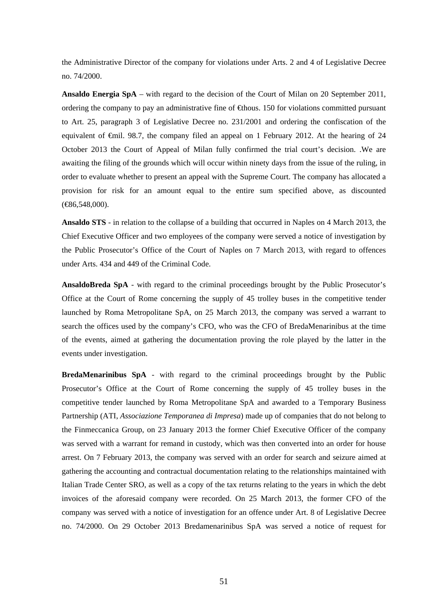the Administrative Director of the company for violations under Arts. 2 and 4 of Legislative Decree no. 74/2000.

**Ansaldo Energia SpA** – with regard to the decision of the Court of Milan on 20 September 2011, ordering the company to pay an administrative fine of  $\bigoplus$  flows. 150 for violations committed pursuant to Art. 25, paragraph 3 of Legislative Decree no. 231/2001 and ordering the confiscation of the equivalent of  $\epsilon$ mil. 98.7, the company filed an appeal on 1 February 2012. At the hearing of 24 October 2013 the Court of Appeal of Milan fully confirmed the trial court's decision. .We are awaiting the filing of the grounds which will occur within ninety days from the issue of the ruling, in order to evaluate whether to present an appeal with the Supreme Court. The company has allocated a provision for risk for an amount equal to the entire sum specified above, as discounted (€86,548,000).

**Ansaldo STS** - in relation to the collapse of a building that occurred in Naples on 4 March 2013, the Chief Executive Officer and two employees of the company were served a notice of investigation by the Public Prosecutor's Office of the Court of Naples on 7 March 2013, with regard to offences under Arts. 434 and 449 of the Criminal Code.

**AnsaldoBreda SpA** - with regard to the criminal proceedings brought by the Public Prosecutor's Office at the Court of Rome concerning the supply of 45 trolley buses in the competitive tender launched by Roma Metropolitane SpA, on 25 March 2013, the company was served a warrant to search the offices used by the company's CFO, who was the CFO of BredaMenarinibus at the time of the events, aimed at gathering the documentation proving the role played by the latter in the events under investigation.

**BredaMenarinibus SpA** - with regard to the criminal proceedings brought by the Public Prosecutor's Office at the Court of Rome concerning the supply of 45 trolley buses in the competitive tender launched by Roma Metropolitane SpA and awarded to a Temporary Business Partnership (ATI, *Associazione Temporanea di Impresa*) made up of companies that do not belong to the Finmeccanica Group, on 23 January 2013 the former Chief Executive Officer of the company was served with a warrant for remand in custody, which was then converted into an order for house arrest. On 7 February 2013, the company was served with an order for search and seizure aimed at gathering the accounting and contractual documentation relating to the relationships maintained with Italian Trade Center SRO, as well as a copy of the tax returns relating to the years in which the debt invoices of the aforesaid company were recorded. On 25 March 2013, the former CFO of the company was served with a notice of investigation for an offence under Art. 8 of Legislative Decree no. 74/2000. On 29 October 2013 Bredamenarinibus SpA was served a notice of request for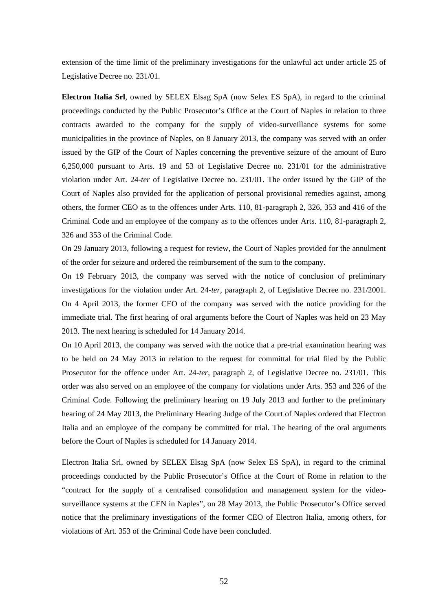extension of the time limit of the preliminary investigations for the unlawful act under article 25 of Legislative Decree no. 231/01.

**Electron Italia Srl**, owned by SELEX Elsag SpA (now Selex ES SpA), in regard to the criminal proceedings conducted by the Public Prosecutor's Office at the Court of Naples in relation to three contracts awarded to the company for the supply of video-surveillance systems for some municipalities in the province of Naples, on 8 January 2013, the company was served with an order issued by the GIP of the Court of Naples concerning the preventive seizure of the amount of Euro 6,250,000 pursuant to Arts. 19 and 53 of Legislative Decree no. 231/01 for the administrative violation under Art. 24-*ter* of Legislative Decree no. 231/01. The order issued by the GIP of the Court of Naples also provided for the application of personal provisional remedies against, among others, the former CEO as to the offences under Arts. 110, 81-paragraph 2, 326, 353 and 416 of the Criminal Code and an employee of the company as to the offences under Arts. 110, 81-paragraph 2, 326 and 353 of the Criminal Code.

On 29 January 2013, following a request for review, the Court of Naples provided for the annulment of the order for seizure and ordered the reimbursement of the sum to the company.

On 19 February 2013, the company was served with the notice of conclusion of preliminary investigations for the violation under Art. 24-*ter*, paragraph 2, of Legislative Decree no. 231/2001. On 4 April 2013, the former CEO of the company was served with the notice providing for the immediate trial. The first hearing of oral arguments before the Court of Naples was held on 23 May 2013. The next hearing is scheduled for 14 January 2014.

On 10 April 2013, the company was served with the notice that a pre-trial examination hearing was to be held on 24 May 2013 in relation to the request for committal for trial filed by the Public Prosecutor for the offence under Art. 24-*ter*, paragraph 2, of Legislative Decree no. 231/01. This order was also served on an employee of the company for violations under Arts. 353 and 326 of the Criminal Code. Following the preliminary hearing on 19 July 2013 and further to the preliminary hearing of 24 May 2013, the Preliminary Hearing Judge of the Court of Naples ordered that Electron Italia and an employee of the company be committed for trial. The hearing of the oral arguments before the Court of Naples is scheduled for 14 January 2014.

Electron Italia Srl, owned by SELEX Elsag SpA (now Selex ES SpA), in regard to the criminal proceedings conducted by the Public Prosecutor's Office at the Court of Rome in relation to the "contract for the supply of a centralised consolidation and management system for the videosurveillance systems at the CEN in Naples", on 28 May 2013, the Public Prosecutor's Office served notice that the preliminary investigations of the former CEO of Electron Italia, among others, for violations of Art. 353 of the Criminal Code have been concluded.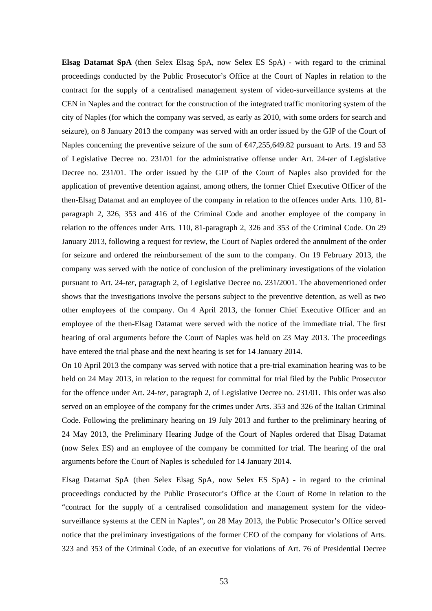**Elsag Datamat SpA** (then Selex Elsag SpA, now Selex ES SpA) - with regard to the criminal proceedings conducted by the Public Prosecutor's Office at the Court of Naples in relation to the contract for the supply of a centralised management system of video-surveillance systems at the CEN in Naples and the contract for the construction of the integrated traffic monitoring system of the city of Naples (for which the company was served, as early as 2010, with some orders for search and seizure), on 8 January 2013 the company was served with an order issued by the GIP of the Court of Naples concerning the preventive seizure of the sum of  $\text{€47,255,649.82}$  pursuant to Arts. 19 and 53 of Legislative Decree no. 231/01 for the administrative offense under Art. 24-*ter* of Legislative Decree no. 231/01. The order issued by the GIP of the Court of Naples also provided for the application of preventive detention against, among others, the former Chief Executive Officer of the then-Elsag Datamat and an employee of the company in relation to the offences under Arts. 110, 81 paragraph 2, 326, 353 and 416 of the Criminal Code and another employee of the company in relation to the offences under Arts. 110, 81-paragraph 2, 326 and 353 of the Criminal Code. On 29 January 2013, following a request for review, the Court of Naples ordered the annulment of the order for seizure and ordered the reimbursement of the sum to the company. On 19 February 2013, the company was served with the notice of conclusion of the preliminary investigations of the violation pursuant to Art. 24-*ter*, paragraph 2, of Legislative Decree no. 231/2001. The abovementioned order shows that the investigations involve the persons subject to the preventive detention, as well as two other employees of the company. On 4 April 2013, the former Chief Executive Officer and an employee of the then-Elsag Datamat were served with the notice of the immediate trial. The first hearing of oral arguments before the Court of Naples was held on 23 May 2013. The proceedings have entered the trial phase and the next hearing is set for 14 January 2014.

On 10 April 2013 the company was served with notice that a pre-trial examination hearing was to be held on 24 May 2013, in relation to the request for committal for trial filed by the Public Prosecutor for the offence under Art. 24-*ter*, paragraph 2, of Legislative Decree no. 231/01. This order was also served on an employee of the company for the crimes under Arts. 353 and 326 of the Italian Criminal Code. Following the preliminary hearing on 19 July 2013 and further to the preliminary hearing of 24 May 2013, the Preliminary Hearing Judge of the Court of Naples ordered that Elsag Datamat (now Selex ES) and an employee of the company be committed for trial. The hearing of the oral arguments before the Court of Naples is scheduled for 14 January 2014.

Elsag Datamat SpA (then Selex Elsag SpA, now Selex ES SpA) - in regard to the criminal proceedings conducted by the Public Prosecutor's Office at the Court of Rome in relation to the "contract for the supply of a centralised consolidation and management system for the videosurveillance systems at the CEN in Naples", on 28 May 2013, the Public Prosecutor's Office served notice that the preliminary investigations of the former CEO of the company for violations of Arts. 323 and 353 of the Criminal Code, of an executive for violations of Art. 76 of Presidential Decree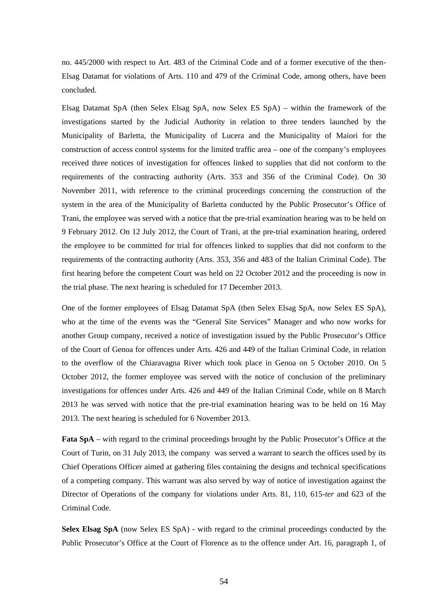no. 445/2000 with respect to Art. 483 of the Criminal Code and of a former executive of the then-Elsag Datamat for violations of Arts. 110 and 479 of the Criminal Code, among others, have been concluded.

Elsag Datamat SpA (then Selex Elsag SpA, now Selex ES SpA) – within the framework of the investigations started by the Judicial Authority in relation to three tenders launched by the Municipality of Barletta, the Municipality of Lucera and the Municipality of Maiori for the construction of access control systems for the limited traffic area – one of the company's employees received three notices of investigation for offences linked to supplies that did not conform to the requirements of the contracting authority (Arts. 353 and 356 of the Criminal Code). On 30 November 2011, with reference to the criminal proceedings concerning the construction of the system in the area of the Municipality of Barletta conducted by the Public Prosecutor's Office of Trani, the employee was served with a notice that the pre-trial examination hearing was to be held on 9 February 2012. On 12 July 2012, the Court of Trani, at the pre-trial examination hearing, ordered the employee to be committed for trial for offences linked to supplies that did not conform to the requirements of the contracting authority (Arts. 353, 356 and 483 of the Italian Criminal Code). The first hearing before the competent Court was held on 22 October 2012 and the proceeding is now in the trial phase. The next hearing is scheduled for 17 December 2013.

One of the former employees of Elsag Datamat SpA (then Selex Elsag SpA, now Selex ES SpA), who at the time of the events was the "General Site Services" Manager and who now works for another Group company, received a notice of investigation issued by the Public Prosecutor's Office of the Court of Genoa for offences under Arts. 426 and 449 of the Italian Criminal Code, in relation to the overflow of the Chiaravagna River which took place in Genoa on 5 October 2010. On 5 October 2012, the former employee was served with the notice of conclusion of the preliminary investigations for offences under Arts. 426 and 449 of the Italian Criminal Code, while on 8 March 2013 he was served with notice that the pre-trial examination hearing was to be held on 16 May 2013. The next hearing is scheduled for 6 November 2013.

**Fata SpA** – with regard to the criminal proceedings brought by the Public Prosecutor's Office at the Court of Turin, on 31 July 2013, the company was served a warrant to search the offices used by its Chief Operations Officer aimed at gathering files containing the designs and technical specifications of a competing company. This warrant was also served by way of notice of investigation against the Director of Operations of the company for violations under Arts. 81, 110, 615-*ter* and 623 of the Criminal Code.

**Selex Elsag SpA** (now Selex ES SpA) - with regard to the criminal proceedings conducted by the Public Prosecutor's Office at the Court of Florence as to the offence under Art. 16, paragraph 1, of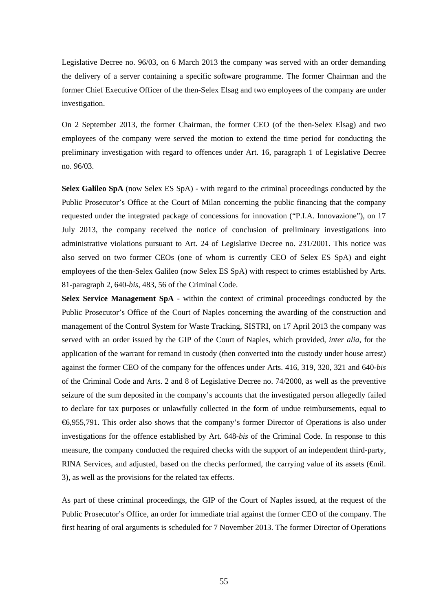Legislative Decree no. 96/03, on 6 March 2013 the company was served with an order demanding the delivery of a server containing a specific software programme. The former Chairman and the former Chief Executive Officer of the then-Selex Elsag and two employees of the company are under investigation.

On 2 September 2013, the former Chairman, the former CEO (of the then-Selex Elsag) and two employees of the company were served the motion to extend the time period for conducting the preliminary investigation with regard to offences under Art. 16, paragraph 1 of Legislative Decree no. 96/03.

**Selex Galileo SpA** (now Selex ES SpA) - with regard to the criminal proceedings conducted by the Public Prosecutor's Office at the Court of Milan concerning the public financing that the company requested under the integrated package of concessions for innovation ("P.I.A. Innovazione"), on 17 July 2013, the company received the notice of conclusion of preliminary investigations into administrative violations pursuant to Art. 24 of Legislative Decree no. 231/2001. This notice was also served on two former CEOs (one of whom is currently CEO of Selex ES SpA) and eight employees of the then-Selex Galileo (now Selex ES SpA) with respect to crimes established by Arts. 81-paragraph 2, 640-*bis*, 483, 56 of the Criminal Code.

**Selex Service Management SpA** - within the context of criminal proceedings conducted by the Public Prosecutor's Office of the Court of Naples concerning the awarding of the construction and management of the Control System for Waste Tracking, SISTRI, on 17 April 2013 the company was served with an order issued by the GIP of the Court of Naples, which provided, *inter alia*, for the application of the warrant for remand in custody (then converted into the custody under house arrest) against the former CEO of the company for the offences under Arts. 416, 319, 320, 321 and 640-*bis* of the Criminal Code and Arts. 2 and 8 of Legislative Decree no. 74/2000, as well as the preventive seizure of the sum deposited in the company's accounts that the investigated person allegedly failed to declare for tax purposes or unlawfully collected in the form of undue reimbursements, equal to €6,955,791. This order also shows that the company's former Director of Operations is also under investigations for the offence established by Art. 648-*bis* of the Criminal Code. In response to this measure, the company conducted the required checks with the support of an independent third-party, RINA Services, and adjusted, based on the checks performed, the carrying value of its assets (€mil. 3), as well as the provisions for the related tax effects.

As part of these criminal proceedings, the GIP of the Court of Naples issued, at the request of the Public Prosecutor's Office, an order for immediate trial against the former CEO of the company. The first hearing of oral arguments is scheduled for 7 November 2013. The former Director of Operations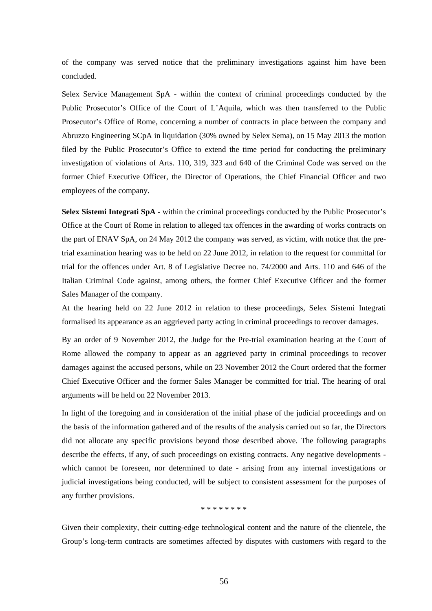of the company was served notice that the preliminary investigations against him have been concluded.

Selex Service Management SpA - within the context of criminal proceedings conducted by the Public Prosecutor's Office of the Court of L'Aquila, which was then transferred to the Public Prosecutor's Office of Rome, concerning a number of contracts in place between the company and Abruzzo Engineering SCpA in liquidation (30% owned by Selex Sema), on 15 May 2013 the motion filed by the Public Prosecutor's Office to extend the time period for conducting the preliminary investigation of violations of Arts. 110, 319, 323 and 640 of the Criminal Code was served on the former Chief Executive Officer, the Director of Operations, the Chief Financial Officer and two employees of the company.

**Selex Sistemi Integrati SpA** - within the criminal proceedings conducted by the Public Prosecutor's Office at the Court of Rome in relation to alleged tax offences in the awarding of works contracts on the part of ENAV SpA, on 24 May 2012 the company was served, as victim, with notice that the pretrial examination hearing was to be held on 22 June 2012, in relation to the request for committal for trial for the offences under Art. 8 of Legislative Decree no. 74/2000 and Arts. 110 and 646 of the Italian Criminal Code against, among others, the former Chief Executive Officer and the former Sales Manager of the company.

At the hearing held on 22 June 2012 in relation to these proceedings, Selex Sistemi Integrati formalised its appearance as an aggrieved party acting in criminal proceedings to recover damages.

By an order of 9 November 2012, the Judge for the Pre-trial examination hearing at the Court of Rome allowed the company to appear as an aggrieved party in criminal proceedings to recover damages against the accused persons, while on 23 November 2012 the Court ordered that the former Chief Executive Officer and the former Sales Manager be committed for trial. The hearing of oral arguments will be held on 22 November 2013.

In light of the foregoing and in consideration of the initial phase of the judicial proceedings and on the basis of the information gathered and of the results of the analysis carried out so far, the Directors did not allocate any specific provisions beyond those described above. The following paragraphs describe the effects, if any, of such proceedings on existing contracts. Any negative developments which cannot be foreseen, nor determined to date - arising from any internal investigations or judicial investigations being conducted, will be subject to consistent assessment for the purposes of any further provisions.

\* \* \* \* \* \* \* \*

Given their complexity, their cutting-edge technological content and the nature of the clientele, the Group's long-term contracts are sometimes affected by disputes with customers with regard to the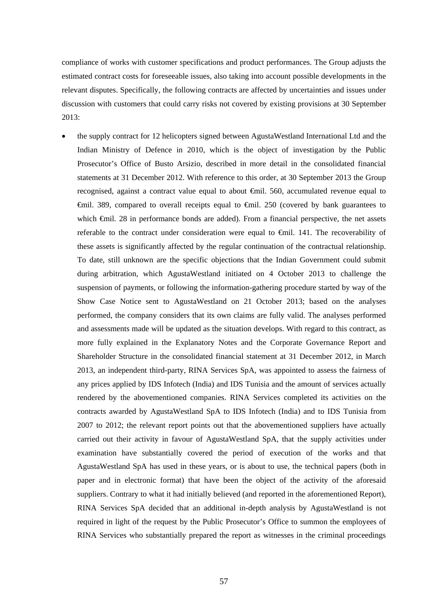compliance of works with customer specifications and product performances. The Group adjusts the estimated contract costs for foreseeable issues, also taking into account possible developments in the relevant disputes. Specifically, the following contracts are affected by uncertainties and issues under discussion with customers that could carry risks not covered by existing provisions at 30 September 2013:

 the supply contract for 12 helicopters signed between AgustaWestland International Ltd and the Indian Ministry of Defence in 2010, which is the object of investigation by the Public Prosecutor's Office of Busto Arsizio, described in more detail in the consolidated financial statements at 31 December 2012. With reference to this order, at 30 September 2013 the Group recognised, against a contract value equal to about €mil. 560, accumulated revenue equal to €mil. 389, compared to overall receipts equal to €mil. 250 (covered by bank guarantees to which **€mil.** 28 in performance bonds are added). From a financial perspective, the net assets referable to the contract under consideration were equal to €mil. 141. The recoverability of these assets is significantly affected by the regular continuation of the contractual relationship. To date, still unknown are the specific objections that the Indian Government could submit during arbitration, which AgustaWestland initiated on 4 October 2013 to challenge the suspension of payments, or following the information-gathering procedure started by way of the Show Case Notice sent to AgustaWestland on 21 October 2013; based on the analyses performed, the company considers that its own claims are fully valid. The analyses performed and assessments made will be updated as the situation develops. With regard to this contract, as more fully explained in the Explanatory Notes and the Corporate Governance Report and Shareholder Structure in the consolidated financial statement at 31 December 2012, in March 2013, an independent third-party, RINA Services SpA, was appointed to assess the fairness of any prices applied by IDS Infotech (India) and IDS Tunisia and the amount of services actually rendered by the abovementioned companies. RINA Services completed its activities on the contracts awarded by AgustaWestland SpA to IDS Infotech (India) and to IDS Tunisia from 2007 to 2012; the relevant report points out that the abovementioned suppliers have actually carried out their activity in favour of AgustaWestland SpA, that the supply activities under examination have substantially covered the period of execution of the works and that AgustaWestland SpA has used in these years, or is about to use, the technical papers (both in paper and in electronic format) that have been the object of the activity of the aforesaid suppliers. Contrary to what it had initially believed (and reported in the aforementioned Report), RINA Services SpA decided that an additional in-depth analysis by AgustaWestland is not required in light of the request by the Public Prosecutor's Office to summon the employees of RINA Services who substantially prepared the report as witnesses in the criminal proceedings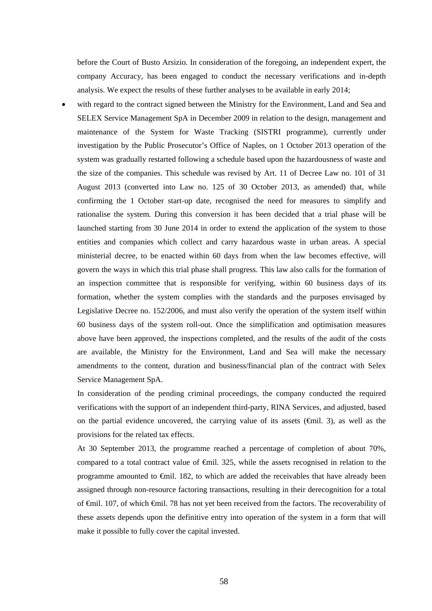before the Court of Busto Arsizio. In consideration of the foregoing, an independent expert, the company Accuracy, has been engaged to conduct the necessary verifications and in-depth analysis. We expect the results of these further analyses to be available in early 2014;

 with regard to the contract signed between the Ministry for the Environment, Land and Sea and SELEX Service Management SpA in December 2009 in relation to the design, management and maintenance of the System for Waste Tracking (SISTRI programme), currently under investigation by the Public Prosecutor's Office of Naples, on 1 October 2013 operation of the system was gradually restarted following a schedule based upon the hazardousness of waste and the size of the companies. This schedule was revised by Art. 11 of Decree Law no. 101 of 31 August 2013 (converted into Law no. 125 of 30 October 2013, as amended) that, while confirming the 1 October start-up date, recognised the need for measures to simplify and rationalise the system*.* During this conversion it has been decided that a trial phase will be launched starting from 30 June 2014 in order to extend the application of the system to those entities and companies which collect and carry hazardous waste in urban areas. A special ministerial decree, to be enacted within 60 days from when the law becomes effective, will govern the ways in which this trial phase shall progress. This law also calls for the formation of an inspection committee that is responsible for verifying, within 60 business days of its formation, whether the system complies with the standards and the purposes envisaged by Legislative Decree no. 152/2006, and must also verify the operation of the system itself within 60 business days of the system roll-out. Once the simplification and optimisation measures above have been approved, the inspections completed, and the results of the audit of the costs are available, the Ministry for the Environment, Land and Sea will make the necessary amendments to the content, duration and business/financial plan of the contract with Selex Service Management SpA.

In consideration of the pending criminal proceedings, the company conducted the required verifications with the support of an independent third-party, RINA Services, and adjusted, based on the partial evidence uncovered, the carrying value of its assets  $(\text{fmil. 3})$ , as well as the provisions for the related tax effects.

At 30 September 2013, the programme reached a percentage of completion of about 70%, compared to a total contract value of €mil. 325, while the assets recognised in relation to the programme amounted to €mil. 182, to which are added the receivables that have already been assigned through non-resource factoring transactions, resulting in their derecognition for a total of €mil. 107, of which €mil. 78 has not yet been received from the factors. The recoverability of these assets depends upon the definitive entry into operation of the system in a form that will make it possible to fully cover the capital invested.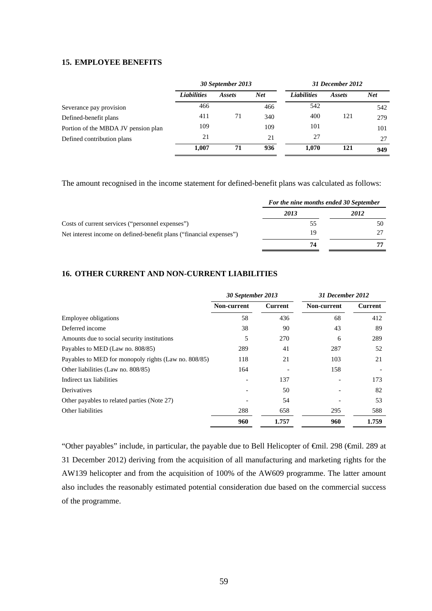# **15. EMPLOYEE BENEFITS**

|                                     | 30 September 2013  |        |     | 31 December 2012   |        |            |
|-------------------------------------|--------------------|--------|-----|--------------------|--------|------------|
|                                     | <b>Liabilities</b> | Assets | Net | <b>Liabilities</b> | Assets | <b>Net</b> |
| Severance pay provision             | 466                |        | 466 | 542                |        | 542        |
| Defined-benefit plans               | 411                | 71     | 340 | 400                | 121    | 279        |
| Portion of the MBDA JV pension plan | 109                |        | 109 | 101                |        | 101        |
| Defined contribution plans          | 21                 |        | 21  | 27                 |        | 27         |
|                                     | 1,007              | 71     | 936 | 1,070              | 121    | 949        |

The amount recognised in the income statement for defined-benefit plans was calculated as follows:

|                                                                     | For the nine months ended 30 September |      |  |
|---------------------------------------------------------------------|----------------------------------------|------|--|
|                                                                     | 2013                                   | 2012 |  |
| Costs of current services ("personnel expenses")                    | 55                                     | 50   |  |
| Net interest income on defined-benefit plans ("financial expenses") | 19                                     |      |  |
|                                                                     | 74                                     |      |  |

# **16. OTHER CURRENT AND NON-CURRENT LIABILITIES**

|                                                      | 30 September 2013 |                | 31 December 2012   |         |  |
|------------------------------------------------------|-------------------|----------------|--------------------|---------|--|
|                                                      | Non-current       | <b>Current</b> | <b>Non-current</b> | Current |  |
| Employee obligations                                 | 58                | 436            | 68                 | 412     |  |
| Deferred income                                      | 38                | 90             | 43                 | 89      |  |
| Amounts due to social security institutions          | 5                 | 270            | 6                  | 289     |  |
| Payables to MED (Law no. 808/85)                     | 289               | 41             | 287                | 52      |  |
| Payables to MED for monopoly rights (Law no. 808/85) | 118               | 21             | 103                | 21      |  |
| Other liabilities (Law no. 808/85)                   | 164               |                | 158                |         |  |
| Indirect tax liabilities                             |                   | 137            |                    | 173     |  |
| Derivatives                                          |                   | 50             |                    | 82      |  |
| Other payables to related parties (Note 27)          |                   | 54             |                    | 53      |  |
| Other liabilities                                    | 288               | 658            | 295                | 588     |  |
|                                                      | 960               | 1.757          | 960                | 1.759   |  |

"Other payables" include, in particular, the payable due to Bell Helicopter of €mil. 298 (€mil. 289 at 31 December 2012) deriving from the acquisition of all manufacturing and marketing rights for the AW139 helicopter and from the acquisition of 100% of the AW609 programme. The latter amount also includes the reasonably estimated potential consideration due based on the commercial success of the programme.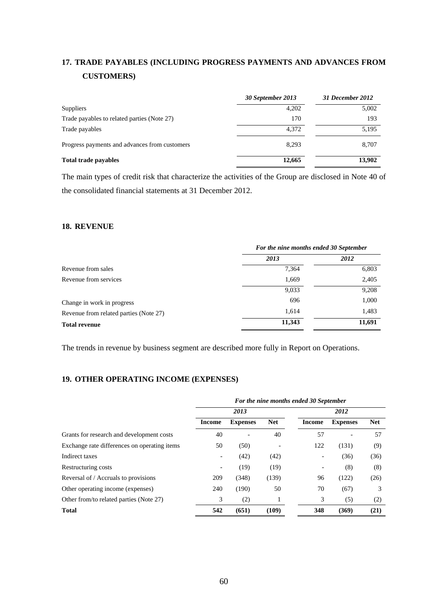# **17. TRADE PAYABLES (INCLUDING PROGRESS PAYMENTS AND ADVANCES FROM CUSTOMERS)**

|                                               | 30 September 2013 | 31 December 2012 |
|-----------------------------------------------|-------------------|------------------|
| Suppliers                                     | 4,202             | 5,002            |
| Trade payables to related parties (Note 27)   | 170               | 193              |
| Trade payables                                | 4.372             | 5,195            |
| Progress payments and advances from customers | 8.293             | 8.707            |
| <b>Total trade payables</b>                   | 12,665            | 13,902           |

The main types of credit risk that characterize the activities of the Group are disclosed in Note 40 of the consolidated financial statements at 31 December 2012.

### **18. REVENUE**

|                                        | For the nine months ended 30 September |        |  |
|----------------------------------------|----------------------------------------|--------|--|
|                                        | 2013                                   | 2012   |  |
| Revenue from sales                     | 7,364                                  | 6,803  |  |
| Revenue from services                  | 1,669                                  | 2,405  |  |
|                                        | 9,033                                  | 9,208  |  |
| Change in work in progress             | 696                                    | 1,000  |  |
| Revenue from related parties (Note 27) | 1,614                                  | 1,483  |  |
| <b>Total revenue</b>                   | 11,343                                 | 11,691 |  |

The trends in revenue by business segment are described more fully in Report on Operations.

# **19. OTHER OPERATING INCOME (EXPENSES)**

|                                              | For the nine months ended 30 September |                 |            |                          |                 |            |
|----------------------------------------------|----------------------------------------|-----------------|------------|--------------------------|-----------------|------------|
|                                              |                                        | 2013            |            | 2012                     |                 |            |
|                                              | Income                                 | <b>Expenses</b> | <b>Net</b> | Income                   | <b>Expenses</b> | <b>Net</b> |
| Grants for research and development costs    | 40                                     |                 | 40         | 57                       |                 | 57         |
| Exchange rate differences on operating items | 50                                     | (50)            |            | 122                      | (131)           | (9)        |
| Indirect taxes                               |                                        | (42)            | (42)       | $\overline{\phantom{a}}$ | (36)            | (36)       |
| Restructuring costs                          |                                        | (19)            | (19)       |                          | (8)             | (8)        |
| Reversal of / Accruals to provisions         | 209                                    | (348)           | (139)      | 96                       | (122)           | (26)       |
| Other operating income (expenses)            | 240                                    | (190)           | 50         | 70                       | (67)            | 3          |
| Other from/to related parties (Note 27)      | 3                                      | (2)             |            | 3                        | (5)             | (2)        |
| <b>Total</b>                                 | 542                                    | (651)           | (109)      | 348                      | (369)           | (21)       |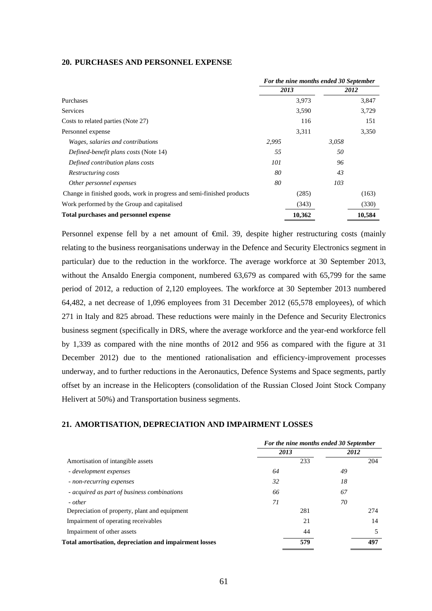## **20. PURCHASES AND PERSONNEL EXPENSE**

|                                                                       | For the nine months ended 30 September |        |       |        |
|-----------------------------------------------------------------------|----------------------------------------|--------|-------|--------|
|                                                                       |                                        | 2013   |       | 2012   |
| Purchases                                                             |                                        | 3,973  |       | 3,847  |
| <b>Services</b>                                                       |                                        | 3,590  |       | 3,729  |
| Costs to related parties (Note 27)                                    |                                        | 116    |       | 151    |
| Personnel expense                                                     |                                        | 3,311  |       | 3,350  |
| Wages, salaries and contributions                                     | 2,995                                  |        | 3,058 |        |
| Defined-benefit plans costs (Note 14)                                 | 55                                     |        | 50    |        |
| Defined contribution plans costs                                      | 101                                    |        | 96    |        |
| Restructuring costs                                                   | 80                                     |        | 43    |        |
| Other personnel expenses                                              | 80                                     |        | 103   |        |
| Change in finished goods, work in progress and semi-finished products |                                        | (285)  |       | (163)  |
| Work performed by the Group and capitalised                           |                                        | (343)  |       | (330)  |
| Total purchases and personnel expense                                 |                                        | 10,362 |       | 10,584 |

Personnel expense fell by a net amount of €mil. 39, despite higher restructuring costs (mainly relating to the business reorganisations underway in the Defence and Security Electronics segment in particular) due to the reduction in the workforce. The average workforce at 30 September 2013, without the Ansaldo Energia component, numbered 63,679 as compared with 65,799 for the same period of 2012, a reduction of 2,120 employees. The workforce at 30 September 2013 numbered 64,482, a net decrease of 1,096 employees from 31 December 2012 (65,578 employees), of which 271 in Italy and 825 abroad. These reductions were mainly in the Defence and Security Electronics business segment (specifically in DRS, where the average workforce and the year-end workforce fell by 1,339 as compared with the nine months of 2012 and 956 as compared with the figure at 31 December 2012) due to the mentioned rationalisation and efficiency-improvement processes underway, and to further reductions in the Aeronautics, Defence Systems and Space segments, partly offset by an increase in the Helicopters (consolidation of the Russian Closed Joint Stock Company Helivert at 50%) and Transportation business segments.

### **21. AMORTISATION, DEPRECIATION AND IMPAIRMENT LOSSES**

|                                                        | For the nine months ended 30 September |      |  |  |
|--------------------------------------------------------|----------------------------------------|------|--|--|
|                                                        | 2013                                   | 2012 |  |  |
| Amortisation of intangible assets                      | 233                                    | 204  |  |  |
| - development expenses                                 | 64                                     | 49   |  |  |
| - non-recurring expenses                               | 32                                     | 18   |  |  |
| - acquired as part of business combinations            | 66                                     | 67   |  |  |
| - other                                                | 71                                     | 70   |  |  |
| Depreciation of property, plant and equipment          | 281                                    | 274  |  |  |
| Impairment of operating receivables                    | 21                                     | 14   |  |  |
| Impairment of other assets                             | 44                                     | 5    |  |  |
| Total amortisation, depreciation and impairment losses | 579                                    | 497  |  |  |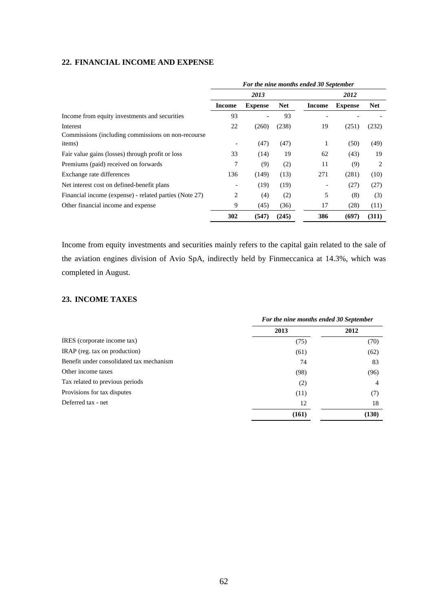# **22. FINANCIAL INCOME AND EXPENSE**

|                                                        | For the nine months ended 30 September |                |            |        |                |            |  |
|--------------------------------------------------------|----------------------------------------|----------------|------------|--------|----------------|------------|--|
|                                                        | 2013                                   |                |            | 2012   |                |            |  |
|                                                        | <b>Income</b>                          | <b>Expense</b> | <b>Net</b> | Income | <b>Expense</b> | <b>Net</b> |  |
| Income from equity investments and securities          | 93                                     | ۰              | 93         |        |                |            |  |
| Interest                                               | 22                                     | (260)          | (238)      | 19     | (251)          | (232)      |  |
| Commissions (including commissions on non-recourse)    |                                        |                |            |        |                |            |  |
| items)                                                 |                                        | (47)           | (47)       | 1      | (50)           | (49)       |  |
| Fair value gains (losses) through profit or loss       | 33                                     | (14)           | 19         | 62     | (43)           | 19         |  |
| Premiums (paid) received on forwards                   | 7                                      | (9)            | (2)        | 11     | (9)            | 2          |  |
| Exchange rate differences                              | 136                                    | (149)          | (13)       | 271    | (281)          | (10)       |  |
| Net interest cost on defined-benefit plans             | $\overline{\phantom{a}}$               | (19)           | (19)       |        | (27)           | (27)       |  |
| Financial income (expense) - related parties (Note 27) | 2                                      | (4)            | (2)        | 5      | (8)            | (3)        |  |
| Other financial income and expense                     | 9                                      | (45)           | (36)       | 17     | (28)           | (11)       |  |
|                                                        | 302                                    | (547)          | (245)      | 386    | (697)          | (311)      |  |

Income from equity investments and securities mainly refers to the capital gain related to the sale of the aviation engines division of Avio SpA, indirectly held by Finmeccanica at 14.3%, which was completed in August.

# **23. INCOME TAXES**

|                                          |       | For the nine months ended 30 September |  |  |
|------------------------------------------|-------|----------------------------------------|--|--|
|                                          | 2013  | 2012                                   |  |  |
| IRES (corporate income tax)              | (75)  | (70)                                   |  |  |
| IRAP (reg. tax on production)            | (61)  | (62)                                   |  |  |
| Benefit under consolidated tax mechanism | 74    | 83                                     |  |  |
| Other income taxes                       | (98)  | (96)                                   |  |  |
| Tax related to previous periods          | (2)   | 4                                      |  |  |
| Provisions for tax disputes              | (11)  | (7)                                    |  |  |
| Deferred tax - net                       | 12    | 18                                     |  |  |
|                                          | (161) | (130)                                  |  |  |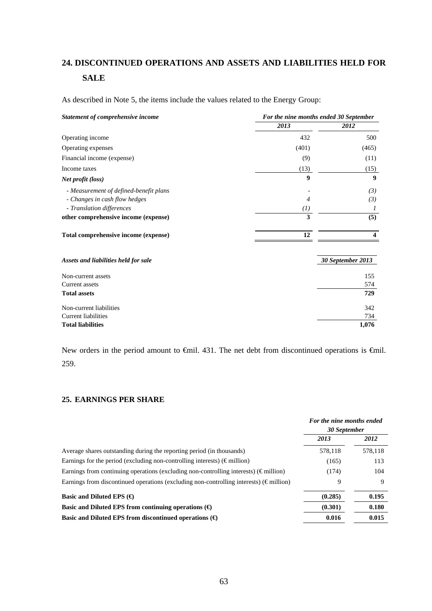# **24. DISCONTINUED OPERATIONS AND ASSETS AND LIABILITIES HELD FOR SALE**

As described in Note 5, the items include the values related to the Energy Group:

| Statement of comprehensive income      | For the nine months ended 30 September |                   |  |  |
|----------------------------------------|----------------------------------------|-------------------|--|--|
|                                        | 2013                                   | 2012              |  |  |
| Operating income                       | 432                                    | 500               |  |  |
| Operating expenses                     | (401)                                  | (465)             |  |  |
| Financial income (expense)             | (9)                                    | (11)              |  |  |
| Income taxes                           | (13)                                   | (15)              |  |  |
| <i>Net profit (loss)</i>               | 9                                      | 9                 |  |  |
| - Measurement of defined-benefit plans |                                        | (3)               |  |  |
| - Changes in cash flow hedges          | 4                                      | (3)               |  |  |
| - Translation differences              | $\left( l\right)$                      | $\prime$          |  |  |
| other comprehensive income (expense)   | 3                                      | (5)               |  |  |
| Total comprehensive income (expense)   | 12                                     | 4                 |  |  |
| Assets and liabilities held for sale   |                                        | 30 September 2013 |  |  |
| Non-current assets                     |                                        | 155               |  |  |
| Current assets                         |                                        | 574               |  |  |
| <b>Total assets</b>                    |                                        | 729               |  |  |
| Non-current liabilities                |                                        | 342               |  |  |
| <b>Current liabilities</b>             |                                        | 734               |  |  |
| <b>Total liabilities</b>               |                                        | 1,076             |  |  |

New orders in the period amount to  $\oplus$ mil. 431. The net debt from discontinued operations is  $\oplus$ mil. 259.

#### **25. EARNINGS PER SHARE**

|                                                                                                   | For the nine months ended<br>30 September |         |
|---------------------------------------------------------------------------------------------------|-------------------------------------------|---------|
|                                                                                                   | 2013                                      | 2012    |
| Average shares outstanding during the reporting period (in thousands)                             | 578,118                                   | 578,118 |
| Earnings for the period (excluding non-controlling interests) ( $\epsilon$ million)               | (165)                                     | 113     |
| Earnings from continuing operations (excluding non-controlling interests) ( $\epsilon$ million)   | (174)                                     | 104     |
| Earnings from discontinued operations (excluding non-controlling interests) ( $\epsilon$ million) | 9                                         | 9       |
| Basic and Diluted EPS $(\bigoplus$                                                                | (0.285)                                   | 0.195   |
| Basic and Diluted EPS from continuing operations $(\Theta)$                                       | (0.301)                                   | 0.180   |
| Basic and Diluted EPS from discontinued operations $(\Theta)$                                     | 0.016                                     | 0.015   |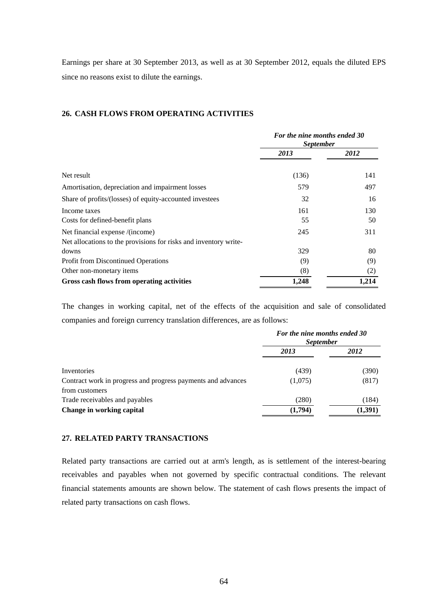Earnings per share at 30 September 2013, as well as at 30 September 2012, equals the diluted EPS since no reasons exist to dilute the earnings.

# **26. CASH FLOWS FROM OPERATING ACTIVITIES**

|                                                                  | For the nine months ended 30<br><i>September</i> |       |  |
|------------------------------------------------------------------|--------------------------------------------------|-------|--|
|                                                                  | 2013                                             | 2012  |  |
|                                                                  |                                                  |       |  |
| Net result                                                       | (136)                                            | 141   |  |
| Amortisation, depreciation and impairment losses                 | 579                                              | 497   |  |
| Share of profits/(losses) of equity-accounted investees          | 32                                               | 16    |  |
| Income taxes                                                     | 161                                              | 130   |  |
| Costs for defined-benefit plans                                  | 55                                               | 50    |  |
| Net financial expense /(income)                                  | 245                                              | 311   |  |
| Net allocations to the provisions for risks and inventory write- |                                                  |       |  |
| downs                                                            | 329                                              | 80    |  |
| <b>Profit from Discontinued Operations</b>                       | (9)                                              | (9)   |  |
| Other non-monetary items                                         | (8)                                              | (2)   |  |
| Gross cash flows from operating activities                       | 1,248                                            | 1,214 |  |

The changes in working capital, net of the effects of the acquisition and sale of consolidated companies and foreign currency translation differences, are as follows:

|                                                              |         | For the nine months ended 30<br><i>September</i> |  |  |
|--------------------------------------------------------------|---------|--------------------------------------------------|--|--|
|                                                              | 2013    | 2012                                             |  |  |
| Inventories                                                  | (439)   | (390)                                            |  |  |
| Contract work in progress and progress payments and advances | (1,075) | (817)                                            |  |  |
| from customers                                               |         |                                                  |  |  |
| Trade receivables and payables                               | (280)   | (184)                                            |  |  |
| Change in working capital                                    | (1,794) | (1, 391)                                         |  |  |

# **27. RELATED PARTY TRANSACTIONS**

Related party transactions are carried out at arm's length, as is settlement of the interest-bearing receivables and payables when not governed by specific contractual conditions. The relevant financial statements amounts are shown below. The statement of cash flows presents the impact of related party transactions on cash flows.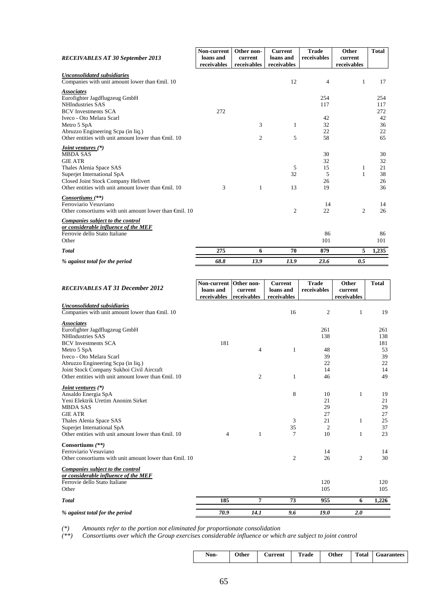| <b>RECEIVABLES AT 30 September 2013</b>                                                                                                                                                                                         | Non-current<br>loans and<br>receivables | Other non-<br>current<br>receivables | <b>Current</b><br>loans and<br>receivables | <b>Trade</b><br>receivables     | Other<br>current<br>receivables | <b>Total</b>                     |
|---------------------------------------------------------------------------------------------------------------------------------------------------------------------------------------------------------------------------------|-----------------------------------------|--------------------------------------|--------------------------------------------|---------------------------------|---------------------------------|----------------------------------|
| <b>Unconsolidated subsidiaries</b><br>Companies with unit amount lower than $\oplus$ nil. 10                                                                                                                                    |                                         |                                      | 12                                         | 4                               | 1                               | 17                               |
| <b>Associates</b><br>Eurofighter Jagdflugzeug GmbH<br><b>NHIndustries SAS</b><br><b>BCV</b> Investments SCA                                                                                                                     | 272                                     |                                      |                                            | 254<br>117                      |                                 | 254<br>117<br>272                |
| Iveco - Oto Melara Scarl<br>Metro 5 SpA                                                                                                                                                                                         |                                         | 3                                    | 1                                          | 42<br>32                        |                                 | 42<br>36                         |
| Abruzzo Engineering Scpa (in liq.)<br>Other entities with unit amount lower than $\bigoplus$ il. 10                                                                                                                             |                                         | 2                                    | 5                                          | 22<br>58                        |                                 | 22<br>65                         |
| <i>Joint ventures</i> (*)<br><b>MBDA SAS</b><br><b>GIE ATR</b><br>Thales Alenia Space SAS<br>Superjet International SpA<br>Closed Joint Stock Company Helivert<br>Other entities with unit amount lower than $\bigoplus$ il. 10 | 3                                       | $\mathbf{1}$                         | 5<br>32<br>13                              | 30<br>32<br>15<br>5<br>26<br>19 | 1<br>$\mathbf{1}$               | 30<br>32<br>21<br>38<br>26<br>36 |
| Consortiums (**)<br>Ferroviario Vesuviano<br>Other consortiums with unit amount lower than $\bigoplus$ il. 10                                                                                                                   |                                         |                                      | $\mathfrak{2}$                             | 14<br>22                        | $\overline{c}$                  | 14<br>26                         |
| Companies subject to the control<br>or considerable influence of the MEF<br>Ferrovie dello Stato Italiane<br>Other                                                                                                              |                                         |                                      |                                            | 86<br>101                       |                                 | 86<br>101                        |
| <b>Total</b>                                                                                                                                                                                                                    | 275                                     | 6                                    | 70                                         | 879                             | 5                               | 1,235                            |
| % against total for the period                                                                                                                                                                                                  | 68.8                                    | 13.9                                 | 13.9                                       | 23.6                            | 0.5                             |                                  |

| <b>RECEIVABLES AT 31 December 2012</b>                                                       | Non-current<br>loans and | Other non-<br>current | <b>Current</b><br>loans and | <b>Trade</b><br>receivables | Other<br>current | <b>Total</b> |
|----------------------------------------------------------------------------------------------|--------------------------|-----------------------|-----------------------------|-----------------------------|------------------|--------------|
|                                                                                              | receivables              | receivables           | receivables                 |                             | receivables      |              |
| <b>Unconsolidated subsidiaries</b><br>Companies with unit amount lower than $\oplus$ nil. 10 |                          |                       | 16                          | $\boldsymbol{2}$            | 1                | 19           |
| <b>Associates</b>                                                                            |                          |                       |                             |                             |                  |              |
| Eurofighter Jagdflugzeug GmbH<br><b>NHIndustries SAS</b>                                     |                          |                       |                             | 261<br>138                  |                  | 261<br>138   |
| <b>BCV</b> Investments SCA                                                                   | 181                      |                       |                             |                             |                  | 181          |
| Metro 5 SpA                                                                                  |                          | 4                     | $\mathbf{1}$                | 48                          |                  | 53           |
| Iveco - Oto Melara Scarl                                                                     |                          |                       |                             | 39                          |                  | 39           |
| Abruzzo Engineering Scpa (in liq.)<br>Joint Stock Company Sukhoi Civil Aircraft              |                          |                       |                             | 22<br>14                    |                  | 22<br>14     |
| Other entities with unit amount lower than <del>C</del> inil. 10                             |                          | $\overline{c}$        | 1                           | 46                          |                  | 49           |
|                                                                                              |                          |                       |                             |                             |                  |              |
| <i>Joint ventures</i> (*)<br>Ansaldo Energia SpA                                             |                          |                       | 8                           | 10                          | 1                | 19           |
| Yeni Elektrik Uretim Anonim Sirket                                                           |                          |                       |                             | 21                          |                  | 21           |
| <b>MBDA SAS</b>                                                                              |                          |                       |                             | 29                          |                  | 29           |
| <b>GIE ATR</b>                                                                               |                          |                       |                             | 27                          |                  | 27           |
| Thales Alenia Space SAS<br>Superjet International SpA                                        |                          |                       | 3<br>35                     | 21<br>$\mathfrak{2}$        | 1                | 25<br>37     |
| Other entities with unit amount lower than $\bigoplus$ il. 10                                | $\overline{4}$           | 1                     | 7                           | 10                          | 1                | 23           |
| Consortiums $(**)$                                                                           |                          |                       |                             |                             |                  |              |
| Ferroviario Vesuviano                                                                        |                          |                       |                             | 14                          |                  | 14           |
| Other consortiums with unit amount lower than $\oplus$ finil. 10                             |                          |                       | $\overline{2}$              | 26                          | $\overline{2}$   | 30           |
| <b>Companies subject to the control</b><br>or considerable influence of the MEF              |                          |                       |                             |                             |                  |              |
| Ferrovie dello Stato Italiane                                                                |                          |                       |                             | 120                         |                  | 120          |
| Other                                                                                        |                          |                       |                             | 105                         |                  | 105          |
| <b>Total</b>                                                                                 | 185                      | 7                     | 73                          | 955                         | 6                | 1,226        |
| % against total for the period                                                               | 70.9                     | 14.1                  | 9.6                         | 19.0                        | 2.0              |              |

*(\*) Amounts refer to the portion not eliminated for proportionate consolidation* 

*(\*\*) Consortiums over which the Group exercises considerable influence or which are subject to joint control* 

| Other<br>Non- | <b>Aurrent</b> | Trade | Other | Total | Guarantees |
|---------------|----------------|-------|-------|-------|------------|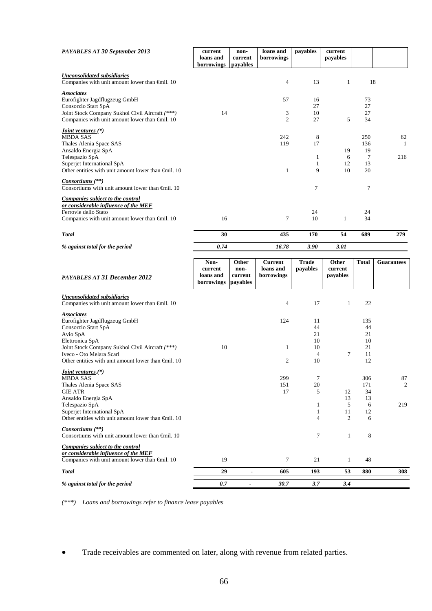| <b>PAYABLES AT 30 September 2013</b>                                                                                                                                                                                                                   | current<br>loans and<br>borrowings         | non-<br>current<br>payables          | loans and<br>borrowings                   | payables                                           | current<br>payables          |                                         |                   |
|--------------------------------------------------------------------------------------------------------------------------------------------------------------------------------------------------------------------------------------------------------|--------------------------------------------|--------------------------------------|-------------------------------------------|----------------------------------------------------|------------------------------|-----------------------------------------|-------------------|
| <b>Unconsolidated subsidiaries</b><br>Companies with unit amount lower than €mil. 10                                                                                                                                                                   |                                            |                                      | 4                                         | 13                                                 | 1                            | 18                                      |                   |
| <b>Associates</b><br>Eurofighter Jagdflugzeug GmbH<br>Consorzio Start SpA<br>Joint Stock Company Sukhoi Civil Aircraft (***)<br>Companies with unit amount lower than €mil. 10                                                                         | 14                                         |                                      | 57<br>3<br>$\overline{2}$                 | 16<br>27<br>10<br>27                               | 5                            | 73<br>27<br>27<br>34                    |                   |
| Joint ventures (*)<br><b>MBDA SAS</b><br>Thales Alenia Space SAS<br>Ansaldo Energia SpA<br>Telespazio SpA<br>Superjet International SpA<br>Other entities with unit amount lower than €mil. 10                                                         |                                            |                                      | 242<br>119<br>1                           | 8<br>17<br>1<br>$\mathbf{1}$<br>9                  | 19<br>6<br>12<br>10          | 250<br>136<br>19<br>7<br>13<br>20       | 62<br>-1<br>216   |
| Consortiums (**)<br>Consortiums with unit amount lower than $\bigoplus$ nil. 10                                                                                                                                                                        |                                            |                                      |                                           | 7                                                  |                              | 7                                       |                   |
| Companies subject to the control<br>or considerable influence of the MEF<br>Ferrovie dello Stato<br>Companies with unit amount lower than $\oplus$ nil. 10                                                                                             | 16                                         |                                      | 7                                         | 24<br>10                                           | 1                            | 24<br>34                                |                   |
| <b>Total</b>                                                                                                                                                                                                                                           | 30                                         |                                      | 435                                       | 170                                                | 54                           | 689                                     | 279               |
| % against total for the period                                                                                                                                                                                                                         | 0.74                                       |                                      | 16.78                                     | 3.90                                               | <b>3.01</b>                  |                                         |                   |
| <b>PAYABLES AT 31 December 2012</b>                                                                                                                                                                                                                    | Non-<br>current<br>loans and<br>borrowings | Other<br>non-<br>current<br>payables | <b>Current</b><br>loans and<br>borrowings | <b>Trade</b><br>payables                           | Other<br>current<br>payables | <b>Total</b>                            | <b>Guarantees</b> |
| <b>Unconsolidated subsidiaries</b><br>Companies with unit amount lower than €mil. 10                                                                                                                                                                   |                                            |                                      | 4                                         | 17                                                 | $\mathbf{1}$                 | 22                                      |                   |
| <b>Associates</b><br>Eurofighter Jagdflugzeug GmbH<br>Consorzio Start SpA<br>Avio SpA<br>Elettronica SpA<br>Joint Stock Company Sukhoi Civil Aircraft (***)<br>Iveco - Oto Melara Scarl<br>Other entities with unit amount lower than $\oplus$ nil. 10 | 10                                         |                                      | 124<br>1<br>2                             | 11<br>44<br>21<br>10<br>10<br>$\overline{4}$<br>10 | 7                            | 135<br>44<br>21<br>10<br>21<br>11<br>12 |                   |
| Joint ventures.(*)<br><b>MBDA SAS</b><br>Thales Alenia Space SAS<br><b>GIE ATR</b><br>Ansaldo Energia SpA<br>Telespazio SpA<br>Superjet International SpA<br>Other entities with unit amount lower than €mil. 10                                       |                                            |                                      | 299<br>151<br>17                          | $\tau$<br>20<br>5<br>1<br>$\mathbf{1}$<br>4        | 12<br>13<br>5<br>11<br>2     | 306<br>171<br>34<br>13<br>6<br>12<br>6  | 87<br>2<br>219    |
| Consortiums (**)<br>Consortiums with unit amount lower than $\bigoplus$ nil. 10                                                                                                                                                                        |                                            |                                      |                                           | $\boldsymbol{7}$                                   | $\mathbf{1}$                 | 8                                       |                   |
| Companies subject to the control<br>or considerable influence of the MEF<br>Companies with unit amount lower than $\oplus$ nil. 10                                                                                                                     | 19                                         |                                      | $\tau$                                    | 21                                                 | $\mathbf{1}$                 | 48                                      |                   |
| <b>Total</b>                                                                                                                                                                                                                                           | 29                                         | $\blacksquare$                       | 605                                       | 193                                                | 53                           | 880                                     | 308               |
| % against total for the period                                                                                                                                                                                                                         | $0.7\,$                                    | $\blacksquare$                       | 30.7                                      | 3.7                                                | 3.4                          |                                         |                   |

*(\*\*\*) Loans and borrowings refer to finance lease payables* 

Trade receivables are commented on later, along with revenue from related parties.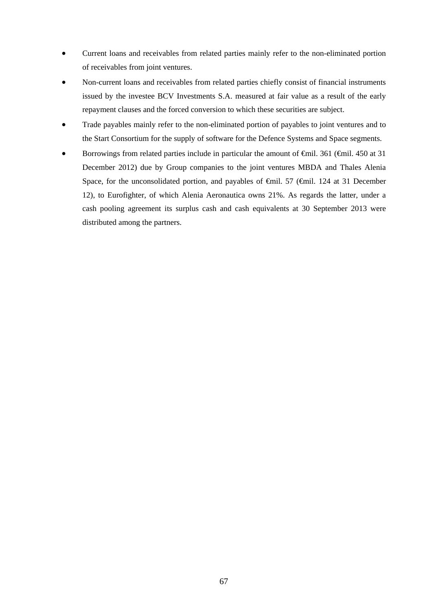- Current loans and receivables from related parties mainly refer to the non-eliminated portion of receivables from joint ventures.
- Non-current loans and receivables from related parties chiefly consist of financial instruments issued by the investee BCV Investments S.A. measured at fair value as a result of the early repayment clauses and the forced conversion to which these securities are subject.
- Trade payables mainly refer to the non-eliminated portion of payables to joint ventures and to the Start Consortium for the supply of software for the Defence Systems and Space segments.
- Borrowings from related parties include in particular the amount of  $\theta$ mil. 361 ( $\theta$ mil. 450 at 31 December 2012) due by Group companies to the joint ventures MBDA and Thales Alenia Space, for the unconsolidated portion, and payables of <del>€</del>mil. 57 (€mil. 124 at 31 December 12), to Eurofighter, of which Alenia Aeronautica owns 21%. As regards the latter, under a cash pooling agreement its surplus cash and cash equivalents at 30 September 2013 were distributed among the partners.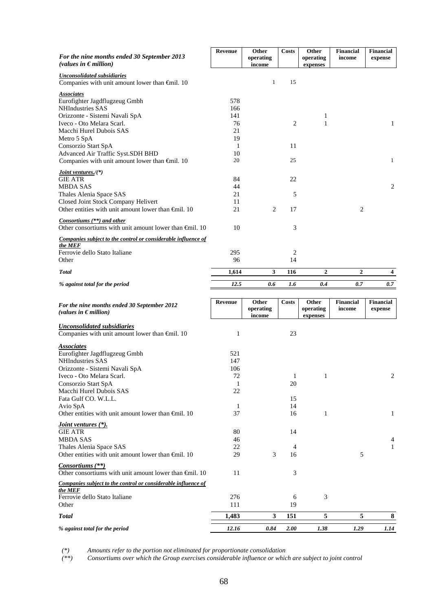| For the nine months ended 30 September 2013                                                            | <b>Revenue</b> | Other<br>operating | <b>Costs</b>       | Other<br>operating | <b>Financial</b><br>income | Financial<br>expense        |
|--------------------------------------------------------------------------------------------------------|----------------|--------------------|--------------------|--------------------|----------------------------|-----------------------------|
| (values in $\epsilon$ million)                                                                         |                | income             |                    | expenses           |                            |                             |
| <b>Unconsolidated subsidiaries</b>                                                                     |                |                    |                    |                    |                            |                             |
| Companies with unit amount lower than €mil. 10                                                         |                | $\mathbf{1}$       | 15                 |                    |                            |                             |
| <b>Associates</b><br>Eurofighter Jagdflugzeug Gmbh                                                     | 578            |                    |                    |                    |                            |                             |
| <b>NHIndustries SAS</b>                                                                                | 166            |                    |                    |                    |                            |                             |
| Orizzonte - Sistemi Navali SpA                                                                         | 141            |                    |                    | 1                  |                            |                             |
| Iveco - Oto Melara Scarl.<br>Macchi Hurel Dubois SAS                                                   | 76<br>21       |                    | 2                  | $\mathbf{1}$       |                            | $\mathbf{1}$                |
| Metro 5 SpA                                                                                            | 19             |                    |                    |                    |                            |                             |
| Consorzio Start SpA                                                                                    | 1              |                    | 11                 |                    |                            |                             |
| Advanced Air Traffic Syst.SDH BHD                                                                      | 10             |                    |                    |                    |                            |                             |
| Companies with unit amount lower than €mil. 10                                                         | 20             |                    | 25                 |                    |                            | $\mathbf{1}$                |
| <i>Joint ventures.</i> /(*)<br><b>GIE ATR</b>                                                          | 84             |                    | 22                 |                    |                            |                             |
| <b>MBDA SAS</b>                                                                                        | 44             |                    |                    |                    |                            | 2                           |
| Thales Alenia Space SAS                                                                                | 21             |                    | 5                  |                    |                            |                             |
| Closed Joint Stock Company Helivert<br>Other entities with unit amount lower than $\bigoplus$ fill. 10 | 11             |                    |                    |                    |                            |                             |
|                                                                                                        | 21             | $\overline{c}$     | 17                 |                    | 2                          |                             |
| Consortiums (**) and other<br>Other consortiums with unit amount lower than $\oplus$ mil. 10           | 10             |                    | 3                  |                    |                            |                             |
| Companies subject to the control or considerable influence of                                          |                |                    |                    |                    |                            |                             |
| the MEF<br>Ferrovie dello Stato Italiane                                                               | 295            |                    | 2                  |                    |                            |                             |
| Other                                                                                                  | 96             |                    | 14                 |                    |                            |                             |
| <b>Total</b>                                                                                           | 1,614          | $\mathbf{3}$       | 116                | $\boldsymbol{2}$   | $\overline{\mathbf{2}}$    | 4                           |
| % against total for the period                                                                         | 12.5           | 0.6                | 1.6                | 0.4                | 0.7                        | 0.7                         |
|                                                                                                        |                |                    |                    |                    |                            |                             |
|                                                                                                        |                |                    |                    |                    |                            |                             |
| For the nine months ended 30 September 2012<br>(values in $\epsilon$ million)                          | <b>Revenue</b> | Other<br>operating | Costs              | Other<br>operating | <b>Financial</b><br>income | <b>Financial</b><br>expense |
|                                                                                                        |                | income             |                    | expenses           |                            |                             |
| <b>Unconsolidated subsidiaries</b><br>Companies with unit amount lower than Gnil. 10                   | 1              |                    | 23                 |                    |                            |                             |
|                                                                                                        |                |                    |                    |                    |                            |                             |
| <b>Associates</b><br>Eurofighter Jagdflugzeug Gmbh                                                     | 521            |                    |                    |                    |                            |                             |
| NHIndustries SAS                                                                                       | 147            |                    |                    |                    |                            |                             |
| Orizzonte - Sistemi Navali SpA                                                                         | 106            |                    |                    |                    |                            |                             |
| Iveco - Oto Melara Scarl.                                                                              | 72<br>1        |                    | $\mathbf{1}$<br>20 | $\mathbf{1}$       |                            | $\boldsymbol{2}$            |
| Consorzio Start SpA<br>Macchi Hurel Dubois SAS                                                         | 22             |                    |                    |                    |                            |                             |
| Fata Gulf CO. W.L.L.                                                                                   |                |                    | 15                 |                    |                            |                             |
| Avio SpA                                                                                               | 1              |                    | 14                 | 1                  |                            |                             |
| Other entities with unit amount lower than $\oplus$ mil. 10                                            | 37             |                    | 16                 |                    |                            | 1                           |
| Joint ventures (*).<br><b>GIE ATR</b>                                                                  | 80             |                    | 14                 |                    |                            |                             |
| <b>MBDA SAS</b>                                                                                        | 46             |                    |                    |                    |                            |                             |
| Thales Alenia Space SAS                                                                                | 22             |                    | $\overline{4}$     |                    |                            | $\mathbf{1}$                |
| Other entities with unit amount lower than $\oplus$ mil. 10                                            | 29             | 3                  | 16                 |                    | 5                          |                             |
| Consortiums (**)<br>Other consortiums with unit amount lower than $\bigoplus$ nil. 10                  | 11             |                    | 3                  |                    |                            |                             |
| Companies subject to the control or considerable influence of                                          |                |                    |                    |                    |                            |                             |
| the MEF<br>Ferrovie dello Stato Italiane                                                               | 276            |                    | 6                  | 3                  |                            |                             |
| Other                                                                                                  | 111            |                    | 19                 |                    |                            |                             |
| Total                                                                                                  | 1,483          | 3                  | 151                | 5                  | 5                          | 8                           |

*(\*) Amounts refer to the portion not eliminated for proportionate consolidation*

*(\*\*) Consortiums over which the Group exercises considerable influence or which are subject to joint control*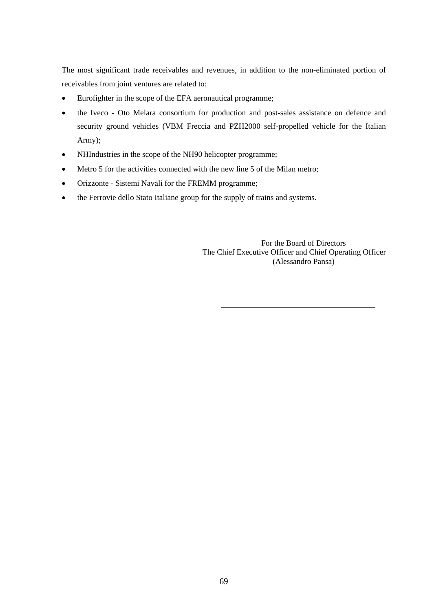The most significant trade receivables and revenues, in addition to the non-eliminated portion of receivables from joint ventures are related to:

- Eurofighter in the scope of the EFA aeronautical programme;
- the Iveco Oto Melara consortium for production and post-sales assistance on defence and security ground vehicles (VBM Freccia and PZH2000 self-propelled vehicle for the Italian Army);
- NHIndustries in the scope of the NH90 helicopter programme;
- Metro 5 for the activities connected with the new line 5 of the Milan metro;
- Orizzonte Sistemi Navali for the FREMM programme;
- the Ferrovie dello Stato Italiane group for the supply of trains and systems.

 For the Board of Directors The Chief Executive Officer and Chief Operating Officer (Alessandro Pansa)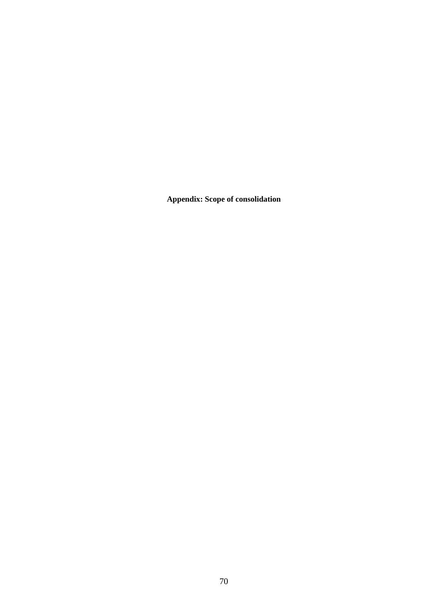**Appendix: Scope of consolidation**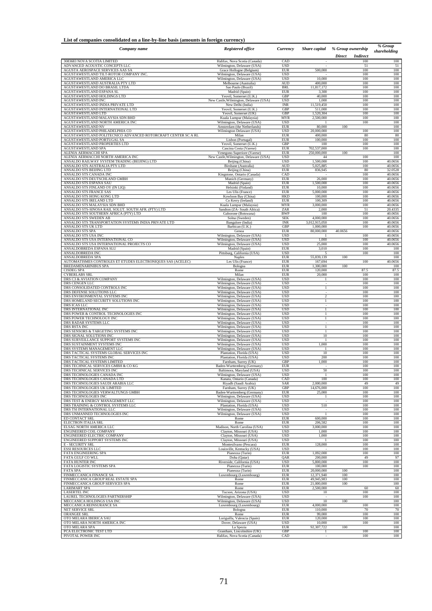#### **List of companies consolidated on a line-by-line basis (amounts in foreign currency)**

| List of companies consolidated on a line-by-line basis (amounts in foreign currency) |                                                          |                          |                          |                                         | % Group      |
|--------------------------------------------------------------------------------------|----------------------------------------------------------|--------------------------|--------------------------|-----------------------------------------|--------------|
| Company name                                                                         | <b>Registered office</b>                                 | Currency                 | Share capital            | % Group ownership                       | shareholding |
| 3083683 NOVA SCOTIA LIMITED                                                          | Halifax, Nova Scotia (Canada)                            | CAD                      |                          | <b>Direct</b><br><b>Indirect</b><br>100 | 100          |
| ADVANCED ACOUSTIC CONCEPTS LLC                                                       | Wilmington, Delaware (USA)                               | <b>USD</b>               | 500,000                  | 51                                      | 51           |
| AGUSTA AEROSPACE SERVICES AAS SA                                                     | Grace Hollogne (Belgium)                                 | <b>EUR</b>               |                          | 100                                     | 100          |
| AGUSTAWESTLAND TILT-ROTOR COMPANY INC.                                               | Wilmington, Delaware (USA)<br>Wilmington, Delaware (USA) | USD<br><b>USD</b>        | 10,000                   | 100<br>100                              | 100<br>100   |
| AGUSTAWESTLAND AMERICA LLC<br>AGUSTAWESTLAND AUSTRALIA PTY LTD                       | Melbourne (Australia)                                    | AUD                      | 400,000                  | 100                                     | 100          |
| AGUSTAWESTLAND DO BRASIL LTDA                                                        | Sao Paulo (Brazil)                                       | <b>BRL</b>               | 11,817,172               | 100                                     | 100          |
| AGUSTAWESTLAND ESPANA SL                                                             | Madrid (Spain)                                           | <b>EUR</b>               | 3,300                    | 100                                     | 100          |
| AGUSTAWESTLAND HOLDINGS LTD                                                          | Yeovil, Somerset (U.K.)                                  | GBP                      | 40,000                   | 100                                     | 100          |
| AGUSTAWESTLAND INC                                                                   | New Castle, Wilmington, Delaware (USA)                   | USD                      | 1,000                    | 100                                     | 100          |
| AGUSTAWESTLAND INDIA PRIVATE LTD                                                     | New Delhi (India)                                        | INR                      | 11,519,450               | 100                                     | 100          |
| AGUSTAWESTLAND INTERNATIONAL LTD                                                     | Yeovil, Somerset (U.K.)                                  | <b>GBP</b>               | 511,000                  | 100                                     | 100          |
| AGUSTAWESTLAND LTD                                                                   | Yeovil, Somerset (UK)                                    | GBP                      | 1,520,304                | 100                                     | 100          |
| AGUSTAWESTLAND MALAYSIA SDN BHD                                                      | Kuala Lumpur (Malaysia)                                  | <b>MYR</b>               | 2,500,000                | 100                                     | 100          |
| AGUSTAWESTLAND NORTH AMERICA INC                                                     | Wilmington, Delaware (USA)                               | USD                      |                          | 100                                     | 100          |
| AGUSTAWESTLAND NV                                                                    | Amsterdam (the Netherlands)                              | <b>EUR</b>               | 80,000                   | 100                                     | 100          |
| AGUSTAWESTLAND PHILADELPHIA CO                                                       | Wilmington Delaware (USA)                                | USD                      | 20,000,000               | 100                                     | 100          |
| AGUSTAWESTLAND POLITECNICO ADVANCED ROTORCRAFT CENTER SC A RL                        | Milan                                                    | <b>EUR</b>               | 400,000                  | 80                                      | 80           |
| AGUSTAWESTLAND PORTUGAL SA                                                           | Lisbon (Portugal)                                        | <b>EUR</b>               | 100,000                  | 100                                     | 100          |
| AGUSTAWESTLAND PROPERTIES LTD                                                        | Yeovil, Somerset (U.K.)                                  | GBP                      | 100                      | 100                                     | 100          |
| AGUSTAWESTLAND SPA                                                                   | Cascina Costa (Varese)                                   | <b>EUR</b>               | 702,537,000              | 100                                     | 100          |
| ALENIA AERMACCHI SPA                                                                 | Venegono Superiore (Varese)                              | <b>EUR</b>               | 250,000,000              | 100                                     | 100          |
| ALENIA AERMACCHI NORTH AMERICA INC                                                   | New Castle, Wilmington, Delaware (USA)                   | USD                      | 44                       | 100                                     | 100          |
| ANSALDO RAILWAY SYSTEM TRADING (BEIJING) LTD                                         | Beijing (China)                                          | USD                      | 1,500,000                | 100                                     | 40.0656      |
| ANSALDO STS AUSTRALIA PTY LTD                                                        | Birsbane (Australia)                                     | <b>AUD</b>               | 5,025,885                | 100                                     | 40.0656      |
| ANSALDO STS BEIJING LTD                                                              | Beijing (China)                                          | <b>EUR</b>               | 836,945                  | 80                                      | 32.0528      |
| ANSALDO STS CANADA INC                                                               | Kingstone, Ontario (Canada)                              | CAD                      | 26,000                   | 100                                     | 40.0656      |
| ANSALDO STS DEUTSCHLAND GMBH                                                         | Munich (Germany)                                         | <b>EUR</b>               |                          | 100                                     | 40.0656      |
| ANSALDO STS ESPANA SAU                                                               | Madrid (Spain)                                           | <b>EUR</b>               | 1,500,000                | 100                                     | 40.0656      |
| ANSALDO STS FINLAND OY (IN LIQ)                                                      | Helsinki (Finland)                                       | <b>EUR</b>               | 10,000                   | 100                                     | 40.0656      |
| ANSALDO STS FRANCE SAS                                                               | Les Ulis (France)                                        | EUR                      | 5,000,000                | 100                                     | 40.0656      |
| ANSALDO STS HONG KONG LTD                                                            | Kowloon Bay (China)                                      | HKD                      | 100,000                  | 100                                     | 40.0656      |
| ANSALDO STS IRELAND LTD                                                              | Co Kerry (Ireland)                                       | <b>EUR</b>               | 100,309                  | 100                                     | 40.0656      |
| ANSALDO STS MALAYSIA SDN BHD                                                         | Kuala Lumpur (Malaysia)                                  | <b>MYR</b>               | 3,000,000                | 100                                     | 40.0656      |
| ANSALDO STS-SINOSA RAIL SOLUT. SOUTH AFR. (PTY) LTD                                  | Sandton (ZA- South Africa)                               | ZAR                      | 2,000                    | 51                                      | 20.4335      |
| ANSALDO STS SOUTHERN AFRICA (PTY) LTD                                                | Gaborone (Botswana)                                      | <b>BWP</b>               | 100                      | 100                                     | 40.0656      |
| ANSALDO STS SWEDEN AB                                                                | Solna (Sweden)                                           | <b>SEK</b>               | 4,000,000                | 100                                     | 40.0656      |
| ANSALDO STS TRANSPORTATION SYSTEMS INDIA PRIVATE LTD                                 | Bangalore (India)                                        | <b>INR</b>               | 3,012,915,050            | 100                                     | 40.0656      |
| ANSALDO STS UK LTD                                                                   | Barbican (U.K.)                                          | GBP                      | 1,000,000                | 100                                     | 40.0656      |
| <b>ANSALDO STS SPA</b>                                                               | Genoa                                                    | <b>EUR</b>               | 80,000,000               | 40.0656                                 | 40.0656      |
| ANSALDO STS USA INC                                                                  | Wilmington, Delaware (USA)                               | <b>USD</b>               |                          | 100                                     | 40.0656      |
| ANSALDO STS USA INTERNATIONAL CO                                                     | Wilmington, Delaware (USA)                               | <b>USD</b>               | 1,000                    | 100                                     | 40.0656      |
| ANSALDO STS USA INTERNATIONAL PROJECTS CO                                            | Wilmington, Delaware (USA)                               | <b>USD</b>               | 25,000                   | 100                                     | 40.0656      |
| ANSALDOBREDA ESPANA SLU                                                              | Madrid (Spain)                                           | <b>EUR</b>               | 3,010                    | 100                                     | 100          |
| ANSALDOBREDA INC                                                                     | Pittsburg, California (USA)                              | <b>USD</b>               | 5                        | 100                                     | 100          |
| ANSALDOBREDA SPA                                                                     | Naples                                                   | <b>EUR</b>               | 55,839,139               | 100                                     | 100          |
| AUTOMATISMES CONTROLES ET ETUDES ELECTRONIQUES SAS (ACELEC)                          | Les Ulis (France)                                        | <b>EUR</b>               | 167,694                  | 100                                     | 40.0656      |
| BREDAMENARINIBUS SPA                                                                 | Bologna                                                  | <b>EUR</b>               | 1,300,000                | 100                                     | 100          |
| <b>CISDEG SPA</b>                                                                    | Rome                                                     | <b>EUR</b>               | 120,000                  | 87.5                                    | 87.5         |
| <b>CYBERLABS SRL</b>                                                                 | Milan                                                    | <b>EUR</b>               | 20,000                   | 100                                     | 100          |
| DRS C3 & AVIATION COMPANY                                                            | Wilmington, Delaware (USA)                               | <b>USD</b>               | 1                        | 100                                     | 100          |
| DRS CENGEN LLC                                                                       | Wilmington, Delaware (USA)                               | <b>USD</b>               | ä,                       | 100                                     | 100          |
| DRS CONSOLIDATED CONTROLS INC                                                        | Wilmington, Delaware (USA)                               | <b>USD</b>               | 1                        | 100                                     | 100          |
| DRS DEFENSE SOLUTIONS LLC                                                            | Wilmington, Delaware (USA)                               | <b>USD</b>               | $\overline{\mathcal{L}}$ | 100                                     | 100          |
| DRS ENVIRONMENTAL SYSTEMS INC                                                        | Wilmington, Delaware (USA)                               | <b>USD</b>               | $\mathbf{1}$             | 100                                     | 100          |
| DRS HOMELAND SECURITY SOLUTIONS INC                                                  | Wilmington, Delaware (USA)                               | <b>USD</b>               |                          | 100                                     | 100          |
| DRS ICAS LLC                                                                         | Wilmington, Delaware (USA)                               | <b>USD</b>               | $\mathbf{1}$             | 100                                     | 100          |
| DRS INTERNATIONAL INC                                                                | Wilmington, Delaware (USA)                               | <b>USD</b>               |                          | 100                                     | 100          |
| DRS POWER & CONTROL TECHNOLOGIES INC                                                 | Wilmington, Delaware (USA)                               | <b>USD</b>               | 1                        | 100                                     | 100          |
| DRS POWER TECHNOLOGY INC                                                             | Wilmington, Delaware (USA)                               | <b>USD</b>               | 1                        | 100                                     | 100          |
| DRS RADAR SYSTEMS LLC                                                                | Wilmington, Delaware (USA)                               | <b>USD</b>               |                          | 100                                     | 100          |
| DRS RSTA INC                                                                         | Wilmington, Delaware (USA)                               | <b>USD</b>               | $\mathbf{1}$             | 100                                     | 100          |
| DRS SENSORS & TARGETING SYSTEMS INC                                                  | Wilmington, Delaware (USA)                               | <b>USD</b>               |                          | 100                                     | 100          |
| DRS SIGNAL SOLUTIONS INC                                                             | Wilmington, Delaware (USA)                               | <b>USD</b>               | 10                       | 100                                     | 100          |
| DRS SURVEILLANCE SUPPORT SYSTEMS INC                                                 | Wilmington, Delaware (USA)                               | <b>USD</b>               | $\mathbf{1}$             | 100                                     | 100          |
| DRS SUSTAINMENT SYSTEMS INC                                                          | Wilmington, Delaware (USA)                               | <b>USD</b>               | 1,000                    | 100                                     | 100          |
| DRS SYSTEMS MANAGEMENT LLC                                                           | Wilmington, Delaware (USA)                               | <b>USD</b>               | 10                       | 100                                     | 100          |
| DRS TACTICAL SYSTEMS GLOBAL SERVICES INC                                             | Plantation, Florida (USA)                                | <b>USD</b>               |                          | 100                                     | 100          |
| DRS TACTICAL SYSTEMS INC                                                             | Plantation, Florida (USA)                                | <b>USD</b>               | 200                      | 100                                     | 100          |
| DRS TACTICAL SYSTEMS LIMITED                                                         | Farnham, Surrey (UK)                                     | GBP                      | 1,000                    | 100                                     | 100          |
| DRS TECHNICAL SERVICES GMBH & CO KG                                                  | Baden-Wurttemberg (Germany)                              | EUR                      |                          | 100                                     | 100          |
| DRS TECHNICAL SERVICES INC                                                           | Baltimora, Maryland (USA)                                | <b>USD</b>               | 50                       | 100                                     | 100          |
| DRS TECHNOLOGIES CANADA INC                                                          | Wilmington, Delaware (USA)                               | <b>USD</b>               | $\overline{1}$           | 100                                     | 100          |
| DRS TECHNOLOGIES CANADA LTD                                                          | Kanata, Ontario (Canada)                                 | CAD                      | 100                      | 100                                     | 100          |
| DRS TECHNOLOGIES SAUDI ARABIA LLC                                                    | Riyadh (Saudi Arabia)                                    | SAR                      | 2,000,000                | 49                                      | 49           |
| DRS TECHNOLOGIES UK LIMITED                                                          | Farnham, Surrey (UK)                                     | GBP                      | 14,676,000               | 100                                     | 100          |
| DRS TECHNOLOGIES VERWALTUNGS GMBH                                                    | Baden-Wurttemberg (Germany)                              | <b>EUR</b>               | 25,000                   | 100                                     | 100          |
| DRS TECHNOLOGIES INC                                                                 | Wilmington, Delaware (USA)                               | <b>USD</b>               | $\mathbf{1}$             | 100                                     | 100          |
| DRS TEST & ENERGY MANAGEMENT LLC                                                     | Wilmington, Delaware (USA)                               | <b>USD</b>               | 510                      | 100                                     | 100          |
| DRS TRAINING & CONTROL SYSTEMS LLC                                                   | Plantation, Florida (USA)                                | <b>USD</b>               |                          | 100                                     | 100          |
| DRS TSI INTERNATIONAL LLC                                                            | Wilmington, Delaware (USA)                               | <b>USD</b>               |                          | 100                                     | 100          |
| DRS UNMANNED TECHNOLOGIES INC                                                        | Wilmington, Delaware (USA)                               | <b>USD</b>               | 600,000                  | 100                                     | 100          |
| ED CONTACT SRL                                                                       | Rome                                                     | <b>EUR</b>               |                          | 100                                     | 100          |
| ELECTRON ITALIA SRL<br>ELSAG NORTH AMERICA LLC                                       | Rome<br>Madison, North Carolina (USA)                    | <b>EUR</b><br><b>USD</b> | 206,582<br>3,000,000     | 100                                     | 100          |
| ENGINEERED COIL COMPANY                                                              | Clayton, Missouri (USA)                                  | <b>USD</b>               | 1,000                    | 100<br>100                              | 100<br>100   |
| ENGINEERED ELECTRIC COMPANY                                                          | Clayton, Missouri (USA)                                  | <b>USD</b>               | 1,000                    | 100                                     | 100          |
| ENGINEERED SUPPORT SYSTEMS INC                                                       | Clayton, Missouri (USA)                                  | <b>USD</b>               |                          | 100                                     | 100          |
| <b>E-SECURITY SRL</b>                                                                | Montesilvano (Pescara)                                   | <b>EUR</b>               | 128,000                  | 100                                     | 100          |
| <b>ESSI RESOURCES LLC</b>                                                            | Louisville, Kentucky (USA)                               | <b>USD</b>               |                          | 100                                     | 100          |
| <b>FATA ENGINEERING SPA</b>                                                          | Pianezza (Turin)                                         | <b>EUR</b>               | 1,092,000                | 100                                     | 100          |
| FATA GULF CO WLL                                                                     | Doha (Qatar)                                             | QAR                      | 200,000                  | 49                                      | 97           |
| <b>FATA HUNTER INC</b>                                                               | Riverside, California (USA)                              | <b>USD</b>               | 5,800,000                | 100                                     | 100          |
| FATA LOGISTIC SYSTEMS SPA                                                            | Pianezza (Turin)                                         | <b>EUR</b>               | 100,000                  | 100<br>100                              | 100          |
| <b>FATA SPA</b>                                                                      | Pianezza (Turin)                                         | <b>EUR</b>               | 20,000,000               | 100                                     | 100          |
| FINMECCANICA FINANCE SA                                                              | Luxembourg (Luxembourg)                                  | <b>EUR</b>               | 12,371,940               |                                         | 100          |
| FINMECCANICA GROUP REAL ESTATE SPA                                                   | Rome                                                     | <b>EUR</b>               | 49,945,983               | 100                                     | 100          |
| FINMECCANICA GROUP SERVICES SPA                                                      | Rome                                                     | <b>EUR</b>               | 21,000,000               | 100                                     | 100          |
| <b>LARIMART SPA</b>                                                                  | Rome                                                     | EUR                      | 2,500,000                | 60                                      | 60           |
| <b>LASERTEL INC</b>                                                                  | Tucson, Arizona (USA)                                    | <b>USD</b>               | 10                       | 100                                     | 100          |
| LAUREL TECHNOLOGIES PARTNERSHIP                                                      | Wilmington, Delaware (USA)                               | <b>USD</b>               | ×                        | 100                                     | 100          |
| MECCANICA HOLDINGS USA INC                                                           | Wilmington, Delaware (USA)                               | <b>USD</b>               | 10                       | 100                                     | 100          |
| MECCANICA REINSURANCE SA                                                             | Luxembourg (Luxembourg)                                  | EUR                      | 4,000,000                | 100                                     | 100          |
| NET SERVICE SRL                                                                      | Bologna                                                  | <b>EUR</b>               | 110,000                  | 70                                      | 70           |
| ORANGEE SRL                                                                          | Rome                                                     | <b>EUR</b>               | 99,000                   | 100                                     | 100          |
| OTO MELARA IBERICA SAU                                                               | Loriguilla, Valencia (Spain)                             | <b>EUR</b>               | 120,000                  | 100                                     | 100          |
| OTO MELARA NORTH AMERICA INC                                                         | Dover, Delaware (USA)                                    | <b>USD</b>               | 10,000                   | 100                                     | 100          |
| OTO MELARA SPA                                                                       | La Spezia                                                | <b>EUR</b>               | 92,307,722               | 100                                     | 100          |
| PCA ELECTRONIC TEST LTD                                                              | Grantham, Lincolnshire (UK)                              | GBP                      |                          | 100                                     | 100          |
| PIVOTAL POWER INC                                                                    | Halifax, Nova Scotia (Canada)                            | CAD                      |                          | 100                                     | 100          |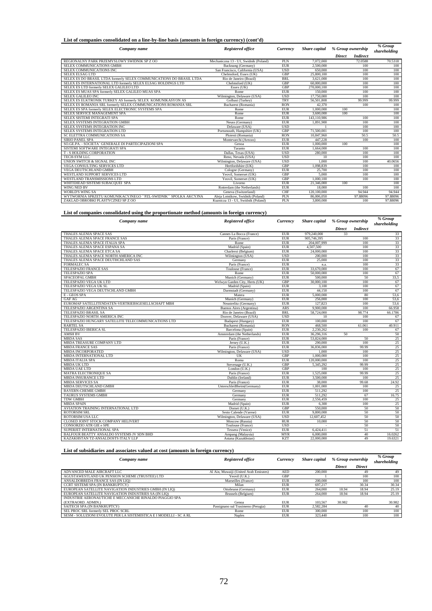#### **List of companies consolidated on a line-by-line basis (amounts in foreign currency) (cont'd)**

| Company name                                                         | <b>Registered office</b>              | Currency   | Share capital | % Group ownership |                 | % Group<br>shareholding |
|----------------------------------------------------------------------|---------------------------------------|------------|---------------|-------------------|-----------------|-------------------------|
|                                                                      |                                       |            |               | <b>Direct</b>     | <b>Indirect</b> |                         |
| REGIONALNY PARK PRZEMYSLOWY SWIDNIK SP Z OO                          | Mechaniczna 13 - U1. Swidnik (Poland) | PLN        | 7.072.000     |                   | 72.0588         | 70.5318                 |
| SELEX COMMUNICATIONS GMBH                                            | Backnang (Germany)                    | <b>EUR</b> | 2.500,000     |                   | 100             | 100                     |
| SELEX COMMUNICATIONS INC                                             | San Francisco, California (USA)       | <b>USD</b> | 650,000       |                   | 100             | 100                     |
| <b>SELEX ELSAG LTD</b>                                               | Chelmsford, Essex (UK)                | <b>GBP</b> | 25,800,100    |                   | 100             | 100                     |
| SELEX ES DO BRASIL LTDA formerly SELEX COMMUNICATIONS DO BRASIL LTDA | Rio de Janeiro (Brazil)               | <b>BRL</b> | 3.621.000     |                   | 100             | 100                     |
| SELEX ES INTERNATIONAL LTD formerly SELEX ELSAG HOLDINGS LTD         | Chelmsford (UK)                       | <b>GBP</b> | 60,000,000    |                   | 100             | 100                     |
| SELEX ES LTD formerly SELEX GALILEO LTD                              | Essex (UK)                            | GBP        | 270,000,100   |                   | 100             | 100                     |
| SELEX ES MUAS SPA formerly SELEX GALILEO MUAS SPA                    | Rome                                  | <b>EUR</b> | 150,000       |                   | 100             | 100                     |
| <b>SELEX GALILEO INC</b>                                             | Wilmington, Delaware (USA)            | <b>USD</b> | 17,750,000    |                   | 100             | 100                     |
| SELEX ES ELKTRONIK TURKEY AS formerly SELEX KOMUNIKASYON AS          | Golbasi (Turkev)                      | TRY        | 56,501,808    |                   | 99,999          | 99.999                  |
| SELEX ES ROMANIA SRL formerly SELEX COMMUNICATIONS ROMANIA SRL       | <b>Bucharest</b> (Romania)            | <b>RON</b> | 42.370        |                   | 100             | 100                     |
| SELEX ES SPA formerly SELEX ELECTRONIC SYSTEMS SPA                   | Rome                                  | <b>EUR</b> | 1,000,000     | 100               |                 | 100                     |
| SELEX SERVICE MANAGEMENT SPA                                         | Rome                                  | <b>EUR</b> | 3,600,000     | 100               |                 | 100                     |
| SELEX SISTEMI INTEGRATI SPA                                          | Rome                                  | <b>EUR</b> | 143.110.986   |                   | 100             | 100                     |
| SELEX SYSTEMS INTEGRATION GMBH                                       | Neuss (Germany)                       | <b>EUR</b> | 1.891.900     |                   | 100             | 100                     |
| SELEX SYSTEMS INTEGRATION INC                                        | Delaware (USA)                        | <b>USD</b> |               |                   | 100             | 100                     |
| SELEX SYSTEMS INTEGRATION LTD                                        | Portsmouth, Hampshire (UK)            | GBP        | 71,500,001    |                   | 100             | 100                     |
| SC ELETTRA COMMUNICATIONS SA                                         | Ploiesti (Romania)                    | <b>RON</b> | 10,847,960    |                   | 50.5            | 50.5                    |
| <b>SIRIO PANEL SPA</b>                                               | Montevarchi (Arezzo)                  | <b>EUR</b> | 447.228       |                   | 100             | 100                     |
| SO.GE.PA. - SOCIETA` GENERALE DI PARTECIPAZIONI SPA                  | Genoa                                 | <b>EUR</b> | 1,000,000     | 100               |                 | 100                     |
| SISTEMI SOFTWARE INTEGRATI SPA                                       | Taranto                               | <b>EUR</b> | 1,664,000     |                   | 100             | 100                     |
| <b>T-S HOLDING CORPORATION</b>                                       | Dallas, Texas (USA)                   | <b>USD</b> | 280,000       |                   | 100             | 100                     |
| TECH-SYM LLC                                                         | Reno, Nevada (USA)                    | <b>USD</b> | 10            |                   | 100             | 100                     |
| UNION SWITCH & SIGNAL INC                                            | Wilmington, Delaware (USA)            | <b>USD</b> | 1.000         |                   | 100             | 40.0656                 |
| VEGA CONSULTING SERVICES LTD                                         | Hertfordshire (UK)                    | <b>GBP</b> | 1.098.839     |                   | 100             | 100                     |
| VEGA DEUTSCHLAND GMBH                                                | Cologne (Germany)                     | <b>EUR</b> | 25,700        |                   | 100             | 100                     |
| WESTLAND SUPPORT SERVICES LTD                                        | Yeovil, Somerset (UK)                 | <b>GBP</b> | 5.000         |                   | 100             | 100                     |
| WESTLAND TRANSMISSIONS LTD                                           | Yeovil, Somerset (UK)                 | <b>GBP</b> | 1.000.100     |                   | 100             | 100                     |
| WHITEHEAD SISTEMI SUBACQUEI SPA                                      | Livorno                               | <b>EUR</b> | 21,346,000    | 100               |                 | 100                     |
| WING NED BV                                                          | Rotterdam (the Netherlands)           | <b>EUR</b> | 18,000        |                   | 100             | 100                     |
| <b>WORLD'S WING SA</b>                                               | Geneva (Switzerland)                  | <b>CHF</b> | 120,100,000   |                   | 94.944          | 94.944                  |
| WYTWORNIA SPRZETU KOMUNIKACYJNEGO "PZL-SWIDNIK" SPOLKA AKCYJNA       | Aleja Lotnikow, Swidnik (Poland)      | PLN        | 86,006,050    |                   | 97.88096        | 97.88096                |
| ZAKLAD OBROBKI PLASTYCZNEJ SP Z OO                                   | Kuznicza 13 - U1, Swidnik (Poland)    | PLN        | 3,800,000     |                   | 100             | 97.88096                |

### **List of companies consolidated using the proportionate method (amounts in foreign currency)**

| Company name                                        | <b>Registered office</b>       | Currency   | Share capital | % Group ownership |                 | % Group<br>shareholding |
|-----------------------------------------------------|--------------------------------|------------|---------------|-------------------|-----------------|-------------------------|
|                                                     |                                |            |               | Direct            | <b>Indirect</b> |                         |
| THALES ALENIA SPACE SAS                             | Cannes La Bocca (France)       | <b>EUR</b> | 979.240.000   | 33                |                 | 33                      |
| THALES ALENIA SPACE FRANCE SAS                      | Paris (France)                 | <b>EUR</b> | 905,746,395   |                   | 100             | 33                      |
| THALES ALENIA SPACE ITALIA SPA                      | Rome                           | <b>EUR</b> | 204.007.999   |                   | 100             | 33                      |
| THALES ALENIA SPACE ESPANA SA                       | Madrid (Spain)                 | <b>EUR</b> | 4,507,500     |                   | 100             | 33                      |
| THALES ALENIA SPACE ETCA SA                         | Charleroi (Belgium)            | <b>EUR</b> | 24,000,000    |                   | 100             | 33                      |
| THALES ALENIA SPACE NORTH AMERICA INC               | Wilmington (USA)               | <b>USD</b> | 200,000       |                   | 100             | 33                      |
| THALES ALENIA SPACE DEUTHCHLAND SAS                 | Germany                        | <b>EUR</b> | 25,000        |                   | 100             | 33                      |
| <b>FORMALEC SA</b>                                  | Paris (France)                 | <b>EUR</b> | n.a.          |                   | 100             | 33                      |
| <b>TELESPAZIO FRANCE SAS</b>                        | Toulouse (France)              | <b>EUR</b> | 33,670,000    |                   | 100             | 67                      |
| <b>TELESPAZIO SPA</b>                               | Rome                           | <b>EUR</b> | 50,000,000    |                   | 100             | 67                      |
| SPACEOPAL GMBH                                      | Munich (Germany)               | <b>EUR</b> | 500,000       |                   | 50              | 33,5                    |
| TELESPAZIO VEGA UK LTD                              | Welwyn Garden City, Herts (UK) | <b>GBP</b> | 30,000,100    |                   | 100             | 67                      |
| TELESPAZIO VEGA UK SL                               | Madrid (Spain)                 | <b>EUR</b> | 3,100         |                   | 100             | 67                      |
| TELESPAZIO VEGA DEUTSCHLAND GMBH                    | Darmstadt (Germany)            | <b>EUR</b> | 44.150        |                   | 100             | 67                      |
| E - GEOS SPA                                        | Matera                         | <b>EUR</b> | 5,000,000     |                   | 80              | 53,6                    |
| <b>GAF AG</b>                                       | Munich (Germany)               | <b>EUR</b> | 256,000       |                   | 100             | 53,6                    |
| EUROMAP SATELLITENDATEN-VERTRIEBSGESELLSCHAFT MBH   | Neustrelitz (Germany)          | <b>EUR</b> | 127,823       |                   | 100             | 53,6                    |
| TELESPAZIO ARGENTINA SA                             | Buenos Aires (Argentina)       | <b>ARS</b> | 9,900,000     |                   | 100             | 66.958                  |
| TELESPAZIO BRASIL SA                                | Rio de Janeiro (Brazil)        | <b>BRL</b> | 58,724,000    |                   | 98.774          | 66.1786                 |
| TELESPAZIO NORTH AMERICA INC                        | Doover, Delaware (USA)         | <b>USD</b> | 10            |                   | 100             | 67                      |
| TELESPAZIO HUNGARY SATELLITE TELECOMMUNICATIONS LTD | Budapest (Hungary)             | <b>EUR</b> | 100,000       |                   | 100             | 67                      |
| <b>RARTEL SA</b>                                    | Bucharest (Romania)            | <b>RON</b> | 468,500       |                   | 61.061          | 40.911                  |
| TELESPAZIO IBERICA SL                               | Barcelona (Spain)              | <b>EUR</b> | 2.230.262     |                   | 100             | 67                      |
| <b>AMSH BV</b>                                      | Amsterdam (the Netherlands)    | <b>EUR</b> | 36,296,316    | 50                |                 | 50                      |
| <b>MBDA SAS</b>                                     | Paris (France)                 | <b>EUR</b> | 53,824,000    |                   | 50              | 25                      |
| MBDA TREASURE COMPANY LTD                           | Jersey (U.K.)                  | <b>EUR</b> | 290,000       |                   | 100             | 25                      |
| <b>MBDA FRANCE SAS</b>                              | Paris (France)                 | <b>EUR</b> | 36,836,000    |                   | 99.99           | 25                      |
| <b>MBDA INCORPORATED</b>                            | Wilmington, Delaware (USA)     | <b>USD</b> | 1.000         |                   | 100             | 25                      |
| MBDA INTERNATIONAL LTD                              | UK                             | GBP        | 1,000,000     |                   | 100             | 25                      |
| <b>MBDA ITALIA SPA</b>                              | Roma                           | <b>EUR</b> | 120,000,000   |                   | 100             | 25                      |
| <b>MBDA UK LTD</b>                                  | Stevenage (U.K.)               | GBP        | 5.345.292     |                   | 99.99           | 25                      |
| <b>MBDA UAE LTD</b>                                 | London (U.K.)                  | GBP        | 100           |                   | 100             | 25                      |
| <b>MATRA ELECTRONIOUE SA</b>                        | Paris (France)                 | <b>EUR</b> | 1,525,000     |                   | 99.99           | 25                      |
| <b>MBDA INSURANCE LTD</b>                           | Dublin (Ireland)               | <b>EUR</b> | 3,500,000     |                   | 100             | 25                      |
| <b>MBDA SERVICES SA</b>                             | Paris (France)                 | <b>EUR</b> | 38,000        |                   | 99.68           | 24.92                   |
| MBDA DEUTSCHLAND GMBH                               | Unterschleißheim(Germany)      | <b>EUR</b> | 1,001,000     |                   | 100             | 25                      |
| <b>BAYERN-CHEMIE GMBH</b>                           | Germany                        | <b>EUR</b> | 511.292       |                   | 100             | 25                      |
| <b>TAURUS SYSTEMS GMBH</b>                          | Germany                        | <b>EUR</b> | 511.292       |                   | 67              | 16.75                   |
| <b>TDW GMBH</b>                                     | Germany                        | <b>EUR</b> | 2,556,459     |                   | 100             | 25                      |
| <b>MBDA SPAIN</b>                                   | Madrid (Spain)                 | <b>EUR</b> | 6.300         |                   | 100             | 25                      |
| AVIATION TRAINING INTERNATIONAL LTD                 | Dorset (U.K.)                  | <b>GBP</b> | 550,000       |                   | 50              | 50                      |
| <b>ROTORSIM SRL</b>                                 | Sesto Calende (Varese)         | <b>EUR</b> | 9,800,000     |                   | 50              | 50                      |
| ROTORSIM USA LLC                                    | Wilmington, Delaware (USA)     | <b>USD</b> | 12,607,452    |                   | 50              | 50                      |
| CLOSED JOINT STOCK COMPANY HELIVERT                 | Moscow (Russia)                | <b>RUR</b> | 10,000        |                   | 50              | 50                      |
| <b>CONSORZIO ATR GIE e SPE</b>                      | Toulouse (France)              | <b>USD</b> |               |                   | 50              | 50                      |
| SUPERJET INTERNATIONAL SPA                          | Tessera (Venice)               | <b>EUR</b> | 6,424,411     |                   | 51              | 51                      |
| BALFOUR BEATTY ANSALDO SYSTEMS JV SDN BHD           | Ampang (Malaysia)              | <b>MYR</b> | 6,000,000     |                   | 40              | 16.0262                 |
| KAZAKHSTAN TZ-ANSALDOSTS ITALY LLP                  | Astana (Kazakhstan)            | <b>KZT</b> | 22,000,000    |                   | 49              | 19.6321                 |

#### **List of subsidiaries and associates valued at cost (amounts in foreign currency)**

| Company name                                                       | Registered office                      | Currency   | Share capital | % Group ownership |               | % Group<br>shareholding |
|--------------------------------------------------------------------|----------------------------------------|------------|---------------|-------------------|---------------|-------------------------|
|                                                                    |                                        |            |               | <b>Direct</b>     | <b>Direct</b> |                         |
| ADVANCED MALE AIRCRAFT LLC                                         | Al Ain, Muwaiji (United Arab Emirates) | <b>AED</b> | 200,000       |                   | 49            | 49                      |
| AGUSTAWESTLAND UK PENSION SCHEME (TRUSTEE) LTD                     | Yeovil (U.K.)                          | <b>GBP</b> |               |                   | 100           | 100                     |
| ANSALDOBREDA FRANCE SAS (IN LIO)                                   | Marseilles (France)                    | <b>EUR</b> | 200,000       |                   | 100           | 100                     |
| CCRT SISTEMI SPA (IN BANKRUPTCY)                                   | Milan                                  | <b>EUR</b> | 697.217       |                   | 30.34         | 30.34                   |
| EUROPEAN SATELLITE NAVIGATION INDUSTRIES GMBH (IN LIO)             | Ottobrunn (Germany)                    | <b>EUR</b> | 264,000       | 18.94             | 18.94         | 25.19                   |
| EUROPEAN SATELLITE NAVIGATION INDUSTRIES SA (IN LIO)               | Brussels (Belgium)                     | <b>EUR</b> | 264,000       | 18.94             | 18.94         | 25.19                   |
| INDUSTRIE AERONAUTICHE E MECCANICHE RINALDO PIAGGIO SPA            |                                        |            |               |                   |               |                         |
| (EXTRAORD, ADMIN.)                                                 | Genoa                                  | <b>EUR</b> | 103,567       | 30.982            |               | 30.982                  |
| SAITECH SPA (IN BANKRUPTCY)                                        | Passignano sul Trasimeno (Perugia)     | <b>EUR</b> | 2.582.284     |                   | 40            | 40                      |
| SEL PROC SRL formerly SEL PROC SCRL                                | Rome                                   | <b>EUR</b> | 300,000       |                   | 100           | 100                     |
| SESM - SOLUZIONI EVOLUTE PER LA SISTEMISTICA E I MODELLI - SC A RL | <b>Naples</b>                          | <b>EUR</b> | 323,440       |                   | 100           | 100                     |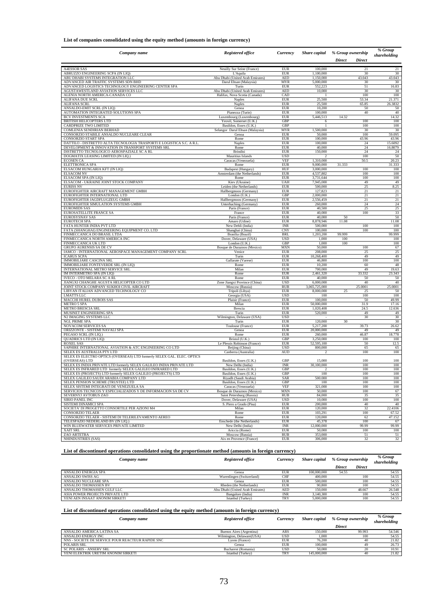#### **List of companies consolidated using the equity method (amounts in foreign currency)**

| Company name                                                                                             | <b>Registered office</b>                                          | Currency                  | <b>Share</b> capital         | % Group ownership |               | % Group         |
|----------------------------------------------------------------------------------------------------------|-------------------------------------------------------------------|---------------------------|------------------------------|-------------------|---------------|-----------------|
|                                                                                                          |                                                                   |                           |                              | <b>Direct</b>     | <b>Direct</b> | shareholding    |
|                                                                                                          |                                                                   |                           |                              |                   |               |                 |
| <b>A4ESSOR SAS</b><br>ABRUZZO ENGINEERING SCPA (IN LIQ)                                                  | Neuilly Sur Seine (France)<br>L'Aquila                            | <b>EUR</b><br><b>EUR</b>  | 100,000<br>1,100,000         |                   | 21<br>30      | 21<br>30        |
| ABU DHABI SYSTEMS INTEGRATION LLC                                                                        | Abu Dhabi (United Arab Emirates)                                  | <b>AED</b>                | 1,150,000                    |                   | 43.043        | 43.043          |
| ADVANCED AIR TRAFFIC SYSTEMS SDN BHD                                                                     | Darul Ehsan (Malaysia)                                            | <b>MYR</b>                | 5,000,000                    |                   | 30            | 30              |
| ADVANCED LOGISTICS TECHNOLOGY ENGINEERING CENTER SPA                                                     | Turin                                                             | <b>EUR</b>                | 552,223                      |                   | 51            | 16.83           |
| AGUSTAWESTLAND AVIATION SERVICES LLC<br>ALENIA NORTH AMERICA-CANADA CO                                   | Abu Dhabi (United Arab Emirates)<br>Halifax, Nova Scotia (Canada) | <b>AED</b><br>CAD         | 10,000                       |                   | 30<br>100     | 30<br>100       |
| ALIFANA DUE SCRL                                                                                         | Naples                                                            | <b>EUR</b>                | 25,500                       |                   | 53.34         | 21.371          |
| <b>ALIFANA SCRL</b>                                                                                      | <b>Naples</b>                                                     | <b>EUR</b>                | 25,500                       |                   | 65.85         | 26.3832         |
| ANSALDO-EMIT SCRL (IN LIQ)                                                                               | Genoa                                                             | <b>EUR</b>                | 10,200                       |                   | 50            | 50              |
| AUTOMATION INTEGRATED SOLUTIONS SPA<br><b>BCV INVESTMENTS SCA</b>                                        | Pianezza (Turin)<br>Luxembourg (Luxembourg)                       | <b>EUR</b><br><b>EUR</b>  | 100,000<br>5,446,513         | 14.32             | 40            | 40<br>14.32     |
| <b>BRITISH HELICOPTERS LTD</b>                                                                           | Yeovil, Somerset (U.K.)                                           | GBP                       | 6                            |                   | 100           | 100             |
| CARDPRIZE TWO LIMITED                                                                                    | Basildon, Essex (U.K.)                                            | GBP                       |                              |                   | 100           | 100             |
| COMLENIA SENDIRIAN BERHAD                                                                                | Selangor Darul Ehsan (Malaysia)                                   | MYR                       | 1,500,000                    |                   | 30            | 30              |
| CONSORZIO STABILE ANSALDO NUCLEARE CLEAR<br>CONSORZIO START SPA                                          | Genoa                                                             | <b>EUR</b><br><b>EUR</b>  | 50,000<br>100,000            |                   | 100<br>43.96  | 59.095<br>43.96 |
| DATTILO - DISTRETTO ALTA TECNOLOGIA TRASPORTI E LOGISTICA S.C. A R.L.                                    | Rome<br>Naples                                                    | EUR                       | 100,000                      |                   | 24            | 15.6092         |
| DEVELOPMENT & INNOVATION IN TRANSPORT SYSTEMS SRL                                                        | Rome                                                              | <b>EUR</b>                | 40,000                       |                   | 24            | 16.8079         |
| DISTRETTO TECNOLOGICO AEROSPAZIALE SC A RL                                                               | <b>Brindisi</b>                                                   | <b>EUR</b>                | 150,000                      |                   | 24            | 24              |
| DOGMATIX LEASING LIMITED (IN LIQ.)                                                                       | Mauritius Islands                                                 | <b>USD</b>                |                              |                   | 100           | 50              |
| <b>ECOSEN CA</b><br>ELETTRONICA SPA                                                                      | Caracas (Venezuela)<br>Rome                                       | <b>VEF</b><br><b>EUR</b>  | 1,310,000<br>9,000,000       | 31.333            | 50.5          | 20.23<br>31.333 |
| ELSACOM HUNGARIA KFT (IN LIQ)                                                                            | Budapest (Hungary)                                                | HUF                       | 3,000,000                    |                   | 100           | 100             |
| <b>ELSACOM NV</b>                                                                                        | Amsterdam (the Netherlands)                                       | <b>EUR</b>                | 4,537,802                    |                   | 100           | 100             |
| ELSACOM SPA (IN LIQ)                                                                                     | Rome                                                              | <b>EUR</b>                | 3,731,644                    |                   | 100           | 100             |
| ELSACOM - UKRAINE JOINT STOCK COMPANY                                                                    | Kiev (Ukraine)                                                    | <b>UAH</b>                | 7,945,000                    |                   | 49            | 49              |
| <b>EURISS NV</b><br>EUROFIGHTER AIRCRAFT MANAGEMENT GMBH                                                 | Leiden (the Netherlands)<br>Hallbergmoos (Germany)                | EUR<br><b>EUR</b>         | 500,000<br>127,823           |                   | 25<br>21      | 8.25<br>21      |
| EUROFIGHTER INTERNATIONAL LTD                                                                            | London $(U.K.)$                                                   | GBP                       | 2,000,000                    |                   | 21            | 21              |
| EUROFIGHTER JAGDFLUGZEUG GMBH                                                                            | Hallbergmoos (Germany)                                            | <b>EUR</b>                | 2,556,459                    |                   | 21            | 21              |
| EUROFIGHTER SIMULATION SYSTEMS GMBH                                                                      | Unterhaching (Germany)                                            | <b>EUR</b>                | 260,000                      |                   | 24            | 24              |
| <b>EUROMIDS SAS</b>                                                                                      | Paris (France)                                                    | <b>EUR</b>                | 40,500                       |                   | 25            | 25              |
| EUROSATELLITE FRANCE SA<br><b>EUROSYSNAV SAS</b>                                                         | France<br>Paris (France)                                          | <b>EUR</b><br><b>EUR</b>  | 40,000<br>40,000             | 50                | 100           | 33<br>50        |
| <b>EUROTECH SPA</b>                                                                                      | Amaro (Udine)                                                     | <b>EUR</b>                | 8,878,946                    | 11.08             |               | 11.08           |
| FATA HUNTER INDIA PVT LTD                                                                                | New Dehli (India)                                                 | $\ensuremath{\text{INR}}$ | 500,000                      |                   | 100           | 100             |
| FATA (SHANGHAI) ENGINEERING EQUIPMENT CO. LTD                                                            | Shanghai (China)                                                  | <b>CNY</b>                | 100,000                      |                   | 100           | 100             |
| FINMECCANICA DO BRASIL LTDA                                                                              | Brasilia (Brazil)                                                 | <b>BRL</b>                | 1,203,200                    | 99,999            |               | 99.999          |
| FINMECCANICA NORTH AMERICA INC<br>FINMECCANICA UK LTD                                                    | Dover, Delaware (USA)<br>London (U.K.)                            | <b>USD</b><br>GBP         | 1,000<br>1,000               | 100<br>100        |               | 100<br>100      |
| GRUPO AURENSIS SA DE CV                                                                                  | Bosque de Duraznos (Mexico)                                       | <b>MXN</b>                | 50,000                       |                   | 100           | 67              |
| IAMCO - INTERNATIONAL AEROSPACE MANAGEMENT COMPANY SCRL                                                  | Venice                                                            | <b>EUR</b>                | 208,000                      |                   | 25            | 25              |
| <b>ICARUS SCPA</b>                                                                                       | Turin                                                             | <b>EUR</b>                | 10,268,400                   |                   | 49            | 49              |
| <b>IMMOBILIARE CASCINA SRL</b>                                                                           | Gallarate (Varese)                                                | <b>EUR</b>                | 46,800                       |                   | 100           | 100             |
| IMMOBILIARE FONTEVERDE SRL (IN LIQ)<br>INTERNATIONAL METRO SERVICE SRL                                   | Rome<br>Milan                                                     | <b>EUR</b><br><b>EUR</b>  | 10,200<br>700,000            |                   | 60<br>49      | 48<br>19.63     |
| IM INTERMETRO SPA (IN LIQ)                                                                               | Rome                                                              | <b>EUR</b>                | 2,461,320                    |                   | 33.332        | 23.343          |
| IVECO - OTO MELARA SC A RL                                                                               | Rome                                                              | <b>EUR</b>                | 40,000                       |                   | 50            | 50              |
| JIANGXI CHANGHE AGUSTA HELICOPTER CO LTD                                                                 | Zone Jiangxi Province (China)                                     | <b>USD</b>                | 6,000,000                    |                   | 40            | 40              |
| JOINT STOCK COMPANY SUKHOI CIVIL AIRCRAFT                                                                | Moscow (Russia)                                                   | RUB                       | 3,065,725,000                |                   | 25.0001       | 25.0001         |
| LIBYAN ITALIAN ADVANCED TECHNOLOGY CO<br><b>LMATTS LLC</b>                                               | Tripoli (Libya)<br>Georgia (USA)                                  | <b>EUR</b><br><b>USD</b>  | 8,000,000<br>100             | 25                | 25<br>100     | 50<br>100       |
| MACCHI HUREL DUBOIS SAS                                                                                  | Plaisir (France)                                                  | <b>EUR</b>                | 100,000                      |                   | 50            | 49.99           |
| <b>METRO 5 SPA</b>                                                                                       | Milan                                                             | <b>EUR</b>                | 50,000,000                   |                   | 31.9          | 17.16           |
| <b>METRO BRESCIA SRL</b>                                                                                 | Brescia                                                           | <b>EUR</b>                | 1,020,408                    |                   | 24.5          | 12.636          |
| MUSINET ENGINEERING SPA                                                                                  | Turin                                                             | <b>EUR</b>                | 520,000                      |                   | 49            | 49              |
| N2 IMAGING SYSTEMS LLC<br><b>NGL PRIME SPA</b>                                                           | Wilmington, Delaware (USA)<br>Turin                               | <b>USD</b><br><b>EUR</b>  | 120,000                      | 30                | 30            | 30<br>30        |
| NOVACOM SERVICES SA                                                                                      | Toulouse (France)                                                 | <b>EUR</b>                | 5,217,200                    |                   | 39.73         | 26.62           |
| ORIZZONTE - SISTEMI NAVALI SPA                                                                           | Genoa                                                             | <b>EUR</b>                | 20,000,000                   |                   | 49            | 49              |
| PEGASO SCRL (IN LIQ.)                                                                                    | Rome                                                              | <b>EUR</b>                | 260,000                      |                   | 46.87         | 18.778          |
| QUADRICS LTD (IN LIQ)<br><b>ROXEL SAS</b>                                                                | Bristol (U.K.)<br>Le Plessis Robinson (France)                    | GBP<br><b>EUR</b>         | 3,250,000<br>52,595,100      |                   | 100<br>50     | 100<br>12.5     |
| SAPHIRE INTERNATIONAL AVIATION & ATC ENGINEERING CO LTD                                                  | Beijing (China)                                                   | <b>USD</b>                | 800,000                      |                   | 65            | 65              |
| SELEX ES AUSTRALIA PTY LTD                                                                               | Canberra (Australia)                                              | <b>AUD</b>                | $\mathfrak{D}$               |                   | 100           | 100             |
| SELEX ES ELECTRO OPTICS (OVERSEAS) LTD formerly SELEX GAL. ELEC. OPTICS                                  |                                                                   |                           |                              |                   |               |                 |
| (OVERSEAS) LTD<br>SELEX ES INDIA PRIVATE LTD formerly SELEX GALILEO INDIA PRIVATE LTD                    | Basildon, Essex (U.K.)                                            | GBP                       | 15,000                       |                   | 100           | 100             |
| SELEX ES INFRARED LTD formerly SELEX GALILEO INFRARED LTD                                                | New Delhi (India)<br>Basildon, Essex (U.K.)                       | <b>INR</b><br>GBP         | 30,100,000<br>$\overline{2}$ |                   | 100<br>100    | 100<br>100      |
| SELEY ES (PROJECTS) I TD formerly SELEY GALILEO (PROJECTS) I TD                                          | Basildon Fesex (IIK)                                              | GRP                       | 100                          |                   | 100           | 100             |
| SELEX GALILEO SAUDI ARABIA COMPANY LTD                                                                   | Riyadh (Saudi Arabia)                                             | SAR                       | 500.000                      |                   | 100           | 100             |
| SELEX PENSION SCHEME (TRUSTEE) LTD                                                                       | Basildon, Essex (U.K.)                                            | GBP                       | 100                          |                   | 100           | 100             |
| SELEX SISTEMI INTEGRATI DE VENEZUELA SA<br>SERVICIOS TECNICOS Y ESPECIALIZADOS Y DE INFORMACION SA DE CV | Caracas (Venezuela)<br>Bosque de Duraznos (Mexico)                | <b>VEF</b>                | 321,000<br>50,000            |                   | 100<br>100    | 100             |
| SEVERNYJ AVTOBUS ZAO                                                                                     | Saint Petersburg (Russia)                                         | MXN<br><b>RUB</b>         | 84,000                       |                   | 35            | 67<br>35        |
| SIRIO PANEL INC                                                                                          | Dover, Delaware (USA)                                             | <b>USD</b>                | 10,000                       |                   | 100           | 100             |
| SISTEMI DINAMICI SPA                                                                                     | S. Piero a Grado (Pisa)                                           | <b>EUR</b>                | 200,000                      |                   | 40            | 40              |
| SOCIETA' DI PROGETTO CONSORTILE PER AZIONI M4                                                            | Milan                                                             | <b>EUR</b>                | 120,000                      |                   | 32            | 22.4106         |
| <b>CONSORZIO TELAER</b><br>CONSORZIO TELAER - SISTEMI DI TELERILEVAMENTO AEREO                           | Rome                                                              | <b>EUR</b>                | 103,291                      |                   | 100           | 67.52           |
| TELESPAZIO NEDERLAND BV (IN LIQ.)                                                                        | Rome<br>Enschede (the Netherlands)                                | <b>EUR</b><br><b>EUR</b>  | 120,000<br>45,378            |                   | 62<br>100     | 47.152<br>67    |
| WIN BLUEWATER SERVICES PRIVATE LIMITED                                                                   | New Delhi (India)                                                 | <b>INR</b>                | 12,000,000                   |                   | 99.99         | 99.99           |
| XAIT SRL                                                                                                 | Ariccia (Rome)                                                    | <b>EUR</b>                | 50,000                       |                   | 100           | 100             |
| ZAO ARTETRA                                                                                              | Moscow (Russia)                                                   | <b>RUB</b>                | 353,000                      |                   | 51            | 51              |
| NHINDUSTRIES (SAS)                                                                                       | Aix en Provence (France)                                          | <b>EUR</b>                | 306,000                      |                   | 32            | 32              |

**List of discontinued operations consolidated using the proportionate method (amounts in foreign currency)** 

| Company name                    | Registered office                | Currency   | Share capital | % Group ownership |               | % Group<br>shareholding |
|---------------------------------|----------------------------------|------------|---------------|-------------------|---------------|-------------------------|
|                                 |                                  |            |               | <b>Direct</b>     | <b>Direct</b> |                         |
| ANSALDO ENERGIA SPA             | Genoa                            | <b>EUR</b> | 100,000,000   | 54.55             |               | 54.55                   |
| ANSALDO SWISS AG                | Wurenlingen (Switzerland)        | <b>CHF</b> | 400,000       |                   | 100           | 54.55                   |
| ANSALDO NUCLEARE SPA            | Genoa                            | <b>EUR</b> | 500,000       |                   | 100           | 54.55                   |
| ANSALDO THOMASSEN BV            | Rheden (the Netherlands)         | <b>EUR</b> | 90.800        |                   | 100           | 54.55                   |
| ANSALDO THOMASSEN GULF LLC      | Abu Dhabi (United Arab Emirates) | <b>AED</b> | 150,000       |                   | 48.667        | 26.548                  |
| ASIA POWER PROJECTS PRIVATE LTD | Bangalore (India)                | INR        | 3.140.300     |                   | 100           | 54.55                   |
| YENI AEN INSAAT ANONIM SIRKETI  | Istanbul (Turkey)                | <b>TRY</b> | 5,000,000     |                   | 100           | 54.55                   |

### **List of discontinued operations consolidated using the equity method (amounts in foreign currency)**

| Company name                                       | Registered office         | Currency   | Share capital | % Group ownership | % Group<br>shareholding |
|----------------------------------------------------|---------------------------|------------|---------------|-------------------|-------------------------|
|                                                    |                           |            |               | Direct            |                         |
| ANSALDO AMERICA LATINA SA                          | Buenos Aires (Argentina)  | ARS        | 150,000       | 99.993            | 54.546                  |
| ANSALDO ENERGY INC                                 | Wilmington, Delaware(USA) | USD        | 1.000         | 100               | 54.55                   |
| NNS - SOCIETE DE SERVICE POUR REACTEUR RAPIDE SNC. | Lyons (France)            | <b>EUR</b> | 76.200        | 40                | 21.82                   |
| POLARIS SRL                                        | Genoa                     | <b>EUR</b> | 100,000       |                   | 26.73                   |
| <b>SC POLARIS - ANSERV SRL</b>                     | Bucharest (Romania)       | USD        | 50,000        | 20                | 10.91                   |
| YENI ELEKTRIK URETIM ANONIM SIRKETI                | Istanbul (Turkey)         | <b>TRY</b> | 145,000,000   | 40                | 21.82                   |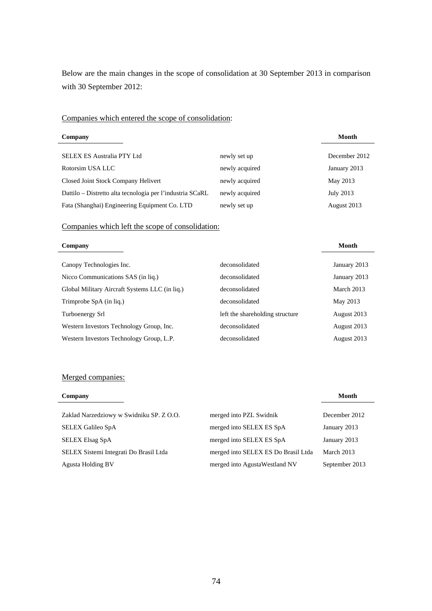Below are the main changes in the scope of consolidation at 30 September 2013 in comparison with 30 September 2012:

# Companies which entered the scope of consolidation:

| Company                                                   |                | Month         |
|-----------------------------------------------------------|----------------|---------------|
| SELEX ES Australia PTY Ltd                                | newly set up   | December 2012 |
| Rotorsim USA LLC                                          | newly acquired | January 2013  |
| Closed Joint Stock Company Helivert                       | newly acquired | May 2013      |
| Dattilo – Distretto alta tecnologia per l'industria SCaRL | newly acquired | July 2013     |
| Fata (Shanghai) Engineering Equipment Co. LTD             | newly set up   | August 2013   |

## Companies which left the scope of consolidation:

| Company                                        |                                 | Month        |
|------------------------------------------------|---------------------------------|--------------|
|                                                |                                 |              |
| Canopy Technologies Inc.                       | deconsolidated                  | January 2013 |
| Nicco Communications SAS (in lig.)             | deconsolidated                  | January 2013 |
| Global Military Aircraft Systems LLC (in liq.) | deconsolidated                  | March 2013   |
| Trimprobe SpA (in liq.)                        | deconsolidated                  | May 2013     |
| Turboenergy Srl                                | left the shareholding structure | August 2013  |
| Western Investors Technology Group, Inc.       | deconsolidated                  | August 2013  |
| Western Investors Technology Group, L.P.       | deconsolidated                  | August 2013  |

### Merged companies:

| Company                                  |                                     | Month          |
|------------------------------------------|-------------------------------------|----------------|
| Zaklad Narzedziowy w Swidniku SP. Z O.O. | merged into PZL Swidnik             | December 2012  |
|                                          |                                     |                |
| <b>SELEX Galileo SpA</b>                 | merged into SELEX ES SpA            | January 2013   |
| <b>SELEX Elsag SpA</b>                   | merged into SELEX ES SpA            | January 2013   |
| SELEX Sistemi Integrati Do Brasil Ltda   | merged into SELEX ES Do Brasil Ltda | March 2013     |
| <b>Agusta Holding BV</b>                 | merged into AgustaWestland NV       | September 2013 |